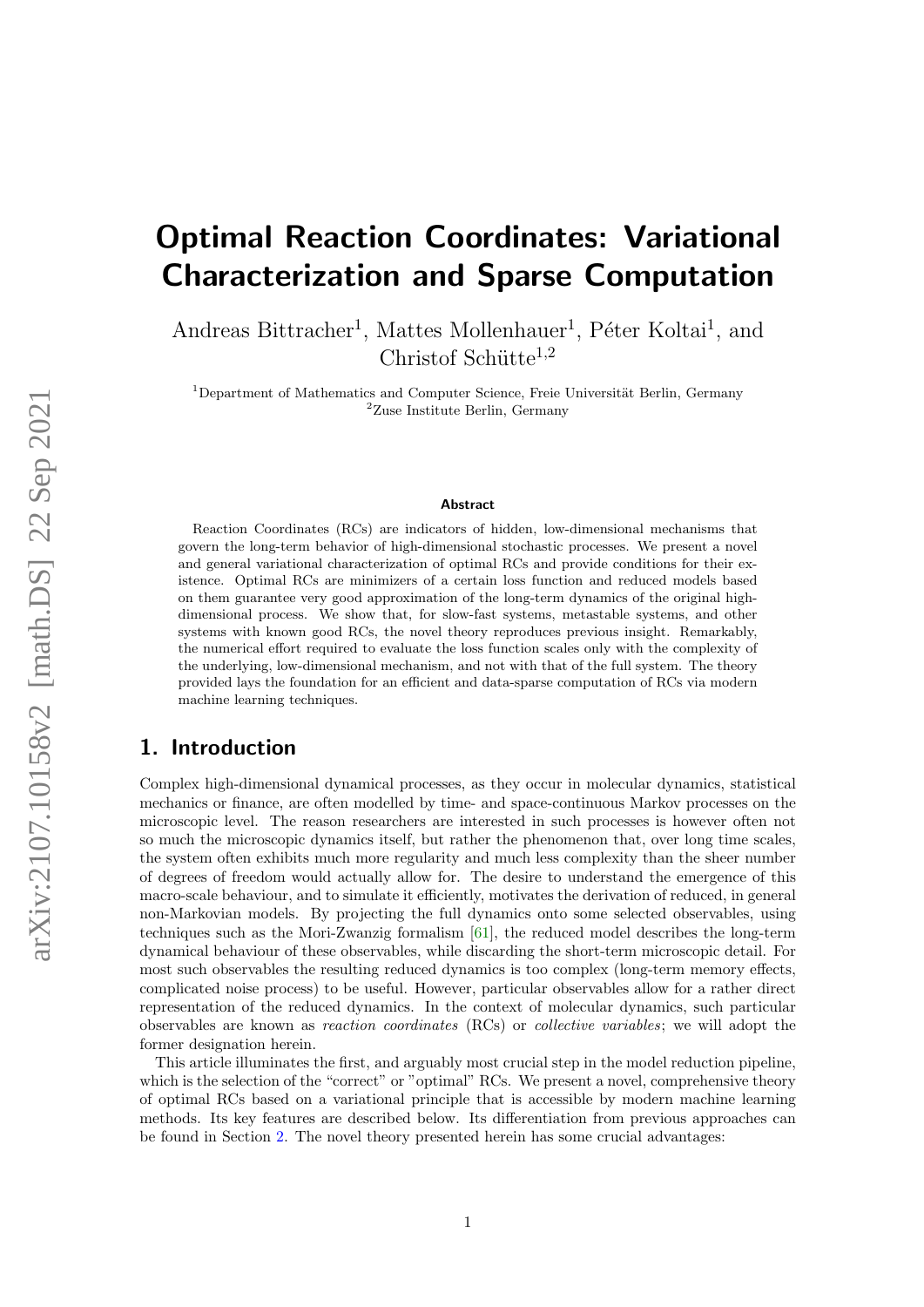# Optimal Reaction Coordinates: Variational Characterization and Sparse Computation

Andreas Bittracher<sup>1</sup>, Mattes Mollenhauer<sup>1</sup>, Péter Koltai<sup>1</sup>, and Christof Schütte<sup>1,2</sup>

 $1$ Department of Mathematics and Computer Science, Freie Universität Berlin, Germany  $2$ Zuse Institute Berlin, Germany

#### Abstract

Reaction Coordinates (RCs) are indicators of hidden, low-dimensional mechanisms that govern the long-term behavior of high-dimensional stochastic processes. We present a novel and general variational characterization of optimal RCs and provide conditions for their existence. Optimal RCs are minimizers of a certain loss function and reduced models based on them guarantee very good approximation of the long-term dynamics of the original highdimensional process. We show that, for slow-fast systems, metastable systems, and other systems with known good RCs, the novel theory reproduces previous insight. Remarkably, the numerical effort required to evaluate the loss function scales only with the complexity of the underlying, low-dimensional mechanism, and not with that of the full system. The theory provided lays the foundation for an efficient and data-sparse computation of RCs via modern machine learning techniques.

# 1. Introduction

Complex high-dimensional dynamical processes, as they occur in molecular dynamics, statistical mechanics or finance, are often modelled by time- and space-continuous Markov processes on the microscopic level. The reason researchers are interested in such processes is however often not so much the microscopic dynamics itself, but rather the phenomenon that, over long time scales, the system often exhibits much more regularity and much less complexity than the sheer number of degrees of freedom would actually allow for. The desire to understand the emergence of this macro-scale behaviour, and to simulate it efficiently, motivates the derivation of reduced, in general non-Markovian models. By projecting the full dynamics onto some selected observables, using techniques such as the Mori-Zwanzig formalism [\[61\]](#page-32-0), the reduced model describes the long-term dynamical behaviour of these observables, while discarding the short-term microscopic detail. For most such observables the resulting reduced dynamics is too complex (long-term memory effects, complicated noise process) to be useful. However, particular observables allow for a rather direct representation of the reduced dynamics. In the context of molecular dynamics, such particular observables are known as reaction coordinates (RCs) or collective variables; we will adopt the former designation herein.

This article illuminates the first, and arguably most crucial step in the model reduction pipeline, which is the selection of the "correct" or "optimal" RCs. We present a novel, comprehensive theory of optimal RCs based on a variational principle that is accessible by modern machine learning methods. Its key features are described below. Its differentiation from previous approaches can be found in Section [2.](#page-1-0) The novel theory presented herein has some crucial advantages: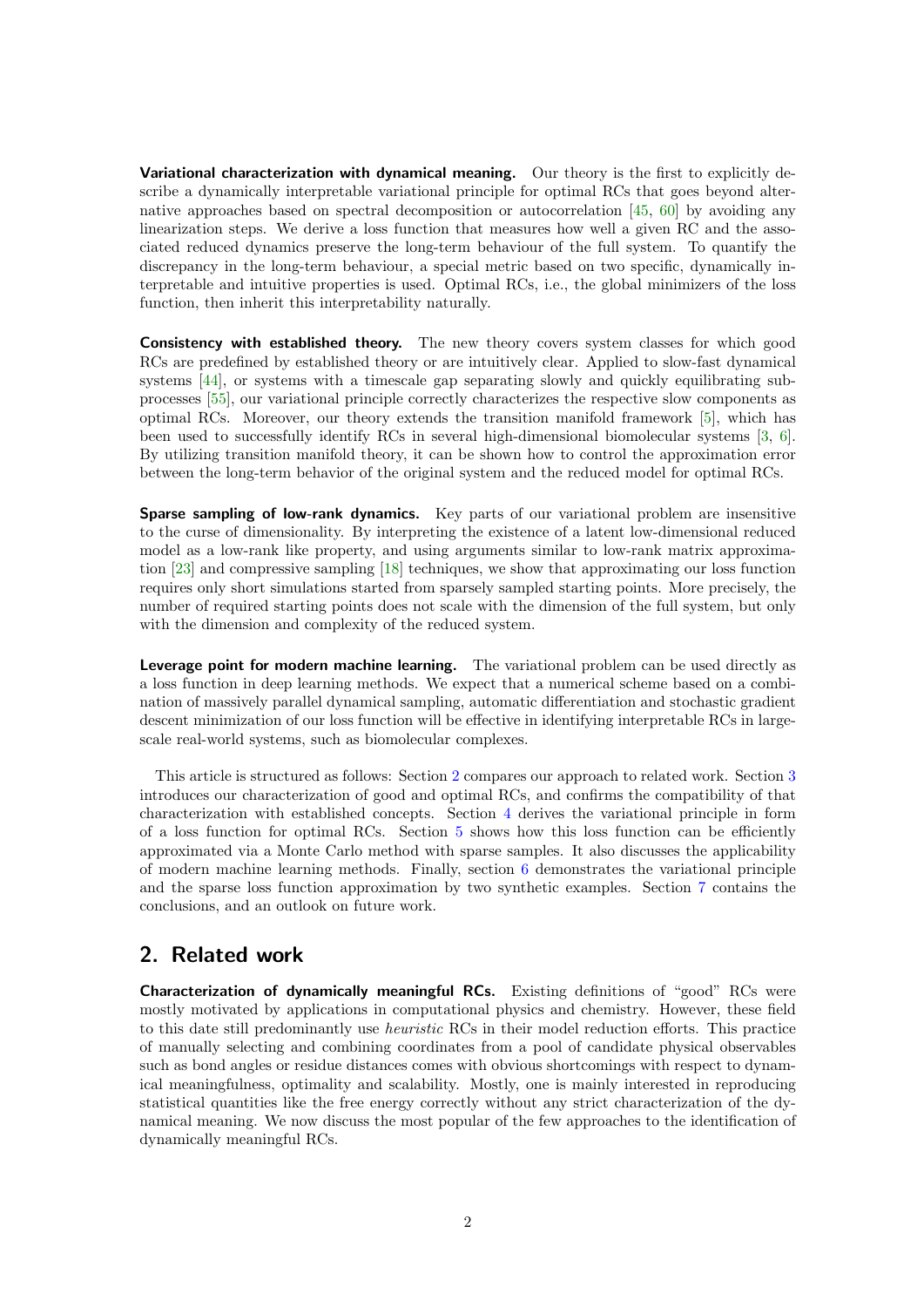Variational characterization with dynamical meaning. Our theory is the first to explicitly describe a dynamically interpretable variational principle for optimal RCs that goes beyond alternative approaches based on spectral decomposition or autocorrelation [\[45,](#page-31-0) [60\]](#page-32-1) by avoiding any linearization steps. We derive a loss function that measures how well a given RC and the associated reduced dynamics preserve the long-term behaviour of the full system. To quantify the discrepancy in the long-term behaviour, a special metric based on two specific, dynamically interpretable and intuitive properties is used. Optimal RCs, i.e., the global minimizers of the loss function, then inherit this interpretability naturally.

**Consistency with established theory.** The new theory covers system classes for which good RCs are predefined by established theory or are intuitively clear. Applied to slow-fast dynamical systems [\[44\]](#page-31-1), or systems with a timescale gap separating slowly and quickly equilibrating subprocesses [\[55\]](#page-31-2), our variational principle correctly characterizes the respective slow components as optimal RCs. Moreover, our theory extends the transition manifold framework [\[5\]](#page-29-0), which has been used to successfully identify RCs in several high-dimensional biomolecular systems [\[3,](#page-29-1) [6\]](#page-29-2). By utilizing transition manifold theory, it can be shown how to control the approximation error between the long-term behavior of the original system and the reduced model for optimal RCs.

Sparse sampling of low-rank dynamics. Key parts of our variational problem are insensitive to the curse of dimensionality. By interpreting the existence of a latent low-dimensional reduced model as a low-rank like property, and using arguments similar to low-rank matrix approximation [\[23\]](#page-30-0) and compressive sampling [\[18\]](#page-30-1) techniques, we show that approximating our loss function requires only short simulations started from sparsely sampled starting points. More precisely, the number of required starting points does not scale with the dimension of the full system, but only with the dimension and complexity of the reduced system.

Leverage point for modern machine learning. The variational problem can be used directly as a loss function in deep learning methods. We expect that a numerical scheme based on a combination of massively parallel dynamical sampling, automatic differentiation and stochastic gradient descent minimization of our loss function will be effective in identifying interpretable RCs in largescale real-world systems, such as biomolecular complexes.

This article is structured as follows: Section [2](#page-1-0) compares our approach to related work. Section [3](#page-3-0) introduces our characterization of good and optimal RCs, and confirms the compatibility of that characterization with established concepts. Section [4](#page-14-0) derives the variational principle in form of a loss function for optimal RCs. Section [5](#page-17-0) shows how this loss function can be efficiently approximated via a Monte Carlo method with sparse samples. It also discusses the applicability of modern machine learning methods. Finally, section [6](#page-20-0) demonstrates the variational principle and the sparse loss function approximation by two synthetic examples. Section [7](#page-28-0) contains the conclusions, and an outlook on future work.

# <span id="page-1-0"></span>2. Related work

Characterization of dynamically meaningful RCs. Existing definitions of "good" RCs were mostly motivated by applications in computational physics and chemistry. However, these field to this date still predominantly use heuristic RCs in their model reduction efforts. This practice of manually selecting and combining coordinates from a pool of candidate physical observables such as bond angles or residue distances comes with obvious shortcomings with respect to dynamical meaningfulness, optimality and scalability. Mostly, one is mainly interested in reproducing statistical quantities like the free energy correctly without any strict characterization of the dynamical meaning. We now discuss the most popular of the few approaches to the identification of dynamically meaningful RCs.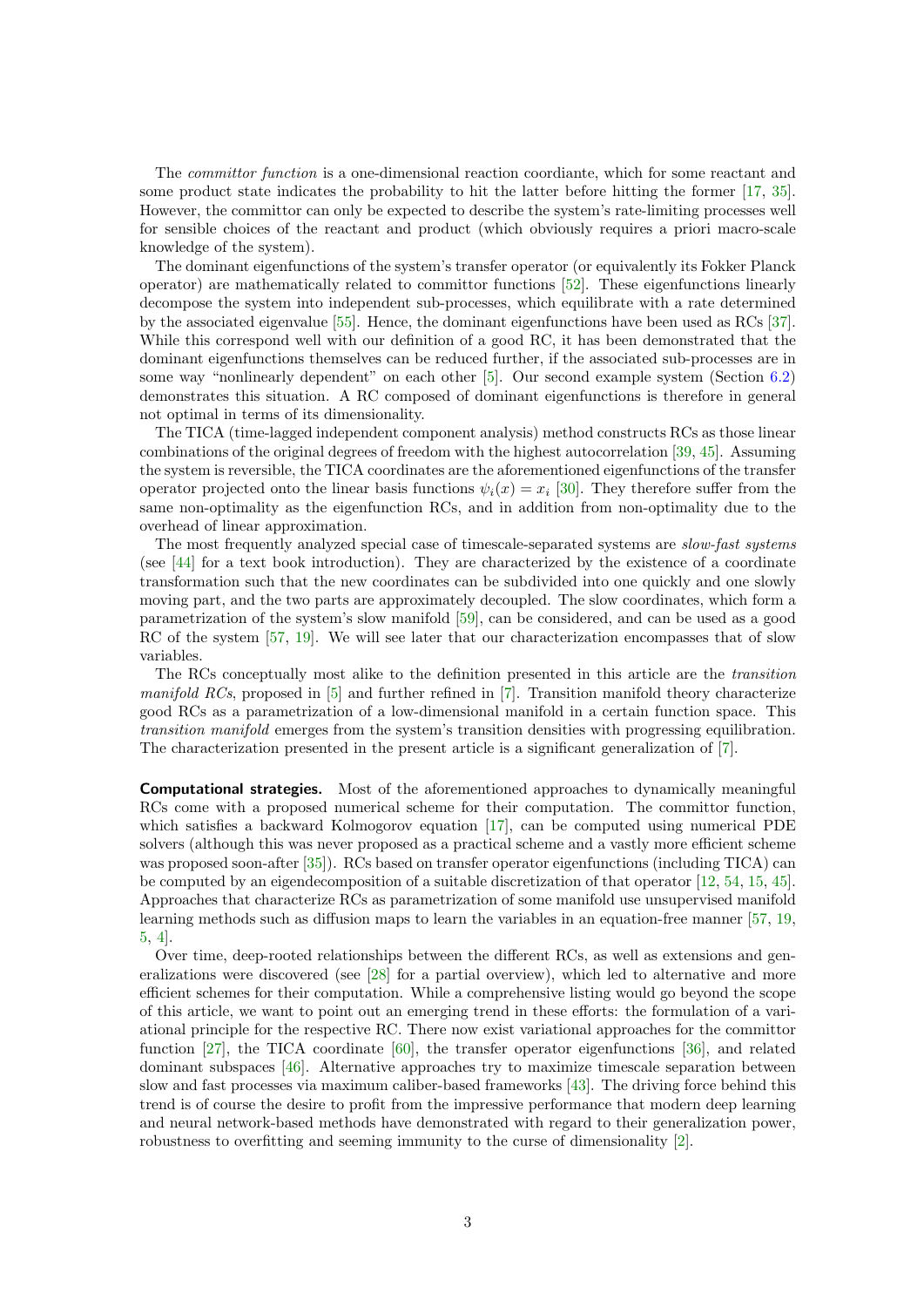The committor function is a one-dimensional reaction coordiante, which for some reactant and some product state indicates the probability to hit the latter before hitting the former [\[17,](#page-29-3) [35\]](#page-30-2). However, the committor can only be expected to describe the system's rate-limiting processes well for sensible choices of the reactant and product (which obviously requires a priori macro-scale knowledge of the system).

The dominant eigenfunctions of the system's transfer operator (or equivalently its Fokker Planck operator) are mathematically related to committor functions [\[52\]](#page-31-3). These eigenfunctions linearly decompose the system into independent sub-processes, which equilibrate with a rate determined by the associated eigenvalue [\[55\]](#page-31-2). Hence, the dominant eigenfunctions have been used as RCs [\[37\]](#page-31-4). While this correspond well with our definition of a good RC, it has been demonstrated that the dominant eigenfunctions themselves can be reduced further, if the associated sub-processes are in some way "nonlinearly dependent" on each other [\[5\]](#page-29-0). Our second example system (Section [6.2\)](#page-25-0) demonstrates this situation. A RC composed of dominant eigenfunctions is therefore in general not optimal in terms of its dimensionality.

The TICA (time-lagged independent component analysis) method constructs RCs as those linear combinations of the original degrees of freedom with the highest autocorrelation [\[39,](#page-31-5) [45\]](#page-31-0). Assuming the system is reversible, the TICA coordinates are the aforementioned eigenfunctions of the transfer operator projected onto the linear basis functions  $\psi_i(x) = x_i$  [\[30\]](#page-30-3). They therefore suffer from the same non-optimality as the eigenfunction RCs, and in addition from non-optimality due to the overhead of linear approximation.

The most frequently analyzed special case of timescale-separated systems are *slow-fast systems* (see [\[44\]](#page-31-1) for a text book introduction). They are characterized by the existence of a coordinate transformation such that the new coordinates can be subdivided into one quickly and one slowly moving part, and the two parts are approximately decoupled. The slow coordinates, which form a parametrization of the system's slow manifold [\[59\]](#page-32-2), can be considered, and can be used as a good RC of the system [\[57,](#page-32-3) [19\]](#page-30-4). We will see later that our characterization encompasses that of slow variables.

The RCs conceptually most alike to the definition presented in this article are the transition manifold RCs, proposed in  $[5]$  and further refined in  $[7]$ . Transition manifold theory characterize good RCs as a parametrization of a low-dimensional manifold in a certain function space. This transition manifold emerges from the system's transition densities with progressing equilibration. The characterization presented in the present article is a significant generalization of [\[7\]](#page-29-4).

Computational strategies. Most of the aforementioned approaches to dynamically meaningful RCs come with a proposed numerical scheme for their computation. The committor function, which satisfies a backward Kolmogorov equation [\[17\]](#page-29-3), can be computed using numerical PDE solvers (although this was never proposed as a practical scheme and a vastly more efficient scheme was proposed soon-after [\[35\]](#page-30-2)). RCs based on transfer operator eigenfunctions (including TICA) can be computed by an eigendecomposition of a suitable discretization of that operator [\[12,](#page-29-5) [54,](#page-31-6) [15,](#page-29-6) [45\]](#page-31-0). Approaches that characterize RCs as parametrization of some manifold use unsupervised manifold learning methods such as diffusion maps to learn the variables in an equation-free manner [\[57,](#page-32-3) [19,](#page-30-4) [5,](#page-29-0) [4\]](#page-29-7).

Over time, deep-rooted relationships between the different RCs, as well as extensions and generalizations were discovered (see [\[28\]](#page-30-5) for a partial overview), which led to alternative and more efficient schemes for their computation. While a comprehensive listing would go beyond the scope of this article, we want to point out an emerging trend in these efforts: the formulation of a variational principle for the respective RC. There now exist variational approaches for the committor function [\[27\]](#page-30-6), the TICA coordinate [\[60\]](#page-32-1), the transfer operator eigenfunctions [\[36\]](#page-30-7), and related dominant subspaces [\[46\]](#page-31-7). Alternative approaches try to maximize timescale separation between slow and fast processes via maximum caliber-based frameworks [\[43\]](#page-31-8). The driving force behind this trend is of course the desire to profit from the impressive performance that modern deep learning and neural network-based methods have demonstrated with regard to their generalization power, robustness to overfitting and seeming immunity to the curse of dimensionality [\[2\]](#page-29-8).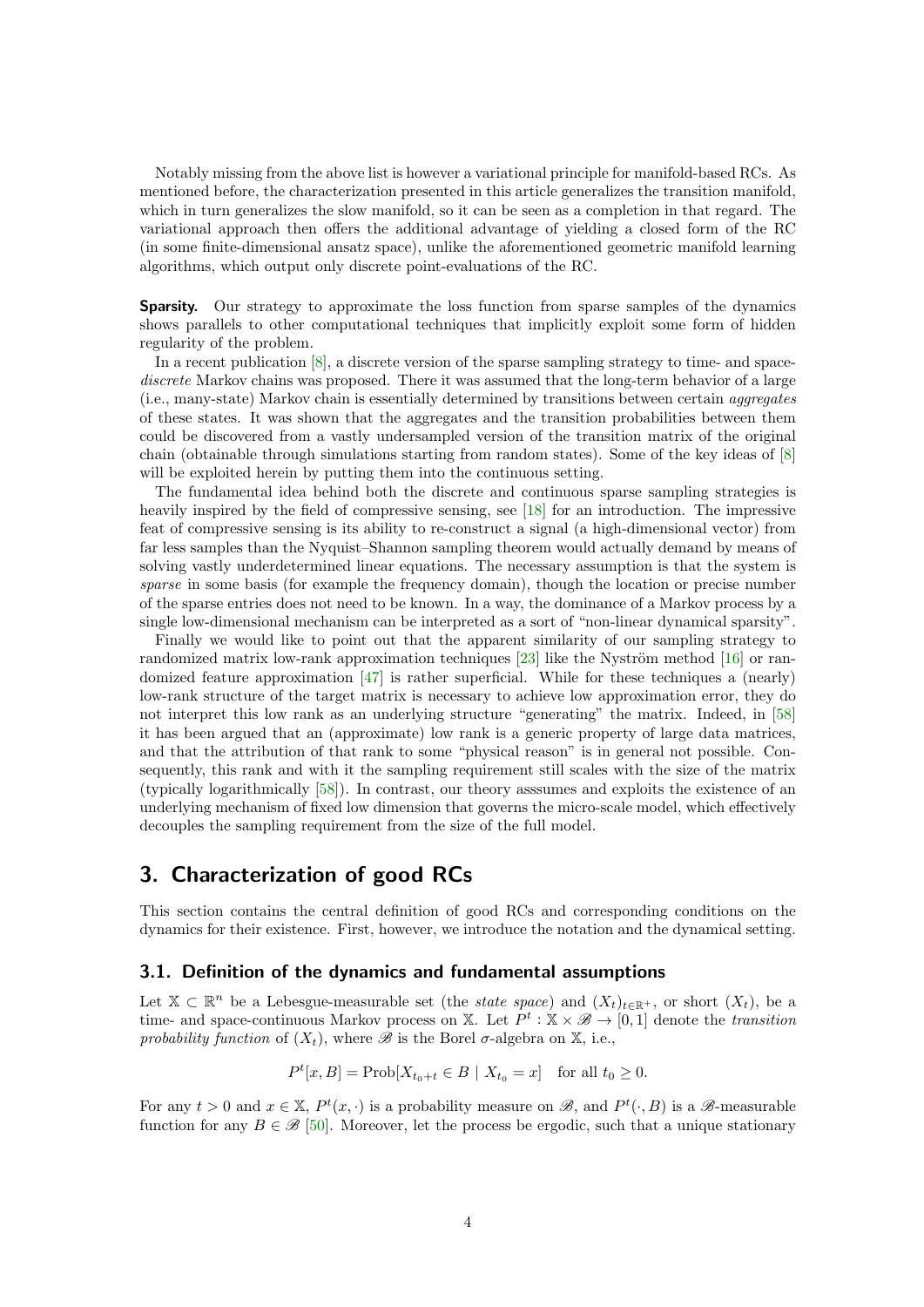Notably missing from the above list is however a variational principle for manifold-based RCs. As mentioned before, the characterization presented in this article generalizes the transition manifold, which in turn generalizes the slow manifold, so it can be seen as a completion in that regard. The variational approach then offers the additional advantage of yielding a closed form of the RC (in some finite-dimensional ansatz space), unlike the aforementioned geometric manifold learning algorithms, which output only discrete point-evaluations of the RC.

**Sparsity.** Our strategy to approximate the loss function from sparse samples of the dynamics shows parallels to other computational techniques that implicitly exploit some form of hidden regularity of the problem.

In a recent publication [\[8\]](#page-29-9), a discrete version of the sparse sampling strategy to time- and spacediscrete Markov chains was proposed. There it was assumed that the long-term behavior of a large (i.e., many-state) Markov chain is essentially determined by transitions between certain aggregates of these states. It was shown that the aggregates and the transition probabilities between them could be discovered from a vastly undersampled version of the transition matrix of the original chain (obtainable through simulations starting from random states). Some of the key ideas of [\[8\]](#page-29-9) will be exploited herein by putting them into the continuous setting.

The fundamental idea behind both the discrete and continuous sparse sampling strategies is heavily inspired by the field of compressive sensing, see [\[18\]](#page-30-1) for an introduction. The impressive feat of compressive sensing is its ability to re-construct a signal (a high-dimensional vector) from far less samples than the Nyquist–Shannon sampling theorem would actually demand by means of solving vastly underdetermined linear equations. The necessary assumption is that the system is sparse in some basis (for example the frequency domain), though the location or precise number of the sparse entries does not need to be known. In a way, the dominance of a Markov process by a single low-dimensional mechanism can be interpreted as a sort of "non-linear dynamical sparsity".

Finally we would like to point out that the apparent similarity of our sampling strategy to randomized matrix low-rank approximation techniques  $[23]$  like the Nyström method  $[16]$  or randomized feature approximation [\[47\]](#page-31-9) is rather superficial. While for these techniques a (nearly) low-rank structure of the target matrix is necessary to achieve low approximation error, they do not interpret this low rank as an underlying structure "generating" the matrix. Indeed, in [\[58\]](#page-32-4) it has been argued that an (approximate) low rank is a generic property of large data matrices, and that the attribution of that rank to some "physical reason" is in general not possible. Consequently, this rank and with it the sampling requirement still scales with the size of the matrix (typically logarithmically [\[58\]](#page-32-4)). In contrast, our theory asssumes and exploits the existence of an underlying mechanism of fixed low dimension that governs the micro-scale model, which effectively decouples the sampling requirement from the size of the full model.

# <span id="page-3-0"></span>3. Characterization of good RCs

This section contains the central definition of good RCs and corresponding conditions on the dynamics for their existence. First, however, we introduce the notation and the dynamical setting.

## 3.1. Definition of the dynamics and fundamental assumptions

Let  $\mathbb{X} \subset \mathbb{R}^n$  be a Lebesgue-measurable set (the *state space*) and  $(X_t)_{t \in \mathbb{R}^+}$ , or short  $(X_t)$ , be a time- and space-continuous Markov process on X. Let  $P^t$ :  $\mathbb{X} \times \mathscr{B} \to [0, 1]$  denote the *transition* probability function of  $(X_t)$ , where  $\mathscr B$  is the Borel  $\sigma$ -algebra on  $\mathbb X$ , i.e.,

$$
P^{t}[x, B] = \text{Prob}[X_{t_0+t} \in B \mid X_{t_0} = x] \text{ for all } t_0 \ge 0.
$$

For any  $t > 0$  and  $x \in \mathbb{X}$ ,  $P^t(x, \cdot)$  is a probability measure on  $\mathscr{B}$ , and  $P^t(\cdot, B)$  is a  $\mathscr{B}$ -measurable function for any  $B \in \mathcal{B}$  [\[50\]](#page-31-10). Moreover, let the process be ergodic, such that a unique stationary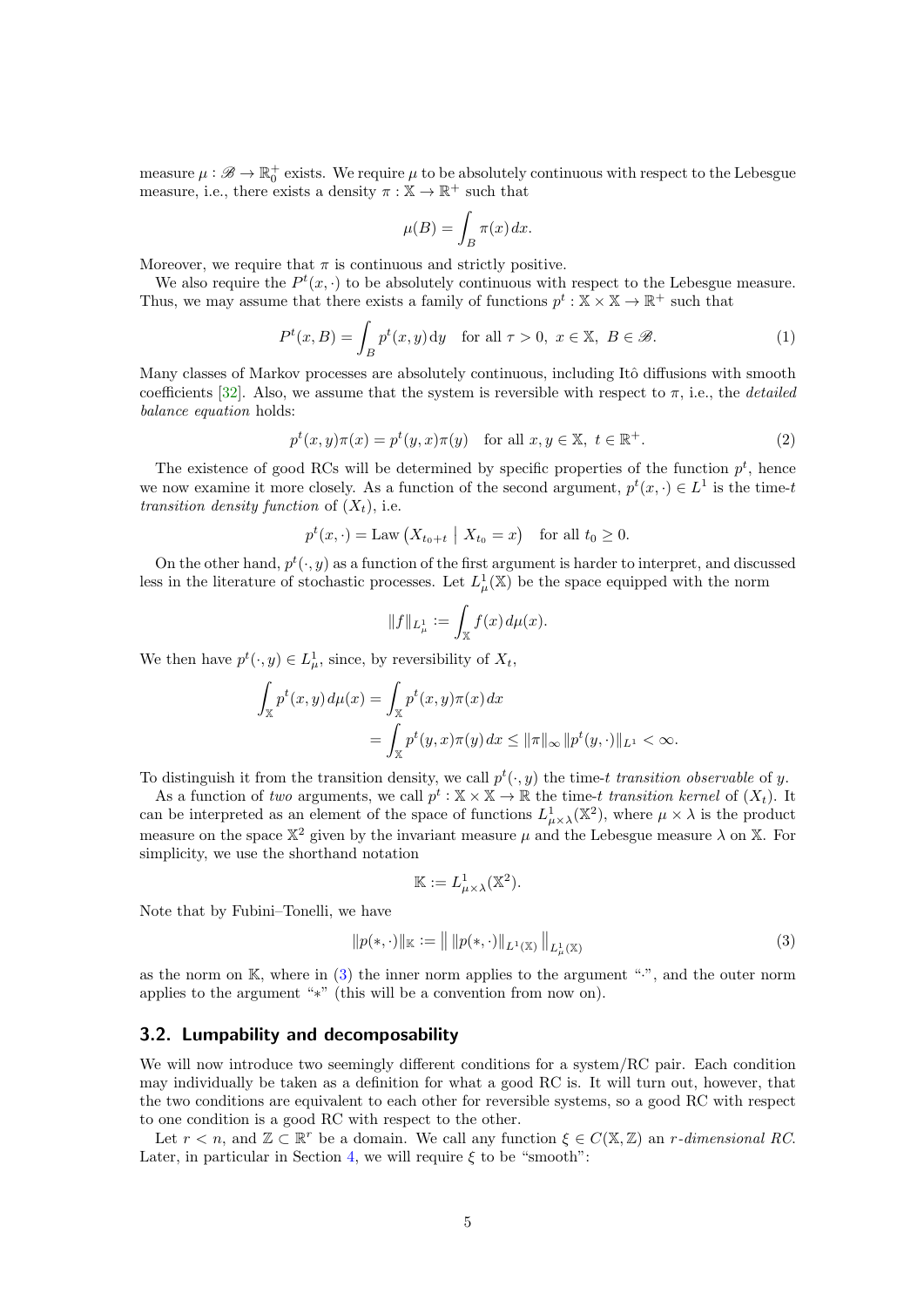measure  $\mu : \mathscr{B} \to \mathbb{R}_0^+$  exists. We require  $\mu$  to be absolutely continuous with respect to the Lebesgue measure, i.e., there exists a density  $\pi : \mathbb{X} \to \mathbb{R}^+$  such that

$$
\mu(B) = \int_B \pi(x) \, dx.
$$

Moreover, we require that  $\pi$  is continuous and strictly positive.

We also require the  $P^t(x, \cdot)$  to be absolutely continuous with respect to the Lebesgue measure. Thus, we may assume that there exists a family of functions  $p^t : \mathbb{X} \times \mathbb{X} \to \mathbb{R}^+$  such that

$$
P^{t}(x, B) = \int_{B} p^{t}(x, y) dy \quad \text{for all } \tau > 0, \ x \in \mathbb{X}, \ B \in \mathcal{B}.
$$
 (1)

Many classes of Markov processes are absolutely continuous, including Itô diffusions with smooth coefficients [\[32\]](#page-30-8). Also, we assume that the system is reversible with respect to  $\pi$ , i.e., the *detailed* balance equation holds:

<span id="page-4-1"></span>
$$
p^{t}(x, y)\pi(x) = p^{t}(y, x)\pi(y) \quad \text{for all } x, y \in \mathbb{X}, \ t \in \mathbb{R}^{+}.
$$
 (2)

The existence of good RCs will be determined by specific properties of the function  $p<sup>t</sup>$ , hence we now examine it more closely. As a function of the second argument,  $p^t(x, \cdot) \in L^1$  is the time-t transition density function of  $(X_t)$ , i.e.

$$
p^{t}(x,\cdot) = \text{Law}\left(X_{t_0+t} \mid X_{t_0} = x\right) \quad \text{for all } t_0 \ge 0.
$$

On the other hand,  $p^t(\cdot, y)$  as a function of the first argument is harder to interpret, and discussed less in the literature of stochastic processes. Let  $L^1_\mu(\mathbb{X})$  be the space equipped with the norm

$$
||f||_{L^1_\mu} := \int_{\mathbb{X}} f(x) \, d\mu(x).
$$

We then have  $p^t(\cdot, y) \in L^1_\mu$ , since, by reversibility of  $X_t$ ,

$$
\int_{\mathbb{X}} p^t(x, y) d\mu(x) = \int_{\mathbb{X}} p^t(x, y)\pi(x) dx
$$
  
= 
$$
\int_{\mathbb{X}} p^t(y, x)\pi(y) dx \le ||\pi||_{\infty} ||p^t(y, \cdot)||_{L^1} < \infty.
$$

To distinguish it from the transition density, we call  $p^t(\cdot, y)$  the time-t transition observable of y.

As a function of two arguments, we call  $p^t : \mathbb{X} \times \mathbb{X} \to \mathbb{R}$  the time-t transition kernel of  $(X_t)$ . It can be interpreted as an element of the space of functions  $L^1_{\mu\times\lambda}(\mathbb{X}^2)$ , where  $\mu\times\lambda$  is the product measure on the space  $\mathbb{X}^2$  given by the invariant measure  $\mu$  and the Lebesgue measure  $\lambda$  on  $\mathbb{X}$ . For simplicity, we use the shorthand notation

<span id="page-4-0"></span>
$$
\mathbb{K} := L^1_{\mu \times \lambda}(\mathbb{X}^2).
$$

Note that by Fubini–Tonelli, we have

$$
||p(*, \cdot)||_{\mathbb{K}} := || ||p(*, \cdot)||_{L^{1}(\mathbb{X})} ||_{L^{1}_{\mu}(\mathbb{X})}
$$
\n(3)

as the norm on  $\mathbb{K}$ , where in [\(3\)](#page-4-0) the inner norm applies to the argument ".", and the outer norm applies to the argument "∗" (this will be a convention from now on).

## 3.2. Lumpability and decomposability

We will now introduce two seemingly different conditions for a system/RC pair. Each condition may individually be taken as a definition for what a good RC is. It will turn out, however, that the two conditions are equivalent to each other for reversible systems, so a good RC with respect to one condition is a good RC with respect to the other.

Let  $r < n$ , and  $\mathbb{Z} \subset \mathbb{R}^r$  be a domain. We call any function  $\xi \in C(\mathbb{X}, \mathbb{Z})$  an r-dimensional RC. Later, in particular in Section [4,](#page-14-0) we will require  $\xi$  to be "smooth":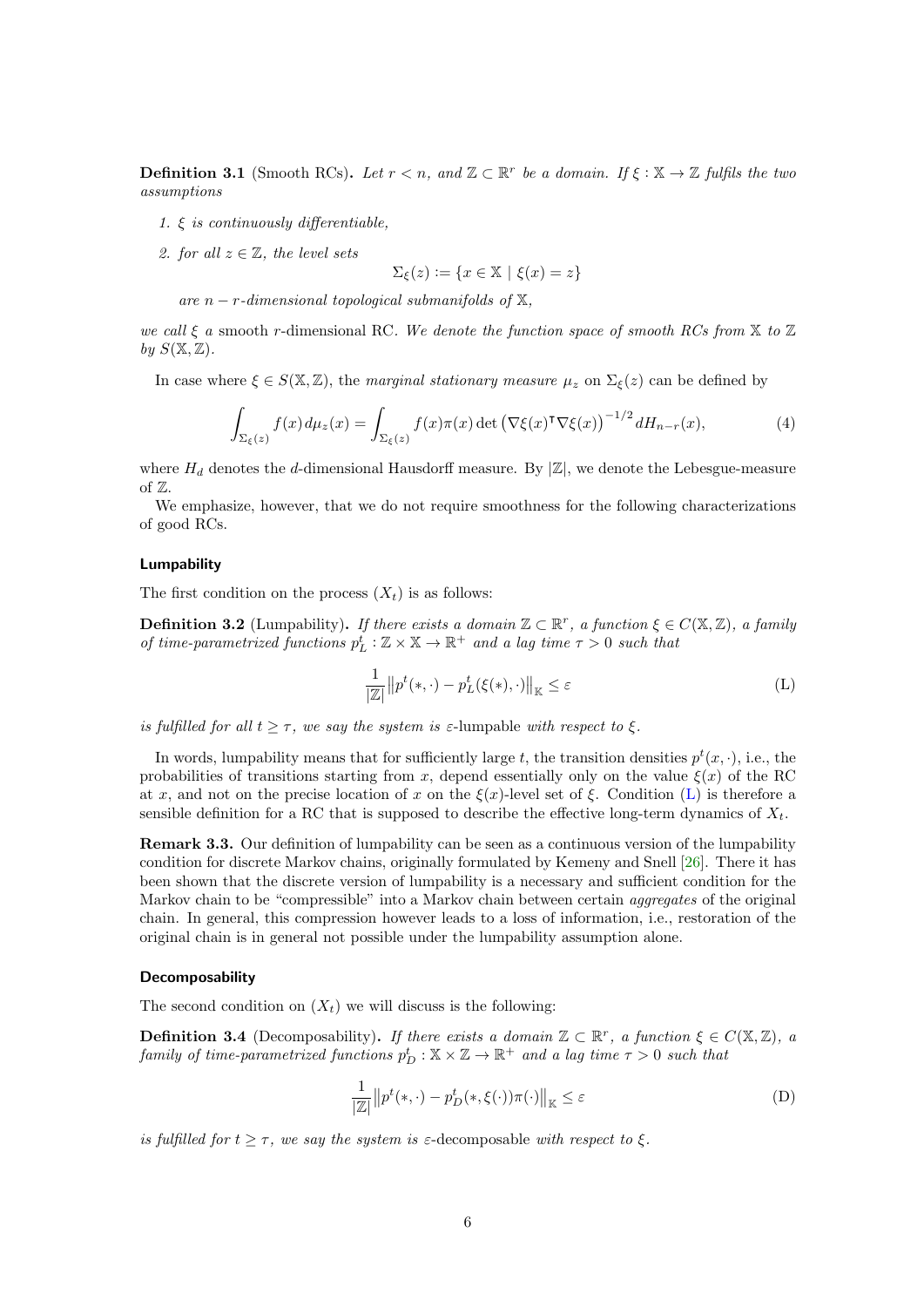<span id="page-5-3"></span>**Definition 3.1** (Smooth RCs). Let  $r < n$ , and  $\mathbb{Z} \subset \mathbb{R}^r$  be a domain. If  $\xi : \mathbb{X} \to \mathbb{Z}$  fulfils the two assumptions

- 1.  $\xi$  is continuously differentiable,
- 2. for all  $z \in \mathbb{Z}$ , the level sets

<span id="page-5-2"></span>
$$
\Sigma_{\xi}(z) := \{ x \in \mathbb{X} \mid \xi(x) = z \}
$$

are  $n-r$ -dimensional topological submanifolds of  $X$ ,

we call  $\xi$  a smooth r-dimensional RC. We denote the function space of smooth RCs from  $\mathbb X$  to  $\mathbb Z$ by  $S(\mathbb{X}, \mathbb{Z})$ .

In case where  $\xi \in S(\mathbb{X}, \mathbb{Z})$ , the marginal stationary measure  $\mu_z$  on  $\Sigma_{\xi}(z)$  can be defined by

$$
\int_{\Sigma_{\xi}(z)} f(x) d\mu_z(x) = \int_{\Sigma_{\xi}(z)} f(x) \pi(x) \det \left( \nabla \xi(x)^\intercal \nabla \xi(x) \right)^{-1/2} dH_{n-r}(x),\tag{4}
$$

where  $H_d$  denotes the d-dimensional Hausdorff measure. By  $|\mathbb{Z}|$ , we denote the Lebesgue-measure of  $\mathbb{Z}$ .

We emphasize, however, that we do not require smoothness for the following characterizations of good RCs.

#### Lumpability

The first condition on the process  $(X_t)$  is as follows:

**Definition 3.2** (Lumpability). If there exists a domain  $\mathbb{Z} \subset \mathbb{R}^r$ , a function  $\xi \in C(\mathbb{X}, \mathbb{Z})$ , a family of time-parametrized functions  $p_L^t : \mathbb{Z} \times \mathbb{X} \to \mathbb{R}^+$  and a lag time  $\tau > 0$  such that

<span id="page-5-0"></span>
$$
\frac{1}{|\mathbb{Z}|} \| p^t(*, \cdot) - p^t_L(\xi(*), \cdot) \|_{\mathbb{K}} \le \varepsilon
$$
 (L)

is fulfilled for all  $t \geq \tau$ , we say the system is  $\varepsilon$ -lumpable with respect to  $\xi$ .

In words, lumpability means that for sufficiently large t, the transition densities  $p^t(x, \cdot)$ , i.e., the probabilities of transitions starting from x, depend essentially only on the value  $\xi(x)$  of the RC at x, and not on the precise location of x on the  $\xi(x)$ -level set of  $\xi$ . Condition [\(L\)](#page-5-0) is therefore a sensible definition for a RC that is supposed to describe the effective long-term dynamics of  $X_t$ .

Remark 3.3. Our definition of lumpability can be seen as a continuous version of the lumpability condition for discrete Markov chains, originally formulated by Kemeny and Snell [\[26\]](#page-30-9). There it has been shown that the discrete version of lumpability is a necessary and sufficient condition for the Markov chain to be "compressible" into a Markov chain between certain aggregates of the original chain. In general, this compression however leads to a loss of information, i.e., restoration of the original chain is in general not possible under the lumpability assumption alone.

#### Decomposability

The second condition on  $(X_t)$  we will discuss is the following:

**Definition 3.4** (Decomposability). If there exists a domain  $\mathbb{Z} \subset \mathbb{R}^r$ , a function  $\xi \in C(\mathbb{X}, \mathbb{Z})$ , a family of time-parametrized functions  $p_D^t : \mathbb{X} \times \mathbb{Z} \to \mathbb{R}^+$  and a lag time  $\tau > 0$  such that

<span id="page-5-1"></span>
$$
\frac{1}{|\mathbb{Z}|} \| p^t(*, \cdot) - p_D^t(*, \xi(\cdot)) \pi(\cdot) \|_{\mathbb{K}} \le \varepsilon
$$
 (D)

is fulfilled for  $t \geq \tau$ , we say the system is  $\varepsilon$ -decomposable with respect to  $\xi$ .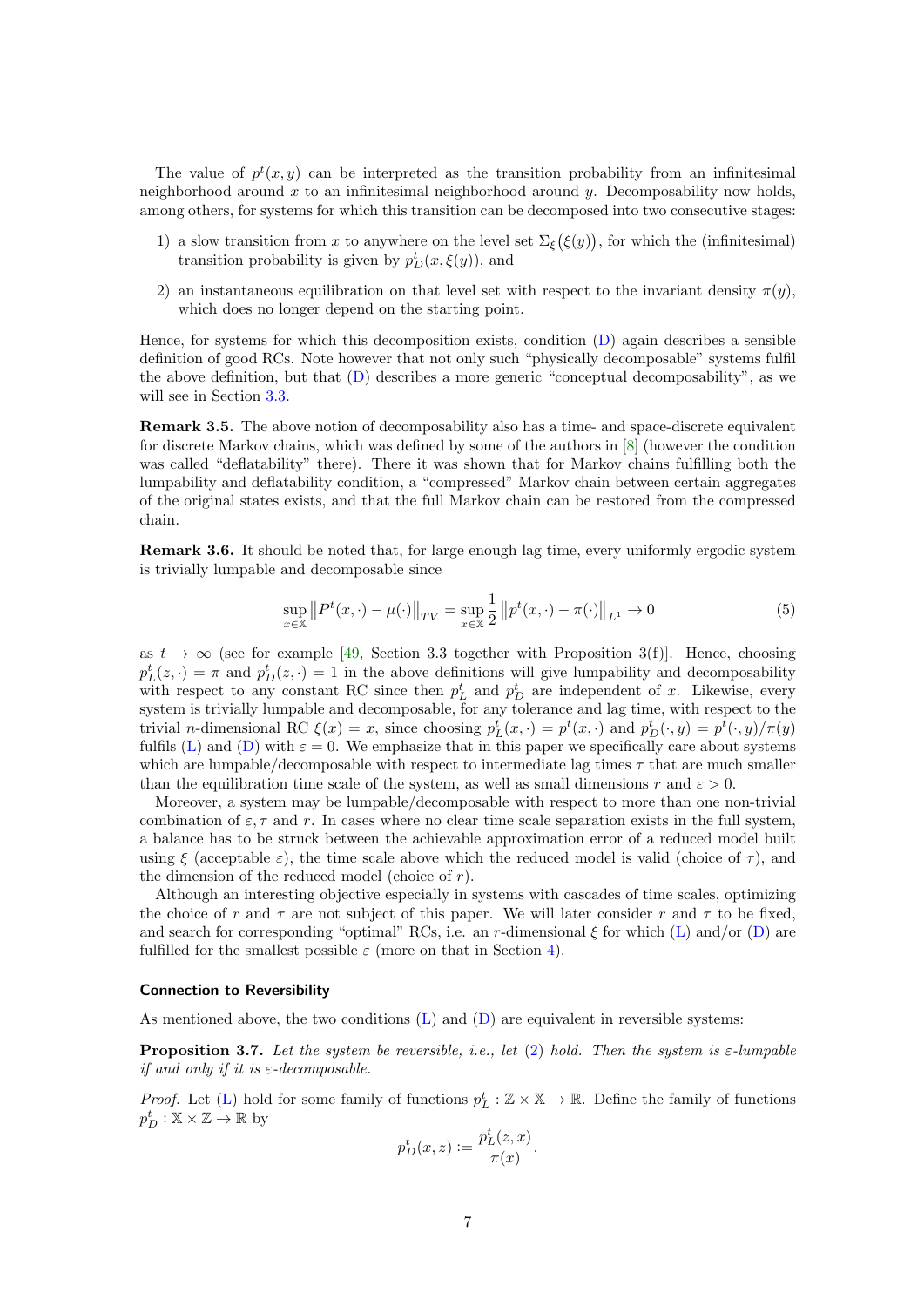The value of  $p^t(x, y)$  can be interpreted as the transition probability from an infinitesimal neighborhood around x to an infinitesimal neighborhood around  $y$ . Decomposability now holds, among others, for systems for which this transition can be decomposed into two consecutive stages:

- 1) a slow transition from x to anywhere on the level set  $\Sigma_{\xi}(\xi(y))$ , for which the (infinitesimal) transition probability is given by  $p_D^t(x,\xi(y))$ , and
- 2) an instantaneous equilibration on that level set with respect to the invariant density  $\pi(y)$ , which does no longer depend on the starting point.

Hence, for systems for which this decomposition exists, condition [\(D\)](#page-5-1) again describes a sensible definition of good RCs. Note however that not only such "physically decomposable" systems fulfil the above definition, but that [\(D\)](#page-5-1) describes a more generic "conceptual decomposability", as we will see in Section [3.3.](#page-7-0)

Remark 3.5. The above notion of decomposability also has a time- and space-discrete equivalent for discrete Markov chains, which was defined by some of the authors in [\[8\]](#page-29-9) (however the condition was called "deflatability" there). There it was shown that for Markov chains fulfilling both the lumpability and deflatability condition, a "compressed" Markov chain between certain aggregates of the original states exists, and that the full Markov chain can be restored from the compressed chain.

<span id="page-6-1"></span>Remark 3.6. It should be noted that, for large enough lag time, every uniformly ergodic system is trivially lumpable and decomposable since

$$
\sup_{x \in \mathbb{X}} \| P^t(x, \cdot) - \mu(\cdot) \|_{TV} = \sup_{x \in \mathbb{X}} \frac{1}{2} \| p^t(x, \cdot) - \pi(\cdot) \|_{L^1} \to 0
$$
\n(5)

as  $t \to \infty$  (see for example [\[49,](#page-31-11) Section 3.3 together with Proposition 3(f)]. Hence, choosing  $p_L^t(z, \cdot) = \pi$  and  $p_D^t(z, \cdot) = 1$  in the above definitions will give lumpability and decomposability with respect to any constant RC since then  $p<sub>L</sub><sup>t</sup>$  and  $p<sub>D</sub><sup>t</sup>$  are independent of x. Likewise, every system is trivially lumpable and decomposable, for any tolerance and lag time, with respect to the trivial *n*-dimensional RC  $\xi(x) = x$ , since choosing  $p_L^t(x, \cdot) = p^t(x, \cdot)$  and  $p_D^t(\cdot, y) = p^t(\cdot, y)/\pi(y)$ fulfils [\(L\)](#page-5-0) and [\(D\)](#page-5-1) with  $\varepsilon = 0$ . We emphasize that in this paper we specifically care about systems which are lumpable/decomposable with respect to intermediate lag times  $\tau$  that are much smaller than the equilibration time scale of the system, as well as small dimensions r and  $\varepsilon > 0$ .

Moreover, a system may be lumpable/decomposable with respect to more than one non-trivial combination of  $\varepsilon, \tau$  and r. In cases where no clear time scale separation exists in the full system, a balance has to be struck between the achievable approximation error of a reduced model built using  $\xi$  (acceptable  $\varepsilon$ ), the time scale above which the reduced model is valid (choice of  $\tau$ ), and the dimension of the reduced model (choice of  $r$ ).

Although an interesting objective especially in systems with cascades of time scales, optimizing the choice of r and  $\tau$  are not subject of this paper. We will later consider r and  $\tau$  to be fixed, and search for corresponding "optimal" RCs, i.e. an r-dimensional  $\xi$  for which [\(L\)](#page-5-0) and/or [\(D\)](#page-5-1) are fulfilled for the smallest possible  $\varepsilon$  (more on that in Section [4\)](#page-14-0).

#### Connection to Reversibility

As mentioned above, the two conditions  $(L)$  and  $(D)$  are equivalent in reversible systems:

<span id="page-6-0"></span>**Proposition 3.7.** Let the system be reversible, i.e., let [\(2\)](#page-4-1) hold. Then the system is  $\varepsilon$ -lumpable if and only if it is  $\varepsilon$ -decomposable.

*Proof.* Let [\(L\)](#page-5-0) hold for some family of functions  $p_L^t : \mathbb{Z} \times \mathbb{X} \to \mathbb{R}$ . Define the family of functions  $p_D^t : \mathbb{X} \times \mathbb{Z} \to \mathbb{R}$  by

$$
p_D^t(x, z) := \frac{p_L^t(z, x)}{\pi(x)}.
$$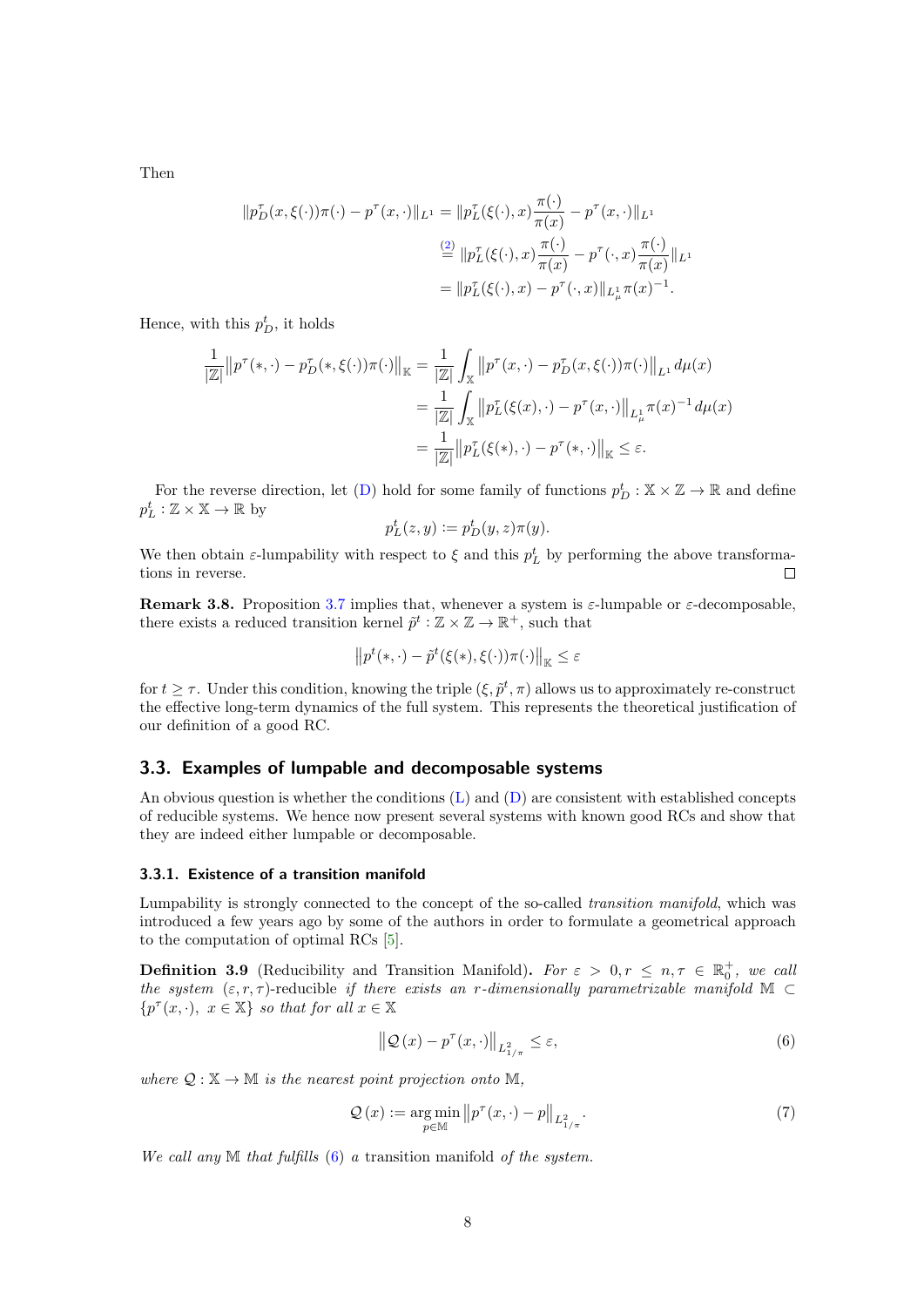Then

$$
||p_D^{\tau}(x,\xi(\cdot))\pi(\cdot) - p^{\tau}(x,\cdot)||_{L^1} = ||p_L^{\tau}(\xi(\cdot),x)\frac{\pi(\cdot)}{\pi(x)} - p^{\tau}(x,\cdot)||_{L^1}
$$
  

$$
\stackrel{(2)}{=} ||p_L^{\tau}(\xi(\cdot),x)\frac{\pi(\cdot)}{\pi(x)} - p^{\tau}(\cdot,x)\frac{\pi(\cdot)}{\pi(x)}||_{L^1}
$$
  

$$
= ||p_L^{\tau}(\xi(\cdot),x) - p^{\tau}(\cdot,x)||_{L^1_{\mu}}\pi(x)^{-1}.
$$

Hence, with this  $p_D^t$ , it holds

$$
\frac{1}{|\mathbb{Z}|} ||p^{\tau}(*,\cdot) - p_D^{\tau}(*,\xi(\cdot))\pi(\cdot)||_{\mathbb{K}} = \frac{1}{|\mathbb{Z}|} \int_{\mathbb{X}} ||p^{\tau}(x,\cdot) - p_D^{\tau}(x,\xi(\cdot))\pi(\cdot)||_{L^1} d\mu(x)
$$

$$
= \frac{1}{|\mathbb{Z}|} \int_{\mathbb{X}} ||p_L^{\tau}(\xi(x),\cdot) - p^{\tau}(x,\cdot)||_{L^1_{\mu}} \pi(x)^{-1} d\mu(x)
$$

$$
= \frac{1}{|\mathbb{Z}|} ||p_L^{\tau}(\xi(*),\cdot) - p^{\tau}(*,\cdot)||_{\mathbb{K}} \le \varepsilon.
$$

For the reverse direction, let [\(D\)](#page-5-1) hold for some family of functions  $p_D^t : \mathbb{X} \times \mathbb{Z} \to \mathbb{R}$  and define  $p_L^t : \mathbb{Z} \times \mathbb{X} \to \mathbb{R}$  by

$$
p_L^t(z, y) := p_D^t(y, z)\pi(y).
$$

We then obtain  $\varepsilon$ -lumpability with respect to  $\xi$  and this  $p_L^t$  by performing the above transformations in reverse.

**Remark 3.8.** Proposition [3.7](#page-6-0) implies that, whenever a system is  $\varepsilon$ -lumpable or  $\varepsilon$ -decomposable, there exists a reduced transition kernel  $\tilde{p}^t : \mathbb{Z} \times \mathbb{Z} \to \mathbb{R}^+$ , such that

$$
\left\|p^t(*,\cdot)-\tilde{p}^t(\xi(*),\xi(\cdot))\pi(\cdot)\right\|_{\mathbb{K}}\leq\varepsilon
$$

for  $t \geq \tau$ . Under this condition, knowing the triple  $(\xi, \tilde{p}^t, \pi)$  allows us to approximately re-construct the effective long-term dynamics of the full system. This represents the theoretical justification of our definition of a good RC.

## <span id="page-7-0"></span>3.3. Examples of lumpable and decomposable systems

An obvious question is whether the conditions [\(L\)](#page-5-0) and [\(D\)](#page-5-1) are consistent with established concepts of reducible systems. We hence now present several systems with known good RCs and show that they are indeed either lumpable or decomposable.

## 3.3.1. Existence of a transition manifold

Lumpability is strongly connected to the concept of the so-called transition manifold, which was introduced a few years ago by some of the authors in order to formulate a geometrical approach to the computation of optimal RCs [\[5\]](#page-29-0).

**Definition 3.9** (Reducibility and Transition Manifold). For  $\varepsilon > 0, r \le n, \tau \in \mathbb{R}_0^+$ , we call the system  $(\varepsilon, r, \tau)$ -reducible if there exists an r-dimensionally parametrizable manifold M ⊂  $\{p^{\tau}(x, \cdot), \ x \in \mathbb{X}\}\$  so that for all  $x \in \mathbb{X}$ 

<span id="page-7-1"></span>
$$
\left\| \mathcal{Q}\left(x\right) - p^{\tau}\left(x, \cdot\right) \right\|_{L_{1/\pi}^2} \le \varepsilon,\tag{6}
$$

where  $\mathcal{Q}: \mathbb{X} \to \mathbb{M}$  is the nearest point projection onto  $\mathbb{M}$ .

$$
\mathcal{Q}\left(x\right) := \underset{p \in \mathbb{M}}{\arg\min} \left\|p^{\tau}(x,\cdot) - p\right\|_{L_{1/\pi}^2}.\tag{7}
$$

We call any  $M$  that fulfills  $(6)$  a transition manifold of the system.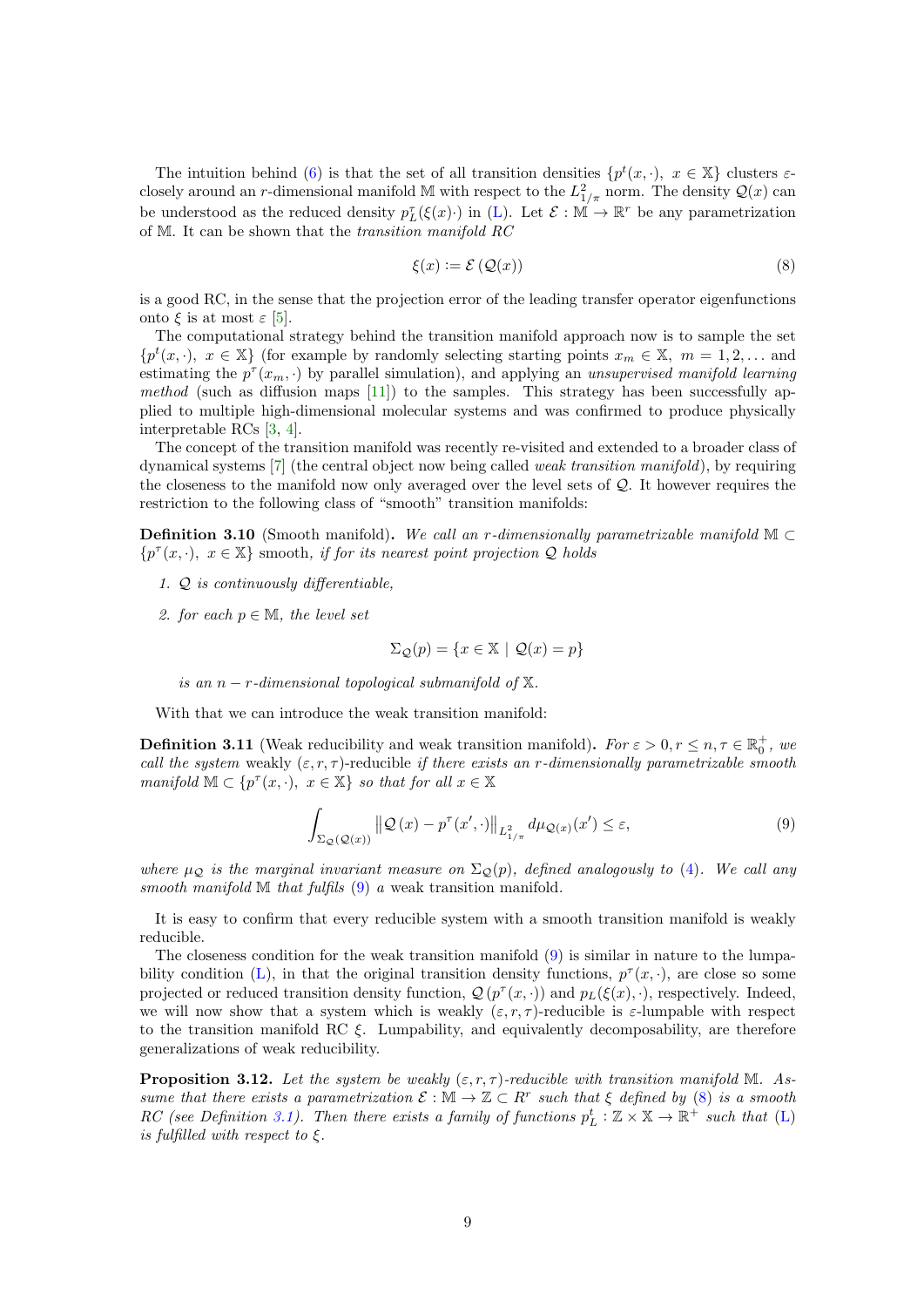The intuition behind [\(6\)](#page-7-1) is that the set of all transition densities  $\{p^t(x, \cdot), x \in \mathbb{X}\}\)$  clusters  $\varepsilon$ closely around an r-dimensional manifold M with respect to the  $L^2_{1/\pi}$  norm. The density  $\mathcal{Q}(x)$  can be understood as the reduced density  $p_L^{\tau}(\xi(x) \cdot)$  in [\(L\)](#page-5-0). Let  $\mathcal{E} : \mathbb{M} \to \mathbb{R}^r$  be any parametrization of M. It can be shown that the transition manifold RC

<span id="page-8-1"></span>
$$
\xi(x) := \mathcal{E}\left(\mathcal{Q}(x)\right) \tag{8}
$$

is a good RC, in the sense that the projection error of the leading transfer operator eigenfunctions onto ξ is at most  $ε$  [\[5\]](#page-29-0).

The computational strategy behind the transition manifold approach now is to sample the set  ${p<sup>t</sup>(x, \cdot), x \in X}$  (for example by randomly selecting starting points  $x_m \in X$ ,  $m = 1, 2, ...$  and estimating the  $p^{\tau}(x_m, \cdot)$  by parallel simulation), and applying an unsupervised manifold learning method (such as diffusion maps  $[11]$ ) to the samples. This strategy has been successfully applied to multiple high-dimensional molecular systems and was confirmed to produce physically interpretable RCs [\[3,](#page-29-1) [4\]](#page-29-7).

The concept of the transition manifold was recently re-visited and extended to a broader class of dynamical systems [\[7\]](#page-29-4) (the central object now being called weak transition manifold), by requiring the closeness to the manifold now only averaged over the level sets of Q. It however requires the restriction to the following class of "smooth" transition manifolds:

**Definition 3.10** (Smooth manifold). We call an r-dimensionally parametrizable manifold  $\mathbb{M} \subset$  $\{p^{\tau}(x, \cdot), \ x \in \mathbb{X}\}$  smooth, if for its nearest point projection Q holds

- 1. Q is continuously differentiable,
- 2. for each  $p \in \mathbb{M}$ , the level set

$$
\Sigma_{\mathcal{Q}}(p) = \{x \in \mathbb{X} \ | \ \mathcal{Q}(x) = p\}
$$

is an  $n-r$ -dimensional topological submanifold of  $X$ .

With that we can introduce the weak transition manifold:

**Definition 3.11** (Weak reducibility and weak transition manifold). For  $\varepsilon > 0, r \le n, \tau \in \mathbb{R}_0^+$ , we call the system weakly  $(\varepsilon, r, \tau)$ -reducible if there exists an r-dimensionally parametrizable smooth manifold  $\mathbb{M} \subset \{p^{\tau}(x, \cdot), \ x \in \mathbb{X}\}\$  so that for all  $x \in \mathbb{X}$ 

<span id="page-8-0"></span>
$$
\int_{\Sigma_{\mathcal{Q}}(\mathcal{Q}(x))} \left\| \mathcal{Q}(x) - p^{\tau}(x', \cdot) \right\|_{L^2_{1/\pi}} d\mu_{\mathcal{Q}(x)}(x') \le \varepsilon,
$$
\n(9)

where  $\mu_{\mathcal{Q}}$  is the marginal invariant measure on  $\Sigma_{\mathcal{Q}}(p)$ , defined analogously to [\(4\)](#page-5-2). We call any smooth manifold  $M$  that fulfils  $(9)$  a weak transition manifold.

It is easy to confirm that every reducible system with a smooth transition manifold is weakly reducible.

The closeness condition for the weak transition manifold [\(9\)](#page-8-0) is similar in nature to the lumpa-bility condition [\(L\)](#page-5-0), in that the original transition density functions,  $p^{\tau}(x, \cdot)$ , are close so some projected or reduced transition density function,  $\mathcal{Q}(p^{\tau}(x, \cdot))$  and  $p_L(\xi(x), \cdot)$ , respectively. Indeed, we will now show that a system which is weakly  $(\varepsilon, r, \tau)$ -reducible is  $\varepsilon$ -lumpable with respect to the transition manifold RC  $\xi$ . Lumpability, and equivalently decomposability, are therefore generalizations of weak reducibility.

**Proposition 3.12.** Let the system be weakly  $(\varepsilon, r, \tau)$ -reducible with transition manifold M. Assume that there exists a parametrization  $\mathcal{E}: \mathbb{M} \to \mathbb{Z} \subset R^r$  such that  $\xi$  defined by [\(8\)](#page-8-1) is a smooth RC (see Definition [3.1\)](#page-5-3). Then there exists a family of functions  $p_L^t : \mathbb{Z} \times \mathbb{X} \to \mathbb{R}^+$  such that [\(L\)](#page-5-0) is fulfilled with respect to  $\xi$ .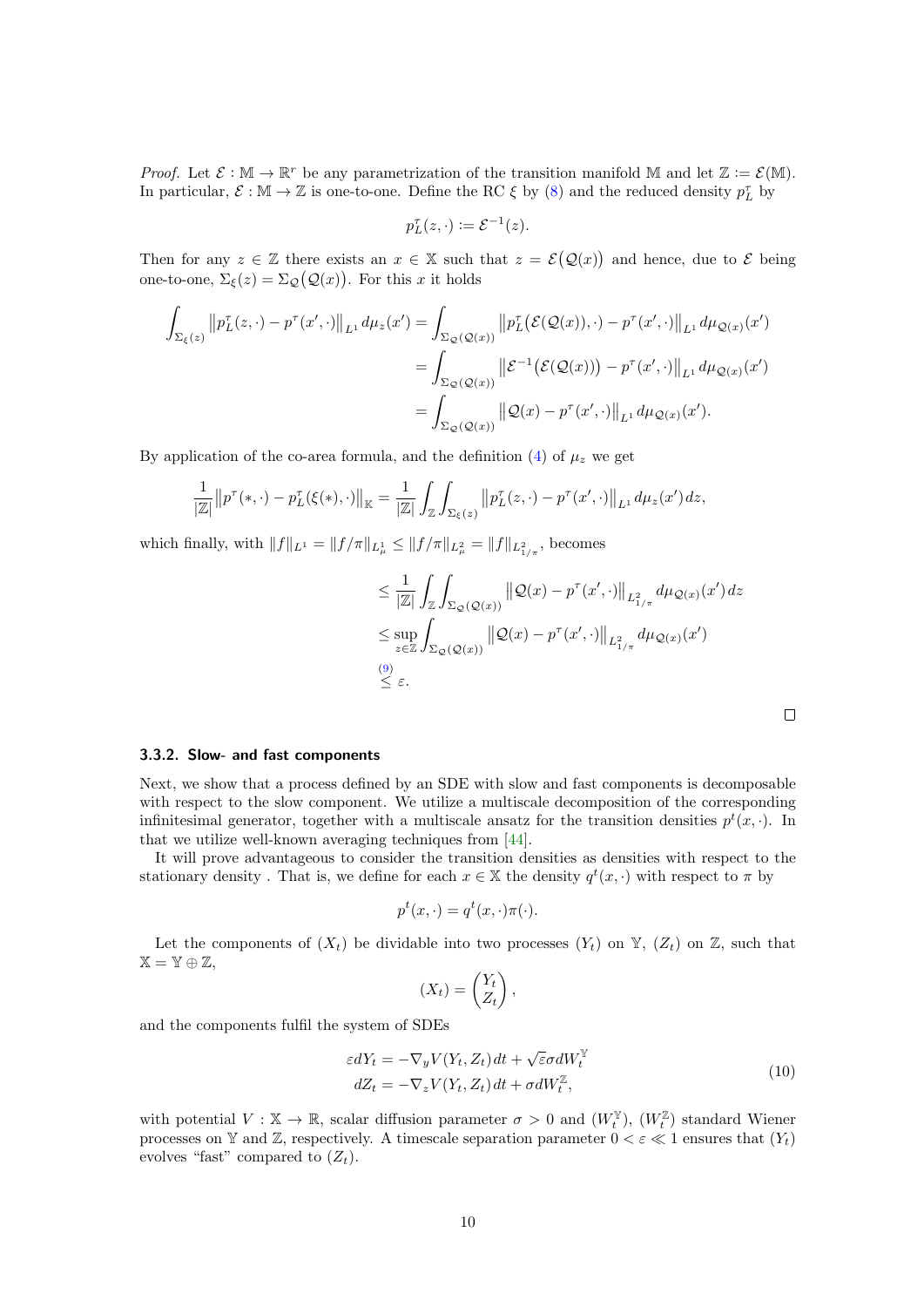*Proof.* Let  $\mathcal{E} : \mathbb{M} \to \mathbb{R}^r$  be any parametrization of the transition manifold  $\mathbb{M}$  and let  $\mathbb{Z} := \mathcal{E}(\mathbb{M})$ . In particular,  $\mathcal{E}: \mathbb{M} \to \mathbb{Z}$  is one-to-one. Define the RC  $\xi$  by [\(8\)](#page-8-1) and the reduced density  $p_L^{\tau}$  by

$$
p_L^{\tau}(z,\cdot) := \mathcal{E}^{-1}(z).
$$

Then for any  $z \in \mathbb{Z}$  there exists an  $x \in \mathbb{X}$  such that  $z = \mathcal{E}(\mathcal{Q}(x))$  and hence, due to  $\mathcal{E}$  being one-to-one,  $\Sigma_{\xi}(z) = \Sigma_{\mathcal{Q}}(\mathcal{Q}(x))$ . For this x it holds

$$
\int_{\Sigma_{\xi}(z)} ||p_{L}^{\tau}(z,\cdot)-p^{\tau}(x',\cdot)||_{L^{1}} d\mu_{z}(x') = \int_{\Sigma_{\mathcal{Q}}(\mathcal{Q}(x))} ||p_{L}^{\tau}(\mathcal{E}(\mathcal{Q}(x)),\cdot)-p^{\tau}(x',\cdot)||_{L^{1}} d\mu_{\mathcal{Q}(x)}(x')
$$
  
\n
$$
= \int_{\Sigma_{\mathcal{Q}}(\mathcal{Q}(x))} ||\mathcal{E}^{-1}(\mathcal{E}(\mathcal{Q}(x))) - p^{\tau}(x',\cdot)||_{L^{1}} d\mu_{\mathcal{Q}(x)}(x')
$$
  
\n
$$
= \int_{\Sigma_{\mathcal{Q}}(\mathcal{Q}(x))} ||\mathcal{Q}(x) - p^{\tau}(x',\cdot)||_{L^{1}} d\mu_{\mathcal{Q}(x)}(x').
$$

By application of the co-area formula, and the definition [\(4\)](#page-5-2) of  $\mu_z$  we get

$$
\frac{1}{|\mathbb{Z}|} ||p^{\tau}(*,\cdot)-p_L^{\tau}(\xi(*),\cdot)||_{\mathbb{K}} = \frac{1}{|\mathbb{Z}|} \int_{\mathbb{Z}} \int_{\Sigma_{\xi}(z)} ||p_L^{\tau}(z,\cdot)-p^{\tau}(x',\cdot)||_{L^1} d\mu_z(x') dz,
$$

which finally, with  $||f||_{L^1} = ||f/\pi||_{L^1_\mu} \le ||f/\pi||_{L^2_\mu} = ||f||_{L^2_{1/\pi}}$ , becomes

$$
\leq \frac{1}{|\mathbb{Z}|} \int_{\mathbb{Z}} \int_{\Sigma_{\mathbb{Q}}(\mathbb{Q}(x))} ||\mathbb{Q}(x) - p^{\tau}(x', \cdot)||_{L^2_{1/\pi}} d\mu_{\mathbb{Q}(x)}(x') dz
$$
  
\n
$$
\leq \sup_{z \in \mathbb{Z}} \int_{\Sigma_{\mathbb{Q}}(\mathbb{Q}(x))} ||\mathbb{Q}(x) - p^{\tau}(x', \cdot)||_{L^2_{1/\pi}} d\mu_{\mathbb{Q}(x)}(x')
$$
  
\n(9)  
\n(9)  
\n
$$
\leq \varepsilon.
$$

## <span id="page-9-0"></span>3.3.2. Slow- and fast components

Next, we show that a process defined by an SDE with slow and fast components is decomposable with respect to the slow component. We utilize a multiscale decomposition of the corresponding infinitesimal generator, together with a multiscale ansatz for the transition densities  $p^t(x, \cdot)$ . In that we utilize well-known averaging techniques from [\[44\]](#page-31-1).

It will prove advantageous to consider the transition densities as densities with respect to the stationary density. That is, we define for each  $x \in \mathbb{X}$  the density  $q^t(x, \cdot)$  with respect to  $\pi$  by

$$
p^t(x,\cdot) = q^t(x,\cdot)\pi(\cdot).
$$

Let the components of  $(X_t)$  be dividable into two processes  $(Y_t)$  on  $Y$ ,  $(Z_t)$  on  $Z$ , such that  $X = Y \oplus Z$ ,

$$
(X_t) = \begin{pmatrix} Y_t \\ Z_t \end{pmatrix},
$$

and the components fulfil the system of SDEs

$$
\varepsilon dY_t = -\nabla_y V(Y_t, Z_t) dt + \sqrt{\varepsilon} \sigma dW_t^{\mathbb{Y}}
$$
  
\n
$$
dZ_t = -\nabla_z V(Y_t, Z_t) dt + \sigma dW_t^{\mathbb{Z}},
$$
\n(10)

with potential  $V: \mathbb{X} \to \mathbb{R}$ , scalar diffusion parameter  $\sigma > 0$  and  $(W_t^{\mathbb{Y}})$ ,  $(W_t^{\mathbb{Z}})$  standard Wiener processes on Y and Z, respectively. A timescale separation parameter  $0 < \varepsilon \ll 1$  ensures that  $(Y_t)$ evolves "fast" compared to  $(Z_t)$ .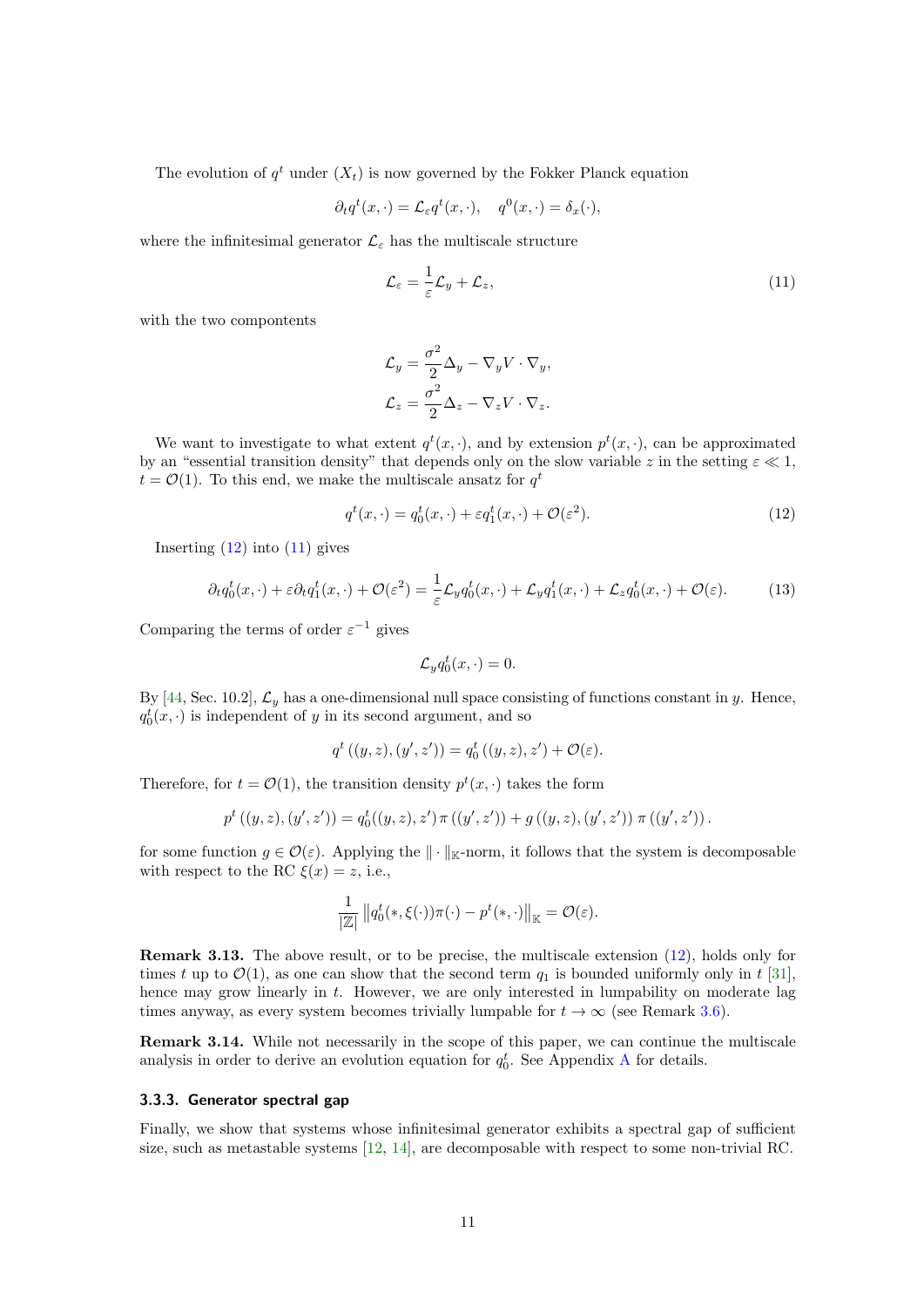The evolution of  $q^t$  under  $(X_t)$  is now governed by the Fokker Planck equation

$$
\partial_t q^t(x,\cdot) = \mathcal{L}_{\varepsilon} q^t(x,\cdot), \quad q^0(x,\cdot) = \delta_x(\cdot),
$$

where the infinitesimal generator  $\mathcal{L}_{\varepsilon}$  has the multiscale structure

<span id="page-10-1"></span>
$$
\mathcal{L}_{\varepsilon} = \frac{1}{\varepsilon} \mathcal{L}_y + \mathcal{L}_z, \tag{11}
$$

with the two compontents

$$
\mathcal{L}_y = \frac{\sigma^2}{2} \Delta_y - \nabla_y V \cdot \nabla_y,
$$
  

$$
\mathcal{L}_z = \frac{\sigma^2}{2} \Delta_z - \nabla_z V \cdot \nabla_z.
$$

We want to investigate to what extent  $q^t(x, \cdot)$ , and by extension  $p^t(x, \cdot)$ , can be approximated by an "essential transition density" that depends only on the slow variable z in the setting  $\varepsilon \ll 1$ ,  $t = \mathcal{O}(1)$ . To this end, we make the multiscale ansatz for  $q^t$ 

<span id="page-10-0"></span>
$$
q^{t}(x,\cdot) = q_{0}^{t}(x,\cdot) + \varepsilon q_{1}^{t}(x,\cdot) + \mathcal{O}(\varepsilon^{2}).
$$
\n(12)

Inserting  $(12)$  into  $(11)$  gives

<span id="page-10-2"></span>
$$
\partial_t q_0^t(x,\cdot) + \varepsilon \partial_t q_1^t(x,\cdot) + \mathcal{O}(\varepsilon^2) = \frac{1}{\varepsilon} \mathcal{L}_y q_0^t(x,\cdot) + \mathcal{L}_y q_1^t(x,\cdot) + \mathcal{L}_z q_0^t(x,\cdot) + \mathcal{O}(\varepsilon). \tag{13}
$$

Comparing the terms of order  $\varepsilon^{-1}$  gives

$$
\mathcal{L}_y q_0^t(x,\cdot) = 0.
$$

By [\[44,](#page-31-1) Sec. 10.2],  $\mathcal{L}_y$  has a one-dimensional null space consisting of functions constant in y. Hence,  $q_0^t(x, \cdot)$  is independent of y in its second argument, and so

$$
q^{t} ((y, z), (y', z')) = q_{0}^{t} ((y, z), z') + \mathcal{O}(\varepsilon).
$$

Therefore, for  $t = \mathcal{O}(1)$ , the transition density  $p^t(x, \cdot)$  takes the form

$$
p^{t}((y, z), (y', z')) = q_{0}^{t}((y, z), z') \pi((y', z')) + g((y, z), (y', z')) \pi((y', z')).
$$

for some function  $g \in \mathcal{O}(\varepsilon)$ . Applying the  $\|\cdot\|_{\mathbb{K}}$ -norm, it follows that the system is decomposable with respect to the RC  $\xi(x) = z$ , i.e.,

$$
\frac{1}{|\mathbb{Z}|}\left\|q_0^t(*,\xi(\cdot))\pi(\cdot)-p^t(*,\cdot)\right\|_{\mathbb{K}}=\mathcal{O}(\varepsilon).
$$

Remark 3.13. The above result, or to be precise, the multiscale extension [\(12\)](#page-10-0), holds only for times t up to  $\mathcal{O}(1)$ , as one can show that the second term  $q_1$  is bounded uniformly only in t [\[31\]](#page-30-10), hence may grow linearly in t. However, we are only interested in lumpability on moderate lag times anyway, as every system becomes trivially lumpable for  $t \to \infty$  (see Remark [3.6\)](#page-6-1).

Remark 3.14. While not necessarily in the scope of this paper, we can continue the multiscale analysis in order to derive an evolution equation for  $q_0^t$ . See [A](#page-32-5)ppendix A for details.

## 3.3.3. Generator spectral gap

Finally, we show that systems whose infinitesimal generator exhibits a spectral gap of sufficient size, such as metastable systems [\[12,](#page-29-5) [14\]](#page-29-12), are decomposable with respect to some non-trivial RC.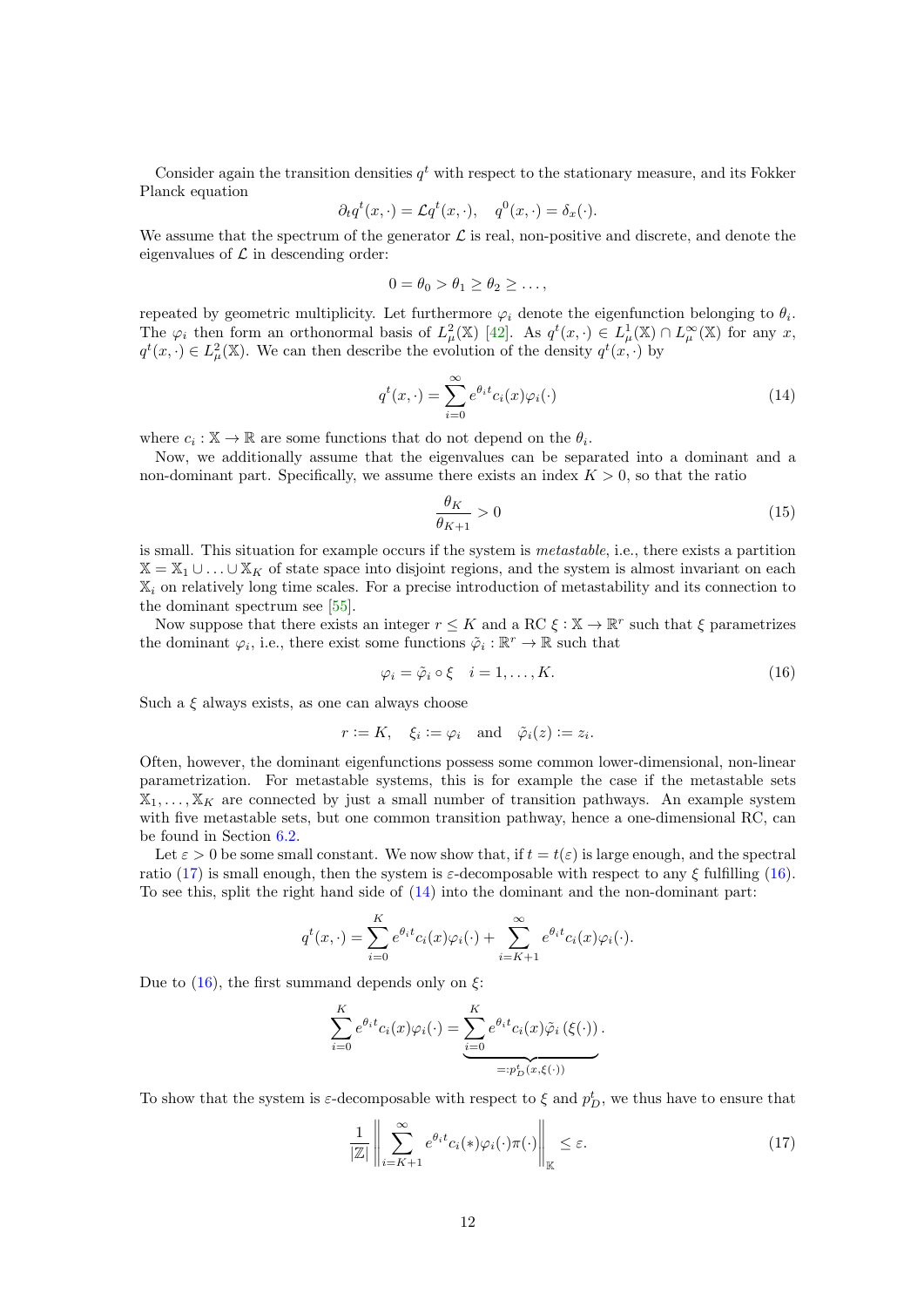Consider again the transition densities  $q<sup>t</sup>$  with respect to the stationary measure, and its Fokker Planck equation

$$
\partial_t q^t(x,\cdot) = \mathcal{L} q^t(x,\cdot), \quad q^0(x,\cdot) = \delta_x(\cdot).
$$

We assume that the spectrum of the generator  $\mathcal L$  is real, non-positive and discrete, and denote the eigenvalues of  $\mathcal L$  in descending order:

$$
0 = \theta_0 > \theta_1 \ge \theta_2 \ge \dots,
$$

repeated by geometric multiplicity. Let furthermore  $\varphi_i$  denote the eigenfunction belonging to  $\theta_i$ . The  $\varphi_i$  then form an orthonormal basis of  $L^2_\mu(\mathbb{X})$  [\[42\]](#page-31-12). As  $q^t(x, \cdot) \in L^1_\mu(\mathbb{X}) \cap L^\infty_\mu(\mathbb{X})$  for any x,  $q^t(x, \cdot) \in L^2_{\mu}(\mathbb{X})$ . We can then describe the evolution of the density  $q^t(x, \cdot)$  by

<span id="page-11-2"></span>
$$
q^{t}(x,\cdot) = \sum_{i=0}^{\infty} e^{\theta_{i}t} c_{i}(x)\varphi_{i}(\cdot)
$$
\n(14)

where  $c_i : \mathbb{X} \to \mathbb{R}$  are some functions that do not depend on the  $\theta_i$ .

Now, we additionally assume that the eigenvalues can be separated into a dominant and a non-dominant part. Specifically, we assume there exists an index  $K > 0$ , so that the ratio

$$
\frac{\theta_K}{\theta_{K+1}} > 0 \tag{15}
$$

is small. This situation for example occurs if the system is metastable, i.e., there exists a partition  $\mathbb{X} = \mathbb{X}_1 \cup \ldots \cup \mathbb{X}_K$  of state space into disjoint regions, and the system is almost invariant on each X<sup>i</sup> on relatively long time scales. For a precise introduction of metastability and its connection to the dominant spectrum see [\[55\]](#page-31-2).

Now suppose that there exists an integer  $r \leq K$  and a RC  $\xi : \mathbb{X} \to \mathbb{R}^r$  such that  $\xi$  parametrizes the dominant  $\varphi_i$ , i.e., there exist some functions  $\tilde{\varphi}_i : \mathbb{R}^r \to \mathbb{R}$  such that

<span id="page-11-1"></span>
$$
\varphi_i = \tilde{\varphi}_i \circ \xi \quad i = 1, \dots, K. \tag{16}
$$

Such a  $\xi$  always exists, as one can always choose

$$
r := K
$$
,  $\xi_i := \varphi_i$  and  $\tilde{\varphi}_i(z) := z_i$ .

Often, however, the dominant eigenfunctions possess some common lower-dimensional, non-linear parametrization. For metastable systems, this is for example the case if the metastable sets  $X_1, \ldots, X_K$  are connected by just a small number of transition pathways. An example system with five metastable sets, but one common transition pathway, hence a one-dimensional RC, can be found in Section [6.2.](#page-25-0)

Let  $\varepsilon > 0$  be some small constant. We now show that, if  $t = t(\varepsilon)$  is large enough, and the spectral ratio [\(17\)](#page-11-0) is small enough, then the system is  $\varepsilon$ -decomposable with respect to any  $\xi$  fulfilling [\(16\)](#page-11-1). To see this, split the right hand side of [\(14\)](#page-11-2) into the dominant and the non-dominant part:

$$
q^{t}(x,\cdot) = \sum_{i=0}^{K} e^{\theta_{i}t} c_{i}(x)\varphi_{i}(\cdot) + \sum_{i=K+1}^{\infty} e^{\theta_{i}t} c_{i}(x)\varphi_{i}(\cdot).
$$

Due to  $(16)$ , the first summand depends only on  $\xi$ :

$$
\sum_{i=0}^{K} e^{\theta_i t} c_i(x) \varphi_i(\cdot) = \underbrace{\sum_{i=0}^{K} e^{\theta_i t} c_i(x) \tilde{\varphi}_i (\xi(\cdot))}_{=:p_D^t(x, \xi(\cdot))}.
$$

To show that the system is  $\varepsilon$ -decomposable with respect to  $\xi$  and  $p_D^t$ , we thus have to ensure that

<span id="page-11-0"></span>
$$
\frac{1}{|\mathbb{Z}|} \left\| \sum_{i=K+1}^{\infty} e^{\theta_i t} c_i(*) \varphi_i(\cdot) \pi(\cdot) \right\|_{\mathbb{K}} \le \varepsilon.
$$
 (17)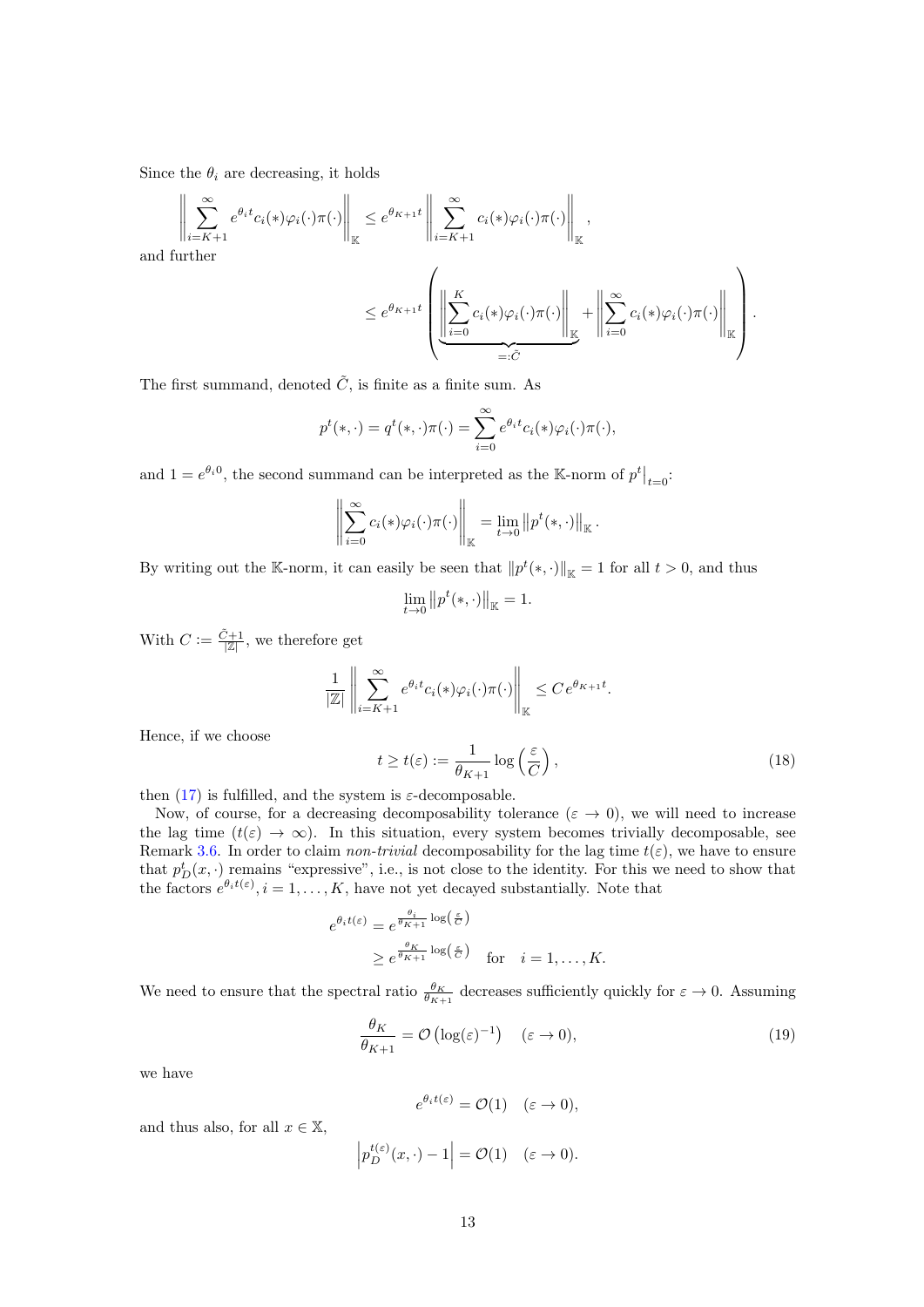Since the  $\theta_i$  are decreasing, it holds

 $\parallel$  $\mathbb{I}$  $\mathbb{I}$  $\mathbb{I}$  $\frac{1}{2}$ 

$$
\left\| \sum_{i=K+1}^{\infty} e^{\theta_i t} c_i(*) \varphi_i(\cdot) \pi(\cdot) \right\|_{\mathbb{K}} \leq e^{\theta_{K+1} t} \left\| \sum_{i=K+1}^{\infty} c_i(*) \varphi_i(\cdot) \pi(\cdot) \right\|_{\mathbb{K}},
$$
  
and further  

$$
\leq e^{\theta_{K+1} t} \left( \underbrace{\left\| \sum_{i=0}^{K} c_i(*) \varphi_i(\cdot) \pi(\cdot) \right\|_{\mathbb{K}}}_{=: \tilde{C}} + \left\| \sum_{i=0}^{\infty} c_i(*) \varphi_i(\cdot) \pi(\cdot) \right\|_{\mathbb{K}} \right).
$$

The first summand, denoted  $\tilde{C}$ , is finite as a finite sum. As

$$
p^t(*, \cdot) = q^t(*, \cdot) \pi(\cdot) = \sum_{i=0}^{\infty} e^{\theta_i t} c_i(*) \varphi_i(\cdot) \pi(\cdot),
$$

and  $1 = e^{\theta_i 0}$ , the second summand can be interpreted as the K-norm of  $p^t \big|_{t=0}$ :

$$
\left\|\sum_{i=0}^{\infty}c_i(\ast)\varphi_i(\cdot)\pi(\cdot)\right\|_{\mathbb{K}}=\lim_{t\to 0}\left\|p^t(\ast,\cdot)\right\|_{\mathbb{K}}.
$$

By writing out the K-norm, it can easily be seen that  $||p^t(*, \cdot)||_{\mathbb{K}} = 1$  for all  $t > 0$ , and thus

$$
\lim_{t \to 0} ||p^t(*, \cdot)||_{\mathbb{K}} = 1.
$$

With  $C := \frac{\tilde{C}+1}{|\mathbb{Z}|}$ , we therefore get

$$
\frac{1}{|\mathbb{Z}|} \left\| \sum_{i=K+1}^{\infty} e^{\theta_i t} c_i(*) \varphi_i(\cdot) \pi(\cdot) \right\|_{\mathbb{K}} \leq C e^{\theta_{K+1} t}.
$$

Hence, if we choose

<span id="page-12-1"></span>
$$
t \ge t(\varepsilon) := \frac{1}{\theta_{K+1}} \log \left( \frac{\varepsilon}{C} \right),\tag{18}
$$

then  $(17)$  is fulfilled, and the system is  $\varepsilon$ -decomposable.

Now, of course, for a decreasing decomposability tolerance ( $\varepsilon \to 0$ ), we will need to increase the lag time  $(t(\varepsilon) \to \infty)$ . In this situation, every system becomes trivially decomposable, see Remark [3.6.](#page-6-1) In order to claim non-trivial decomposability for the lag time  $t(\varepsilon)$ , we have to ensure that  $p_D^t(x, \cdot)$  remains "expressive", i.e., is not close to the identity. For this we need to show that the factors  $e^{\theta_i t(\varepsilon)}, i = 1, \ldots, K$ , have not yet decayed substantially. Note that

$$
e^{\theta_i t(\varepsilon)} = e^{\frac{\theta_i}{\theta_{K+1}} \log\left(\frac{\varepsilon}{C}\right)}
$$
  
 
$$
\geq e^{\frac{\theta_K}{\theta_{K+1}} \log\left(\frac{\varepsilon}{C}\right)} \quad \text{for} \quad i = 1, \dots, K.
$$

We need to ensure that the spectral ratio  $\frac{\theta_K}{\theta_{K+1}}$  decreases sufficiently quickly for  $\varepsilon \to 0$ . Assuming

<span id="page-12-0"></span>
$$
\frac{\theta_K}{\theta_{K+1}} = \mathcal{O}\left(\log(\varepsilon)^{-1}\right) \quad (\varepsilon \to 0),\tag{19}
$$

we have

$$
e^{\theta_i t(\varepsilon)} = \mathcal{O}(1) \quad (\varepsilon \to 0),
$$

and thus also, for all  $x \in \mathbb{X}$ ,

$$
\left| p_D^{t(\varepsilon)}(x,\cdot) - 1 \right| = \mathcal{O}(1) \quad (\varepsilon \to 0).
$$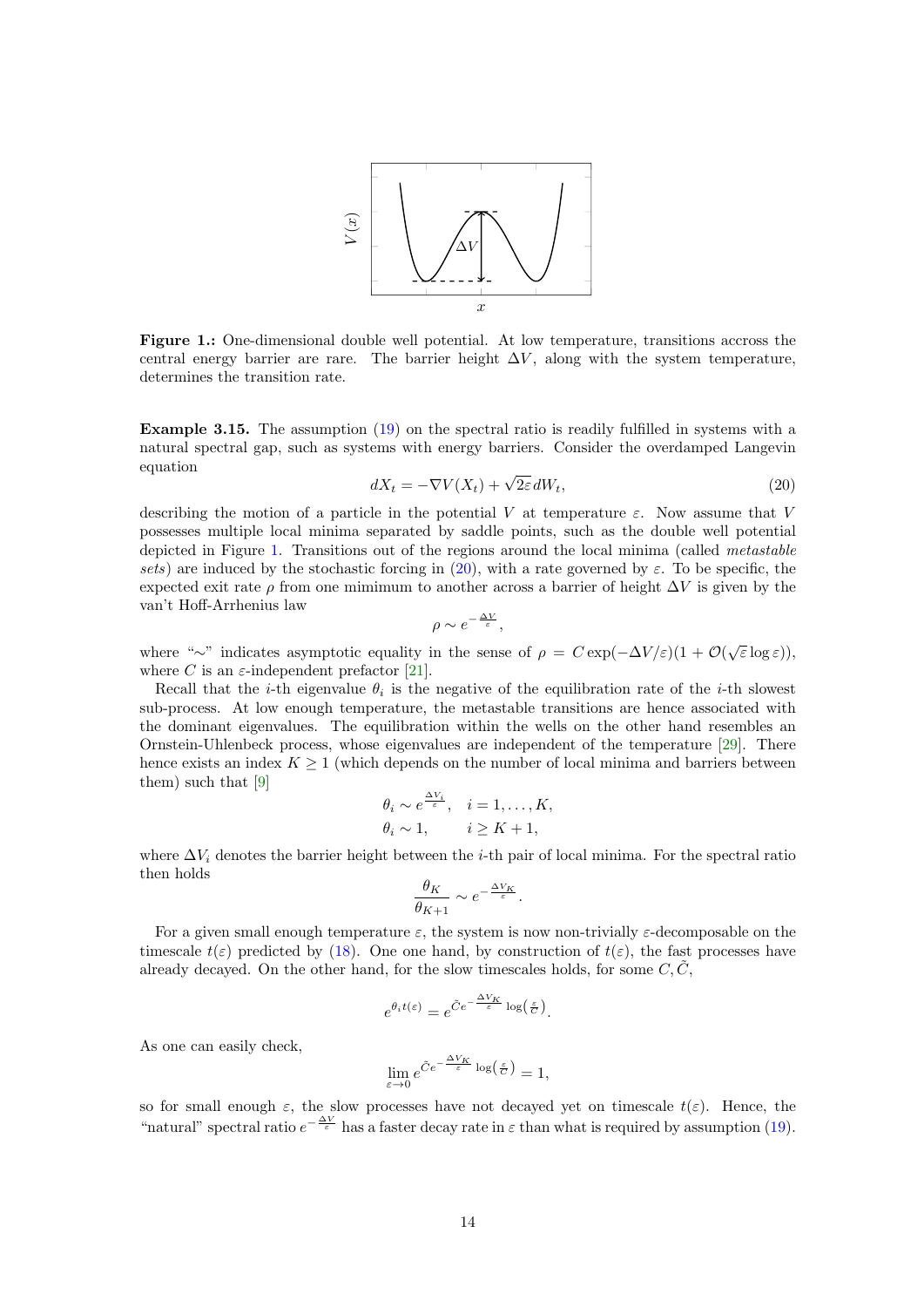

<span id="page-13-0"></span>Figure 1.: One-dimensional double well potential. At low temperature, transitions accross the central energy barrier are rare. The barrier height  $\Delta V$ , along with the system temperature, determines the transition rate.

Example 3.15. The assumption [\(19\)](#page-12-0) on the spectral ratio is readily fulfilled in systems with a natural spectral gap, such as systems with energy barriers. Consider the overdamped Langevin equation

<span id="page-13-1"></span>
$$
dX_t = -\nabla V(X_t) + \sqrt{2\varepsilon} \, dW_t,\tag{20}
$$

describing the motion of a particle in the potential V at temperature  $\varepsilon$ . Now assume that V possesses multiple local minima separated by saddle points, such as the double well potential depicted in Figure [1.](#page-13-0) Transitions out of the regions around the local minima (called metastable sets) are induced by the stochastic forcing in [\(20\)](#page-13-1), with a rate governed by  $\varepsilon$ . To be specific, the expected exit rate  $\rho$  from one mimimum to another across a barrier of height  $\Delta V$  is given by the van't Hoff-Arrhenius law

$$
\rho \sim e^{-\frac{\Delta V}{\varepsilon}},
$$

where "∼" indicates asymptotic equality in the sense of  $\rho = C \exp(-\Delta V/\varepsilon)(1 + \mathcal{O}(\sqrt{\varepsilon} \log \varepsilon))$ , where C is an  $\varepsilon$ -independent prefactor [\[21\]](#page-30-11).

Recall that the *i*-th eigenvalue  $\theta_i$  is the negative of the equilibration rate of the *i*-th slowest sub-process. At low enough temperature, the metastable transitions are hence associated with the dominant eigenvalues. The equilibration within the wells on the other hand resembles an Ornstein-Uhlenbeck process, whose eigenvalues are independent of the temperature [\[29\]](#page-30-12). There hence exists an index  $K \geq 1$  (which depends on the number of local minima and barriers between them) such that [\[9\]](#page-29-13)  $\lambda$ 

$$
\theta_i \sim e^{\frac{\Delta V_i}{\varepsilon}}, \quad i = 1, \dots, K, \n\theta_i \sim 1, \qquad i \ge K + 1,
$$

where  $\Delta V_i$  denotes the barrier height between the *i*-th pair of local minima. For the spectral ratio then holds

$$
\frac{\theta_K}{\theta_{K+1}} \sim e^{-\frac{\Delta V_K}{\varepsilon}}.
$$

For a given small enough temperature  $\varepsilon$ , the system is now non-trivially  $\varepsilon$ -decomposable on the timescale  $t(\varepsilon)$  predicted by [\(18\)](#page-12-1). One one hand, by construction of  $t(\varepsilon)$ , the fast processes have already decayed. On the other hand, for the slow timescales holds, for some  $C, C$ ,

$$
e^{\theta_i t(\varepsilon)} = e^{\tilde{C}e^{-\frac{\Delta V_K}{\varepsilon}} \log\left(\frac{\varepsilon}{C}\right)}.
$$

As one can easily check,

$$
\lim_{\varepsilon \to 0} e^{\tilde{C}e^{-\frac{\Delta V_K}{\varepsilon}} \log\left(\frac{\varepsilon}{C}\right)} = 1,
$$

so for small enough  $\varepsilon$ , the slow processes have not decayed yet on timescale  $t(\varepsilon)$ . Hence, the "natural" spectral ratio  $e^{-\frac{\Delta V}{\varepsilon}}$  has a faster decay rate in  $\varepsilon$  than what is required by assumption [\(19\)](#page-12-0).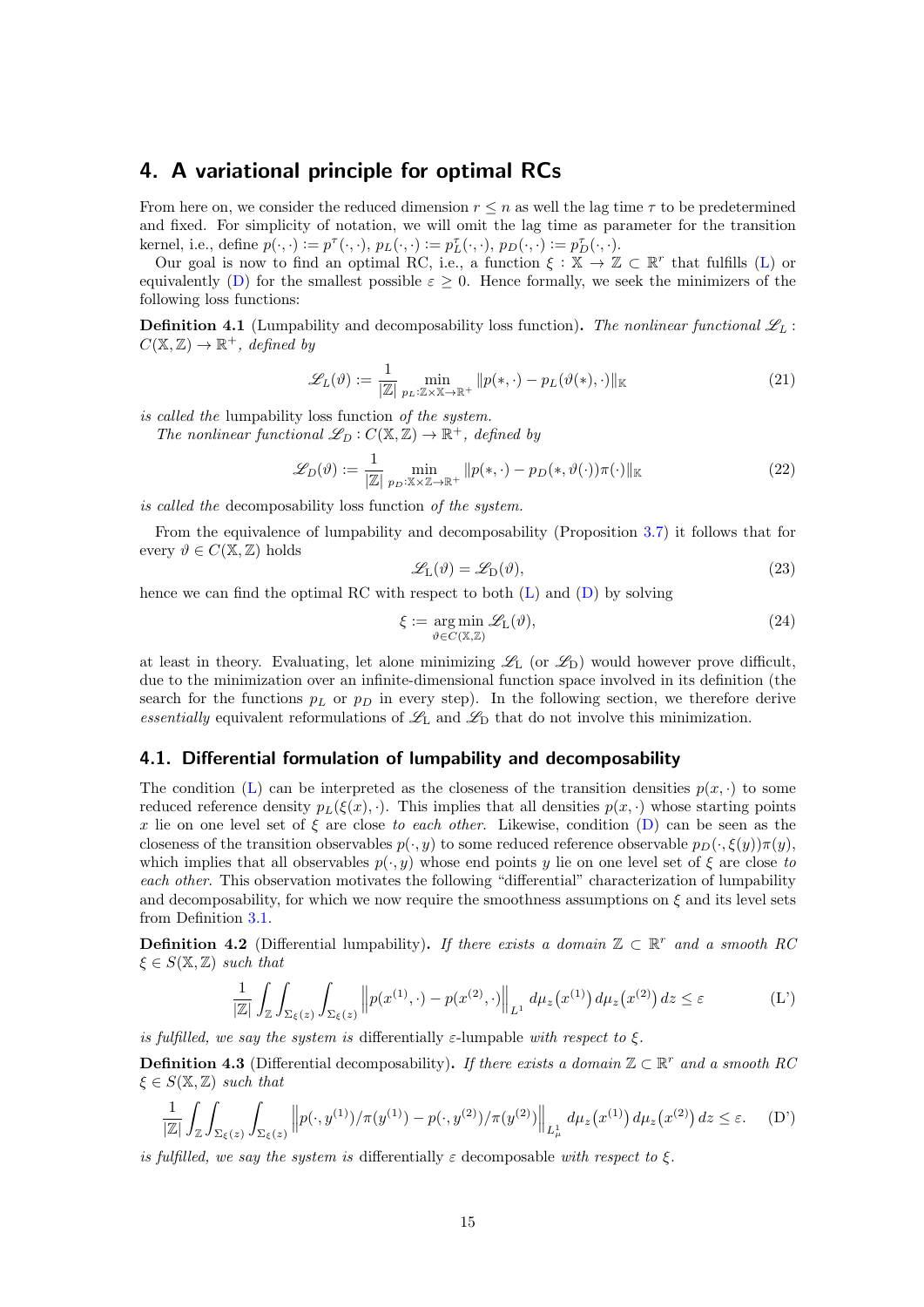# <span id="page-14-0"></span>4. A variational principle for optimal RCs

From here on, we consider the reduced dimension  $r \leq n$  as well the lag time  $\tau$  to be predetermined and fixed. For simplicity of notation, we will omit the lag time as parameter for the transition kernel, i.e., define  $p(\cdot, \cdot) := p^{\tau}(\cdot, \cdot), p_L(\cdot, \cdot) := p_L^{\tau}(\cdot, \cdot), p_D(\cdot, \cdot) := p_D^{\tau}(\cdot, \cdot)$ .

Our goal is now to find an optimal RC, i.e., a function  $\xi : \mathbb{X} \to \mathbb{Z} \subset \mathbb{R}^r$  that fulfills [\(L\)](#page-5-0) or equivalently [\(D\)](#page-5-1) for the smallest possible  $\varepsilon \geq 0$ . Hence formally, we seek the minimizers of the following loss functions:

**Definition 4.1** (Lumpability and decomposability loss function). The nonlinear functional  $\mathscr{L}_L$ :  $C(\mathbb{X}, \mathbb{Z}) \to \mathbb{R}^+$ , defined by

$$
\mathcal{L}_L(\vartheta) := \frac{1}{|\mathbb{Z}|} \min_{p_L: \mathbb{Z} \times \mathbb{X} \to \mathbb{R}^+} \| p(*, \cdot) - p_L(\vartheta(*), \cdot) \|_{\mathbb{K}}
$$
(21)

is called the lumpability loss function of the system.

The nonlinear functional  $\mathcal{L}_D : C(\mathbb{X}, \mathbb{Z}) \to \mathbb{R}^+$ , defined by

$$
\mathcal{L}_D(\vartheta) := \frac{1}{|\mathbb{Z}|} \min_{p_D: \mathbb{X} \times \mathbb{Z} \to \mathbb{R}^+} ||p(*, \cdot) - p_D(*, \vartheta(\cdot))\pi(\cdot)||_{\mathbb{K}}
$$
(22)

is called the decomposability loss function of the system.

From the equivalence of lumpability and decomposability (Proposition [3.7\)](#page-6-0) it follows that for every  $\vartheta \in C(\mathbb{X}, \mathbb{Z})$  holds

<span id="page-14-3"></span>
$$
\mathcal{L}_{L}(\vartheta) = \mathcal{L}_{D}(\vartheta),\tag{23}
$$

hence we can find the optimal RC with respect to both  $(L)$  and  $(D)$  by solving

<span id="page-14-4"></span><span id="page-14-1"></span>
$$
\xi := \underset{\vartheta \in C(\mathbb{X}, \mathbb{Z})}{\arg \min} \mathcal{L}_{\mathcal{L}}(\vartheta),\tag{24}
$$

at least in theory. Evaluating, let alone minimizing  $\mathscr{L}_{L}$  (or  $\mathscr{L}_{D}$ ) would however prove difficult, due to the minimization over an infinite-dimensional function space involved in its definition (the search for the functions  $p<sub>L</sub>$  or  $p<sub>D</sub>$  in every step). In the following section, we therefore derive essentially equivalent reformulations of  $\mathscr{L}_{L}$  and  $\mathscr{L}_{D}$  that do not involve this minimization.

## 4.1. Differential formulation of lumpability and decomposability

The condition [\(L\)](#page-5-0) can be interpreted as the closeness of the transition densities  $p(x, \cdot)$  to some reduced reference density  $p_L(\xi(x), \cdot)$ . This implies that all densities  $p(x, \cdot)$  whose starting points x lie on one level set of  $\xi$  are close to each other. Likewise, condition [\(D\)](#page-5-1) can be seen as the closeness of the transition observables  $p(\cdot, y)$  to some reduced reference observable  $p_D(\cdot, \xi(y))\pi(y)$ , which implies that all observables  $p(\cdot, y)$  whose end points y lie on one level set of  $\xi$  are close to each other. This observation motivates the following "differential" characterization of lumpability and decomposability, for which we now require the smoothness assumptions on  $\xi$  and its level sets from Definition [3.1.](#page-5-3)

**Definition 4.2** (Differential lumpability). If there exists a domain  $\mathbb{Z} \subset \mathbb{R}^r$  and a smooth RC  $\xi \in S(\mathbb{X}, \mathbb{Z})$  such that

<span id="page-14-2"></span>
$$
\frac{1}{|\mathbb{Z}|} \int_{\mathbb{Z}} \int_{\Sigma_{\xi}(z)} \int_{\Sigma_{\xi}(z)} \left\| p(x^{(1)}, \cdot) - p(x^{(2)}, \cdot) \right\|_{L^{1}} d\mu_{z}(x^{(1)}) d\mu_{z}(x^{(2)}) dz \leq \varepsilon
$$
 (L')

is fulfilled, we say the system is differentially  $\varepsilon$ -lumpable with respect to  $\xi$ .

**Definition 4.3** (Differential decomposability). If there exists a domain  $\mathbb{Z} \subset \mathbb{R}^r$  and a smooth RC  $\xi \in S(\mathbb{X}, \mathbb{Z})$  such that

$$
\frac{1}{|\mathbb{Z}|} \int_{\mathbb{Z}} \int_{\Sigma_{\xi}(z)} \int_{\Sigma_{\xi}(z)} \left\| p(\cdot, y^{(1)}) / \pi(y^{(1)}) - p(\cdot, y^{(2)}) / \pi(y^{(2)}) \right\|_{L^1_{\mu}} d\mu_z(x^{(1)}) d\mu_z(x^{(2)}) dz \le \varepsilon. \tag{D'}
$$

is fulfilled, we say the system is differentially  $\varepsilon$  decomposable with respect to  $\xi$ .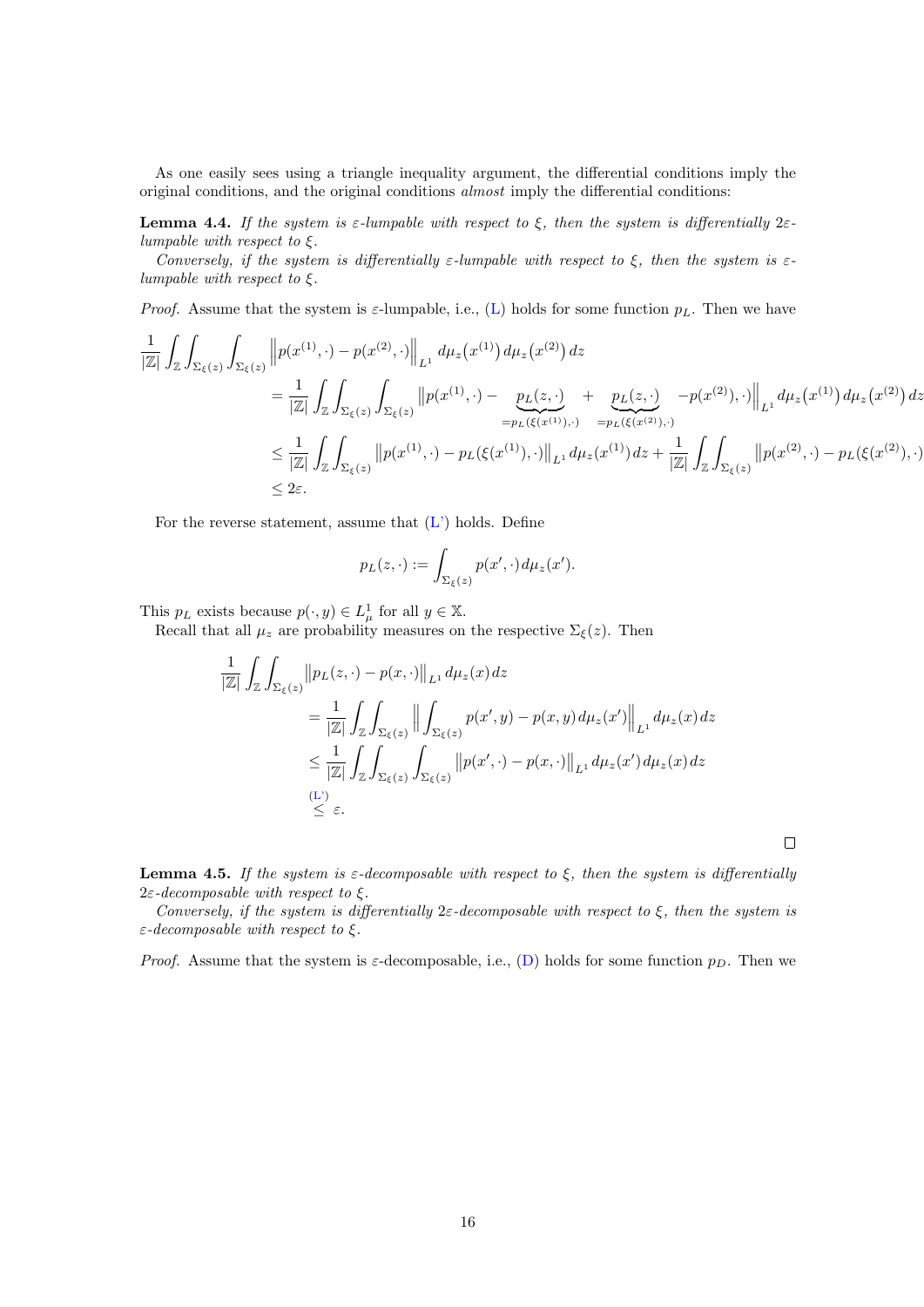As one easily sees using a triangle inequality argument, the differential conditions imply the original conditions, and the original conditions almost imply the differential conditions:

<span id="page-15-0"></span>**Lemma 4.4.** If the system is  $\varepsilon$ -lumpable with respect to  $\xi$ , then the system is differentially  $2\varepsilon$ lumpable with respect to  $\xi$ .

Conversely, if the system is differentially  $\varepsilon$ -lumpable with respect to  $\xi$ , then the system is  $\varepsilon$ lumpable with respect to  $\xi$ .

*Proof.* Assume that the system is  $\varepsilon$ -lumpable, i.e., [\(L\)](#page-5-0) holds for some function  $p<sub>L</sub>$ . Then we have

$$
\frac{1}{|\mathbb{Z}|} \int_{\mathbb{Z}} \int_{\Sigma_{\xi}(z)} \int_{\Sigma_{\xi}(z)} \left\| p(x^{(1)}, \cdot) - p(x^{(2)}, \cdot) \right\|_{L^{1}} d\mu_{z}(x^{(1)}) d\mu_{z}(x^{(2)}) dz \n= \frac{1}{|\mathbb{Z}|} \int_{\mathbb{Z}} \int_{\Sigma_{\xi}(z)} \int_{\Sigma_{\xi}(z)} \left\| p(x^{(1)}, \cdot) - \underbrace{p_{L}(z, \cdot)}_{= p_{L}(\xi(x^{(1)}), \cdot)} + \underbrace{p_{L}(z, \cdot)}_{= p_{L}(\xi(x^{(2)}), \cdot)} - p(x^{(2)}, \cdot) \right\|_{L^{1}} d\mu_{z}(x^{(1)}) d\mu_{z}(x^{(2)}) dz \n= \frac{1}{|\mathbb{Z}|} \int_{\mathbb{Z}} \int_{\Sigma_{\xi}(z)} \left\| p(x^{(1)}, \cdot) - p_{L}(\xi(x^{(1)}), \cdot) \right\|_{L^{1}} d\mu_{z}(x^{(1)}) dz + \frac{1}{|\mathbb{Z}|} \int_{\mathbb{Z}} \int_{\Sigma_{\xi}(z)} \left\| p(x^{(2)}, \cdot) - p_{L}(\xi(x^{(2)}), \cdot) \right\|_{L^{2}} d\mu_{z}(x^{(2)}) d\mu_{z}(x^{(2)}) d\mu_{z}(x^{(2)}) d\mu_{z}(x^{(2)}) d\mu_{z}(x^{(2)}) d\mu_{z}(x^{(2)}) d\mu_{z}(x^{(2)}) d\mu_{z}(x^{(2)}) d\mu_{z}(x^{(2)}) d\mu_{z}(x^{(2)}) d\mu_{z}(x^{(2)}) d\mu_{z}(x^{(2)}) d\mu_{z}(x^{(2)}) d\mu_{z}(x^{(2)}) d\mu_{z}(x^{(2)}) d\mu_{z}(x^{(2)}) d\mu_{z}(x^{(2)}) d\mu_{z}(x^{(2)}) d\mu_{z}(x^{(2)}) d\mu_{z}(x^{(2)}) d\mu_{z}(x^{(2)}) d\mu_{z}(x^{(2)}) d\mu_{z}(x^{(2)}) d\mu_{z}(x^{(2)}) d\mu_{z}(x^{(2)}) d\mu_{z}(x^{(2)}) d\mu_{z}(x^{(2)}) d\mu_{z}(x^{(2)}) d\mu_{z}(x^{(2)}) d\mu_{z}(x^{(2)}) d\mu_{z}(x^{(
$$

For the reverse statement, assume that  $(L')$  holds. Define

$$
p_L(z,\cdot) := \int_{\Sigma_{\xi}(z)} p(x',\cdot) d\mu_z(x').
$$

This  $p_L$  exists because  $p(\cdot, y) \in L^1_\mu$  for all  $y \in \mathbb{X}$ .

Recall that all  $\mu_z$  are probability measures on the respective  $\Sigma_{\xi}(z)$ . Then

$$
\frac{1}{|\mathbb{Z}|} \int_{\mathbb{Z}} \int_{\Sigma_{\xi}(z)} \left\| p_{L}(z, \cdot) - p(x, \cdot) \right\|_{L^{1}} d\mu_{z}(x) dz
$$
\n
$$
= \frac{1}{|\mathbb{Z}|} \int_{\mathbb{Z}} \int_{\Sigma_{\xi}(z)} \left\| \int_{\Sigma_{\xi}(z)} p(x', y) - p(x, y) d\mu_{z}(x') \right\|_{L^{1}} d\mu_{z}(x) dz
$$
\n
$$
\leq \frac{1}{|\mathbb{Z}|} \int_{\mathbb{Z}} \int_{\Sigma_{\xi}(z)} \int_{\Sigma_{\xi}(z)} \left\| p(x', \cdot) - p(x, \cdot) \right\|_{L^{1}} d\mu_{z}(x') d\mu_{z}(x) dz
$$
\n
$$
\stackrel{\text{(L')}}{\leq \varepsilon} \varepsilon.
$$

 $\Box$ 

<span id="page-15-1"></span>**Lemma 4.5.** If the system is  $\varepsilon$ -decomposable with respect to  $\xi$ , then the system is differentially  $2\varepsilon$ -decomposable with respect to  $\xi$ .

Conversely, if the system is differentially  $2\varepsilon$ -decomposable with respect to  $\xi$ , then the system is  $\varepsilon$ -decomposable with respect to  $\xi$ .

*Proof.* Assume that the system is  $\varepsilon$ -decomposable, i.e., [\(D\)](#page-5-1) holds for some function  $p<sub>D</sub>$ . Then we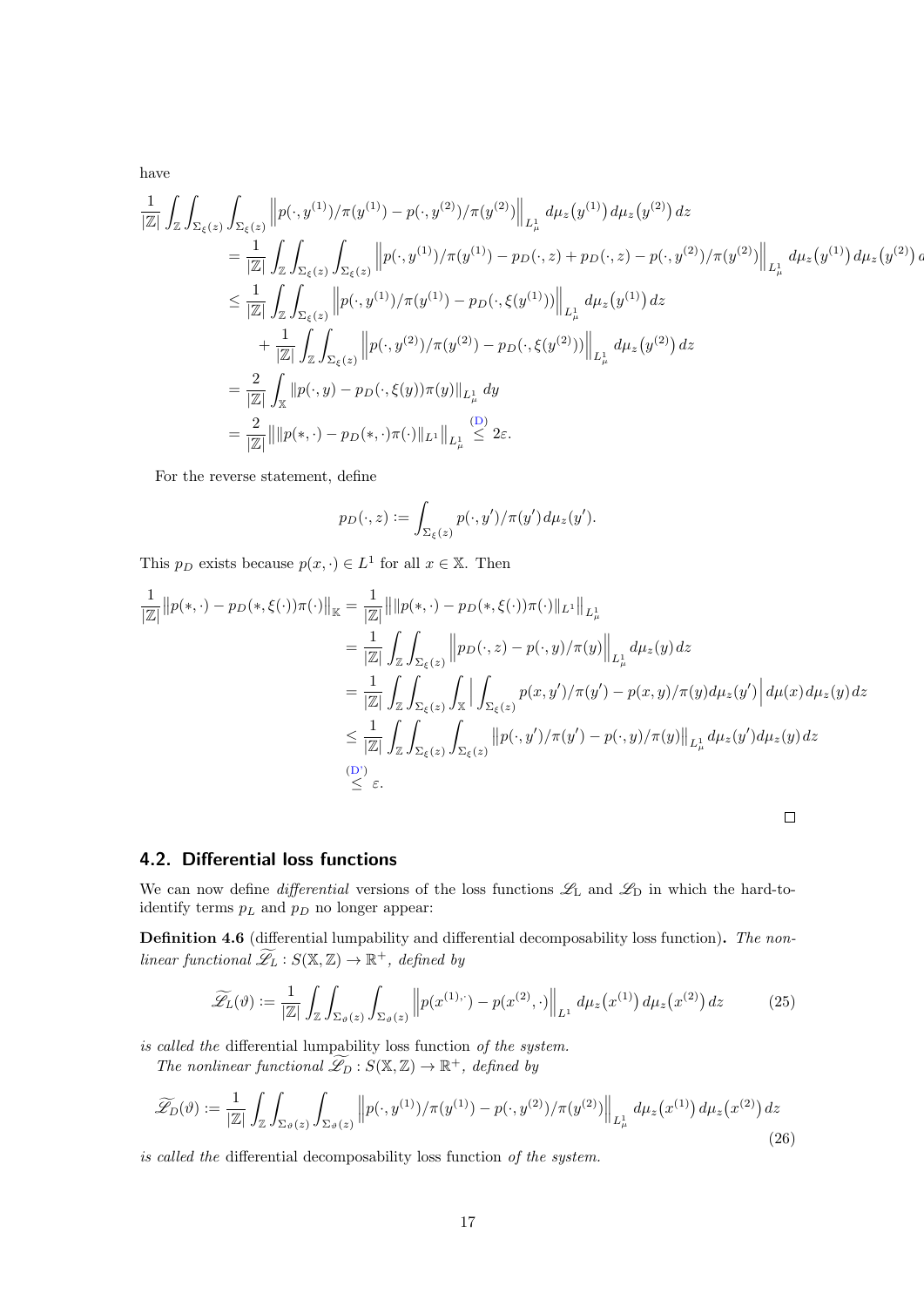have

$$
\frac{1}{|\mathbb{Z}|} \int_{\mathbb{Z}} \int_{\Sigma_{\xi}(z)} \int_{\Sigma_{\xi}(z)} \left\| p(\cdot, y^{(1)}) / \pi(y^{(1)}) - p(\cdot, y^{(2)}) / \pi(y^{(2)}) \right\|_{L^{1}_{\mu}} d\mu_{z}(y^{(1)}) d\mu_{z}(y^{(2)}) dz \n= \frac{1}{|\mathbb{Z}|} \int_{\mathbb{Z}} \int_{\Sigma_{\xi}(z)} \int_{\Sigma_{\xi}(z)} \left\| p(\cdot, y^{(1)}) / \pi(y^{(1)}) - p_D(\cdot, z) + p_D(\cdot, z) - p(\cdot, y^{(2)}) / \pi(y^{(2)}) \right\|_{L^{1}_{\mu}} d\mu_{z}(y^{(1)}) d\mu_{z}(y^{(2)}) \n\leq \frac{1}{|\mathbb{Z}|} \int_{\mathbb{Z}} \int_{\Sigma_{\xi}(z)} \left\| p(\cdot, y^{(1)}) / \pi(y^{(1)}) - p_D(\cdot, \xi(y^{(1)})) \right\|_{L^{1}_{\mu}} d\mu_{z}(y^{(1)}) dz \n+ \frac{1}{|\mathbb{Z}|} \int_{\mathbb{Z}} \int_{\Sigma_{\xi}(z)} \left\| p(\cdot, y^{(2)}) / \pi(y^{(2)}) - p_D(\cdot, \xi(y^{(2)})) \right\|_{L^{1}_{\mu}} d\mu_{z}(y^{(2)}) dz \n= \frac{2}{|\mathbb{Z}|} \int_{\mathbb{X}} \left\| p(\cdot, y) - p_D(\cdot, \xi(y)) \pi(y) \right\|_{L^{1}_{\mu}} dy \n= \frac{2}{|\mathbb{Z}|} \left\| \| p(\cdot, \cdot) - p_D(\cdot, \cdot) \pi(\cdot) \|_{L^{1}} \right\|_{L^{1}_{\mu}} \leq 2\varepsilon.
$$

For the reverse statement, define

$$
p_D(\cdot, z) := \int_{\Sigma_{\xi}(z)} p(\cdot, y') / \pi(y') d\mu_z(y').
$$

This  $p_D$  exists because  $p(x, \cdot) \in L^1$  for all  $x \in \mathbb{X}$ . Then

$$
\frac{1}{|\mathbb{Z}|} ||p(*,\cdot)-p_D(*,\xi(\cdot))\pi(\cdot)||_{\mathbb{K}} = \frac{1}{|\mathbb{Z}|} ||||p(*,\cdot)-p_D(*,\xi(\cdot))\pi(\cdot)||_{L^1}||_{L^1_{\mu}}
$$
\n
$$
= \frac{1}{|\mathbb{Z}|} \int_{\mathbb{Z}} \int_{\Sigma_{\xi}(z)} ||p_D(\cdot,z)-p(\cdot,y)/\pi(y)||_{L^1_{\mu}} d\mu_z(y) dz
$$
\n
$$
= \frac{1}{|\mathbb{Z}|} \int_{\mathbb{Z}} \int_{\Sigma_{\xi}(z)} \int_{\mathbb{X}} \left| \int_{\Sigma_{\xi}(z)} p(x,y')/\pi(y') - p(x,y)/\pi(y) d\mu_z(y') \right| d\mu(x) d\mu_z(y) dz
$$
\n
$$
\leq \frac{1}{|\mathbb{Z}|} \int_{\mathbb{Z}} \int_{\Sigma_{\xi}(z)} \int_{\Sigma_{\xi}(z)} ||p(\cdot,y')/\pi(y') - p(\cdot,y)/\pi(y)||_{L^1_{\mu}} d\mu_z(y') d\mu_z(y) dz
$$
\n(D')\n
$$
\leq \varepsilon.
$$

 $\overline{a}$ 

## 4.2. Differential loss functions

We can now define *differential* versions of the loss functions  $\mathscr{L}_L$  and  $\mathscr{L}_D$  in which the hard-toidentify terms  $p_L$  and  $p_D$  no longer appear:

Definition 4.6 (differential lumpability and differential decomposability loss function). The nonlinear functional  $\widetilde{\mathscr{L}}_L : S(\mathbb{X}, \mathbb{Z}) \to \mathbb{R}^+$ , defined by

$$
\widetilde{\mathscr{L}}_L(\vartheta) := \frac{1}{|\mathbb{Z}|} \int_{\mathbb{Z}} \int_{\Sigma_{\vartheta}(z)} \int_{\Sigma_{\vartheta}(z)} \left\| p(x^{(1)}, \cdot) - p(x^{(2)}, \cdot) \right\|_{L^1} d\mu_z(x^{(1)}) d\mu_z(x^{(2)}) dz \tag{25}
$$

is called the differential lumpability loss function of the system.

The nonlinear functional  $\widetilde{\mathscr{L}}_D : S(\mathbb{X}, \mathbb{Z}) \to \mathbb{R}^+$ , defined by

<span id="page-16-0"></span>
$$
\widetilde{\mathcal{L}}_D(\vartheta) := \frac{1}{|\mathbb{Z}|} \int_{\mathbb{Z}} \int_{\Sigma_{\vartheta}(z)} \int_{\Sigma_{\vartheta}(z)} \left\| p(\cdot, y^{(1)}) / \pi(y^{(1)}) - p(\cdot, y^{(2)}) / \pi(y^{(2)}) \right\|_{L^1_{\mu}} d\mu_z(x^{(1)}) d\mu_z(x^{(2)}) dz
$$
\n(26)

is called the differential decomposability loss function of the system.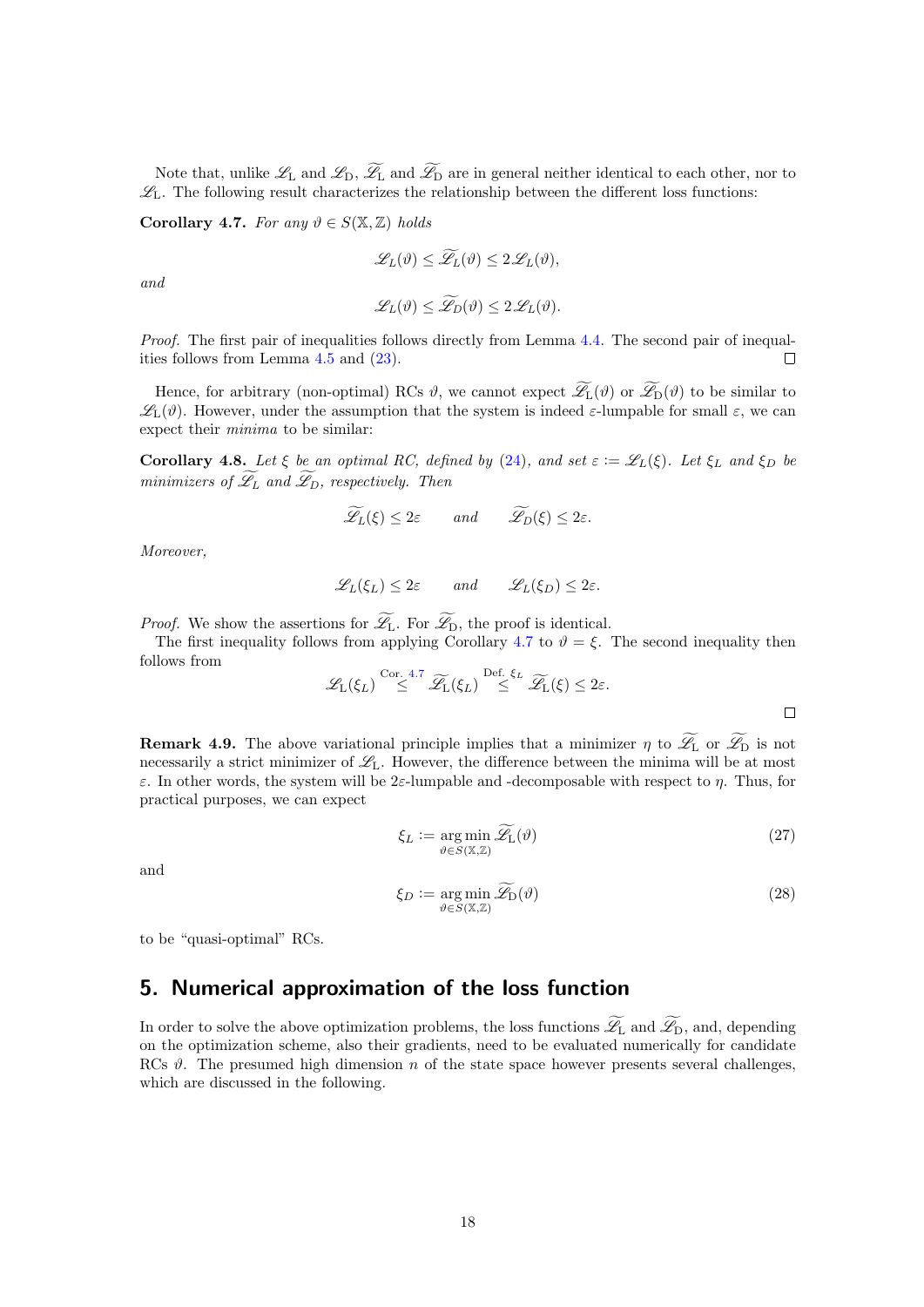Note that, unlike  $\mathscr{L}_{L}$  and  $\widetilde{\mathscr{L}}_{D}$ ,  $\widetilde{\mathscr{L}}_{L}$  and  $\widetilde{\mathscr{L}}_{D}$  are in general neither identical to each other, nor to  $\mathscr{L}_L$ . The following result characterizes the relationship between the different loss functions:

<span id="page-17-1"></span>Corollary 4.7. For any  $\vartheta \in S(\mathbb{X}, \mathbb{Z})$  holds

$$
\mathscr{L}_L(\vartheta) \le \widetilde{\mathscr{L}}_L(\vartheta) \le 2\mathscr{L}_L(\vartheta),
$$

and

$$
\mathscr{L}_L(\vartheta) \leq \mathscr{L}_D(\vartheta) \leq 2\mathscr{L}_L(\vartheta).
$$

Proof. The first pair of inequalities follows directly from Lemma [4.4.](#page-15-0) The second pair of inequalities follows from Lemma [4.5](#page-15-1) and [\(23\)](#page-14-3).  $\Box$ 

Hence, for arbitrary (non-optimal) RCs  $\vartheta$ , we cannot expect  $\widetilde{\mathscr{L}}_L(\vartheta)$  or  $\widetilde{\mathscr{L}}_D(\vartheta)$  to be similar to  $\mathscr{L}_{L}(\vartheta)$ . However, under the assumption that the system is indeed  $\varepsilon$ -lumpable for small  $\varepsilon$ , we can expect their minima to be similar:

Corollary 4.8. Let  $\xi$  be an optimal RC, defined by [\(24\)](#page-14-4), and set  $\varepsilon := \mathscr{L}_L(\xi)$ . Let  $\xi_L$  and  $\xi_D$  be minimizers of  $\widetilde{\mathscr{L}}_L$  and  $\widetilde{\mathscr{L}}_D$ , respectively. Then

$$
\mathscr{L}_L(\xi) \leq 2\varepsilon
$$
 and  $\mathscr{L}_D(\xi) \leq 2\varepsilon$ .

Moreover,

$$
\mathscr{L}_L(\xi_L) \leq 2\varepsilon
$$
 and  $\mathscr{L}_L(\xi_D) \leq 2\varepsilon$ .

*Proof.* We show the assertions for  $\widetilde{\mathscr{L}}_L$ . For  $\widetilde{\mathscr{L}}_D$ , the proof is identical.

The first inequality follows from applying Corollary [4.7](#page-17-1) to  $\vartheta = \xi$ . The second inequality then follows from

$$
\mathscr{L}_{L}(\xi_{L}) \stackrel{\text{Cor. 4.7}}{\leq} \widetilde{\mathscr{L}}_{L}(\xi_{L}) \stackrel{\text{Def. } \xi_{L}}{\leq} \widetilde{\mathscr{L}}_{L}(\xi) \leq 2\varepsilon.
$$

**Remark 4.9.** The above variational principle implies that a minimizer  $\eta$  to  $\mathscr{L}_{L}$  or  $\mathscr{L}_{D}$  is not necessarily a strict minimizer of  $\mathscr{L}_{L}$ . However, the difference between the minima will be at most ε. In other words, the system will be 2ε-lumpable and -decomposable with respect to η. Thus, for practical purposes, we can expect

<span id="page-17-3"></span>
$$
\xi_L := \underset{\vartheta \in S(\mathbb{X}, \mathbb{Z})}{\arg \min} \widetilde{\mathscr{L}}_L(\vartheta) \tag{27}
$$

and

<span id="page-17-2"></span>
$$
\xi_D := \underset{\vartheta \in S(\mathbb{X}, \mathbb{Z})}{\arg \min} \widetilde{\mathscr{L}}_D(\vartheta) \tag{28}
$$

to be "quasi-optimal" RCs.

# <span id="page-17-0"></span>5. Numerical approximation of the loss function

In order to solve the above optimization problems, the loss functions  $\widetilde{\mathscr{L}}_L$  and  $\widetilde{\mathscr{L}}_D$ , and, depending on the optimization scheme, also their gradients, need to be evaluated numerically for candidate RCs  $\vartheta$ . The presumed high dimension n of the state space however presents several challenges, which are discussed in the following.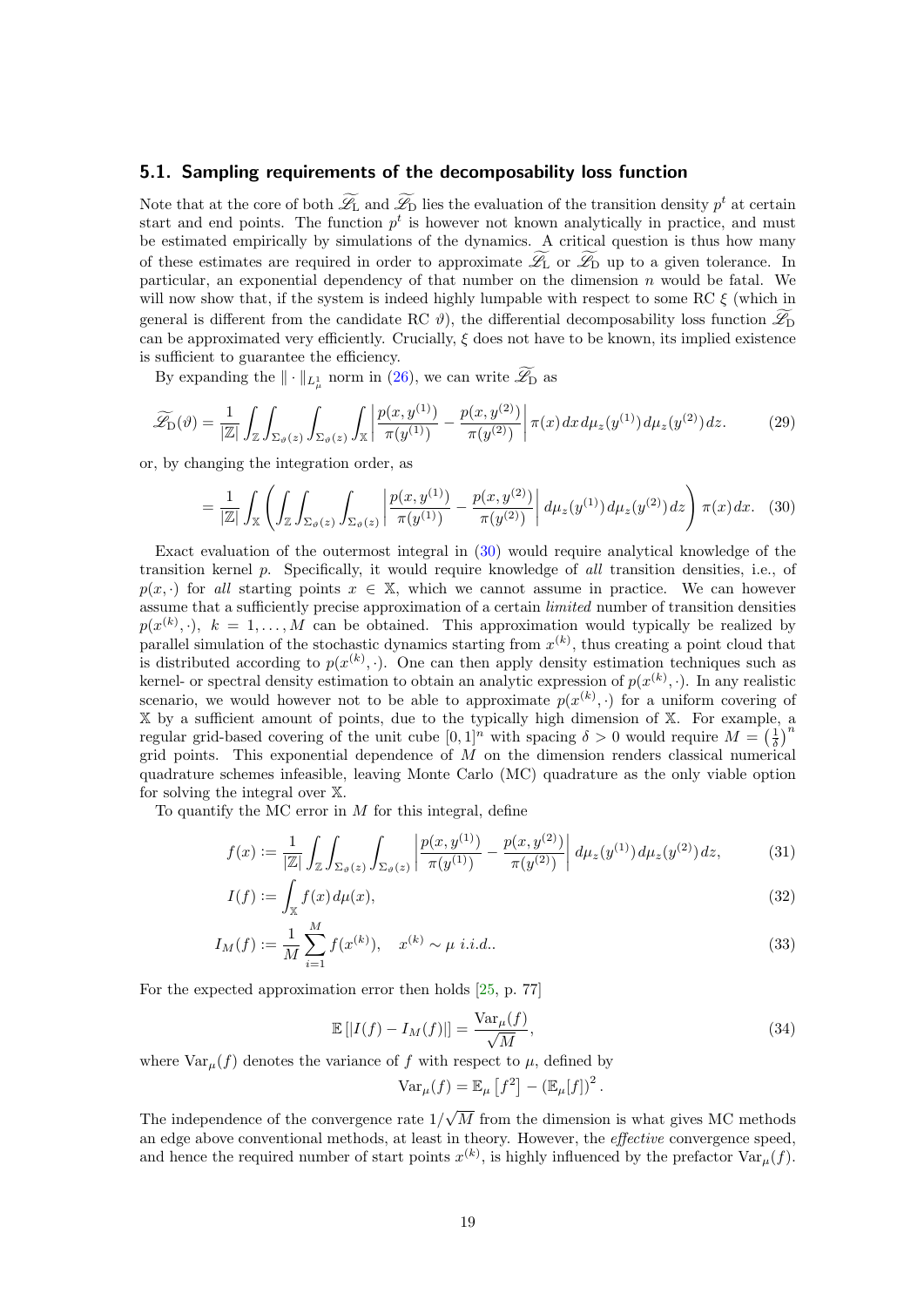## <span id="page-18-2"></span>5.1. Sampling requirements of the decomposability loss function

Note that at the core of both  $\mathcal{L}_{\text{L}}$  and  $\mathcal{L}_{\text{D}}$  lies the evaluation of the transition density  $p^t$  at certain start and end points. The function  $p<sup>t</sup>$  is however not known analytically in practice, and must be estimated empirically by simulations of the dynamics. A critical question is thus how many of these estimates are required in order to approximate  $\widetilde{\mathscr{L}}_L$  or  $\widetilde{\mathscr{L}}_D$  up to a given tolerance. In particular, an exponential dependency of that number on the dimension  $n$  would be fatal. We will now show that, if the system is indeed highly lumpable with respect to some RC  $\xi$  (which in general is different from the candidate RC  $\vartheta$ ), the differential decomposability loss function  $\mathscr{L}_{\text{D}}$ can be approximated very efficiently. Crucially,  $\xi$  does not have to be known, its implied existence is sufficient to guarantee the efficiency.

By expanding the  $\|\cdot\|_{L^1_\mu}$  norm in [\(26\)](#page-16-0), we can write  $\mathscr{L}_{\mathcal{D}}$  as

$$
\widetilde{\mathscr{L}}_{\mathcal{D}}(\vartheta) = \frac{1}{|\mathbb{Z}|} \int_{\mathbb{Z}} \int_{\Sigma_{\vartheta}(z)} \int_{\Sigma_{\vartheta}(z)} \int_{\mathbb{X}} \left| \frac{p(x, y^{(1)})}{\pi(y^{(1)})} - \frac{p(x, y^{(2)})}{\pi(y^{(2)})} \right| \pi(x) dx d\mu_{z}(y^{(1)}) d\mu_{z}(y^{(2)}) dz.
$$
 (29)

or, by changing the integration order, as

<span id="page-18-0"></span>
$$
= \frac{1}{|\mathbb{Z}|} \int_{\mathbb{X}} \left( \int_{\mathbb{Z}} \int_{\Sigma_{\vartheta}(z)} \int_{\Sigma_{\vartheta}(z)} \left| \frac{p(x, y^{(1)})}{\pi(y^{(1)})} - \frac{p(x, y^{(2)})}{\pi(y^{(2)})} \right| d\mu_{z}(y^{(1)}) d\mu_{z}(y^{(2)}) dz \right) \pi(x) dx. \tag{30}
$$

Exact evaluation of the outermost integral in [\(30\)](#page-18-0) would require analytical knowledge of the transition kernel p. Specifically, it would require knowledge of all transition densities, i.e., of  $p(x, \cdot)$  for all starting points  $x \in \mathbb{X}$ , which we cannot assume in practice. We can however assume that a sufficiently precise approximation of a certain *limited* number of transition densities  $p(x^{(k)},\cdot), k = 1,\ldots,M$  can be obtained. This approximation would typically be realized by parallel simulation of the stochastic dynamics starting from  $x^{(k)}$ , thus creating a point cloud that is distributed according to  $p(x^{(k)}, \cdot)$ . One can then apply density estimation techniques such as kernel- or spectral density estimation to obtain an analytic expression of  $p(x^{(k)}, \cdot)$ . In any realistic scenario, we would however not to be able to approximate  $p(x^{(k)},\cdot)$  for a uniform covering of X by a sufficient amount of points, due to the typically high dimension of X. For example, a regular grid-based covering of the unit cube  $[0,1]^n$  with spacing  $\delta > 0$  would require  $M = \left(\frac{1}{\delta}\right)^n$ grid points. This exponential dependence of  $\overrightarrow{M}$  on the dimension renders classical numerical quadrature schemes infeasible, leaving Monte Carlo (MC) quadrature as the only viable option for solving the integral over X.

To quantify the MC error in  $M$  for this integral, define

$$
f(x) := \frac{1}{|\mathbb{Z}|} \int_{\mathbb{Z}} \int_{\Sigma_{\vartheta}(z)} \int_{\Sigma_{\vartheta}(z)} \left| \frac{p(x, y^{(1)})}{\pi(y^{(1)})} - \frac{p(x, y^{(2)})}{\pi(y^{(2)})} \right| d\mu_{z}(y^{(1)}) d\mu_{z}(y^{(2)}) dz,
$$
(31)

$$
I(f) := \int_{\mathbb{X}} f(x) d\mu(x),\tag{32}
$$

$$
I_M(f) := \frac{1}{M} \sum_{i=1}^{M} f(x^{(k)}), \quad x^{(k)} \sim \mu \ i.i.d.. \tag{33}
$$

For the expected approximation error then holds [\[25,](#page-30-13) p. 77]

$$
\mathbb{E}\left[\left|I(f) - I_M(f)\right|\right] = \frac{\text{Var}_{\mu}(f)}{\sqrt{M}},\tag{34}
$$

where  $\text{Var}_{\mu}(f)$  denotes the variance of f with respect to  $\mu$ , defined by

<span id="page-18-3"></span><span id="page-18-1"></span>
$$
\text{Var}_{\mu}(f) = \mathbb{E}_{\mu} [f^2] - (\mathbb{E}_{\mu}[f])^2.
$$

The independence of the convergence rate  $1/\sqrt{M}$  from the dimension is what gives MC methods an edge above conventional methods, at least in theory. However, the effective convergence speed, and hence the required number of start points  $x^{(k)}$ , is highly influenced by the prefactor  $\text{Var}_{\mu}(f)$ .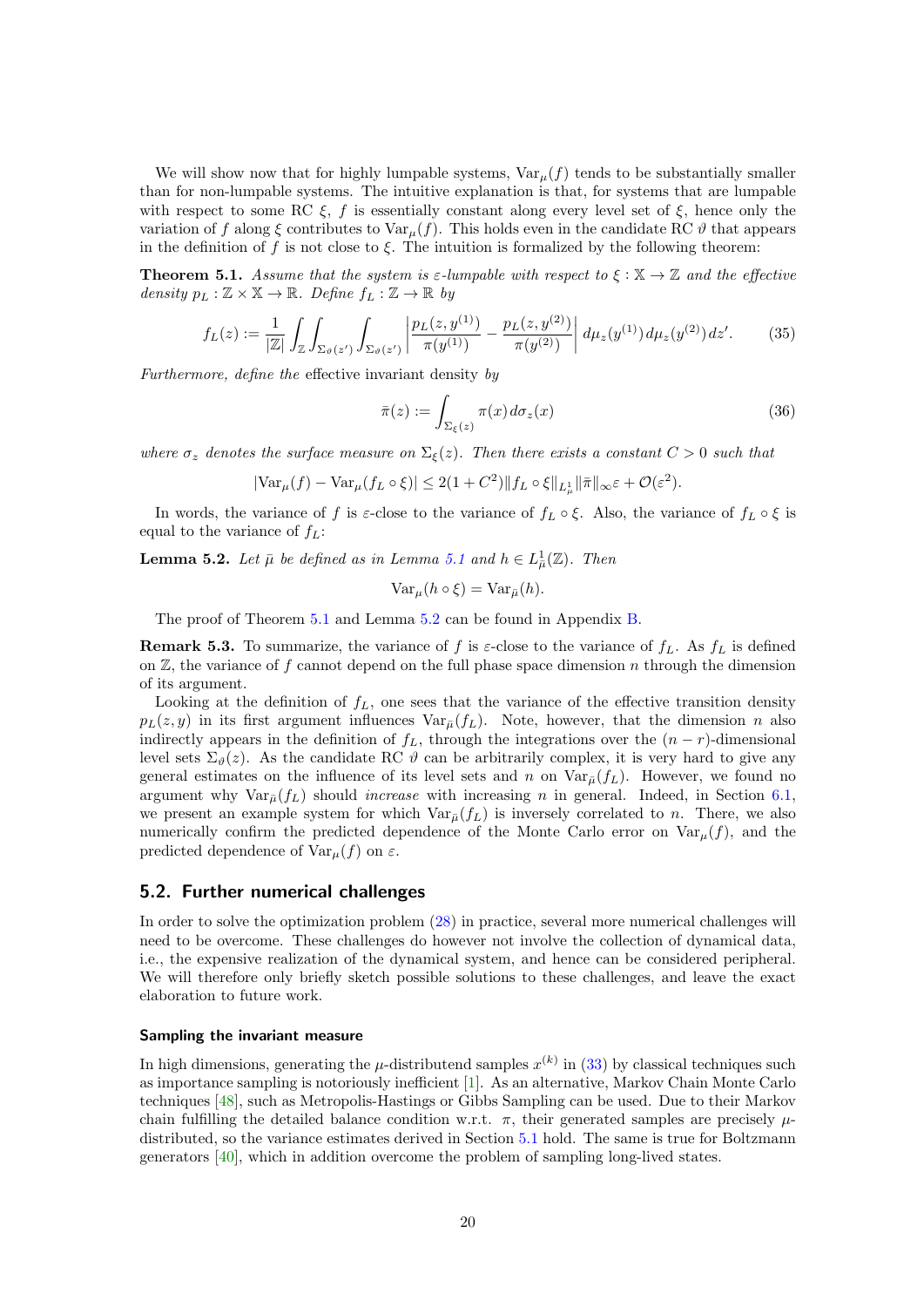We will show now that for highly lumpable systems,  $\text{Var}_{\mu}(f)$  tends to be substantially smaller than for non-lumpable systems. The intuitive explanation is that, for systems that are lumpable with respect to some RC  $\xi$ , f is essentially constant along every level set of  $\xi$ , hence only the variation of f along  $\xi$  contributes to  $\text{Var}_{\mu}(f)$ . This holds even in the candidate RC  $\vartheta$  that appears in the definition of f is not close to  $\xi$ . The intuition is formalized by the following theorem:

<span id="page-19-0"></span>**Theorem 5.1.** Assume that the system is  $\varepsilon$ -lumpable with respect to  $\xi : \mathbb{X} \to \mathbb{Z}$  and the effective density  $p_L : \mathbb{Z} \times \mathbb{X} \to \mathbb{R}$ . Define  $f_L : \mathbb{Z} \to \mathbb{R}$  by

$$
f_L(z) := \frac{1}{|\mathbb{Z}|} \int_{\mathbb{Z}} \int_{\Sigma_{\vartheta}(z')} \int_{\Sigma_{\vartheta}(z')} \left| \frac{p_L(z, y^{(1)})}{\pi(y^{(1)})} - \frac{p_L(z, y^{(2)})}{\pi(y^{(2)})} \right| d\mu_z(y^{(1)}) d\mu_z(y^{(2)}) dz'. \tag{35}
$$

Furthermore, define the effective invariant density by

$$
\bar{\pi}(z) := \int_{\Sigma_{\xi}(z)} \pi(x) d\sigma_z(x)
$$
\n(36)

where  $\sigma_z$  denotes the surface measure on  $\Sigma_{\xi}(z)$ . Then there exists a constant  $C > 0$  such that

$$
|\text{Var}_{\mu}(f) - \text{Var}_{\mu}(f_L \circ \xi)| \le 2(1+C^2) \|f_L \circ \xi\|_{L^1_{\mu}} \|\overline{\pi}\|_{\infty} \varepsilon + \mathcal{O}(\varepsilon^2).
$$

In words, the variance of f is  $\varepsilon$ -close to the variance of  $f_L \circ \xi$ . Also, the variance of  $f_L \circ \xi$  is equal to the variance of  $f_L$ :

<span id="page-19-1"></span>**Lemma 5.2.** Let  $\bar{\mu}$  be defined as in Lemma [5.1](#page-19-0) and  $h \in L^1_{\bar{\mu}}(\mathbb{Z})$ . Then

$$
\text{Var}_{\mu}(h \circ \xi) = \text{Var}_{\bar{\mu}}(h).
$$

The proof of Theorem [5.1](#page-19-0) and Lemma [5.2](#page-19-1) can be found in Appendix [B.](#page-33-0)

**Remark 5.3.** To summarize, the variance of f is  $\varepsilon$ -close to the variance of  $f<sub>L</sub>$ . As  $f<sub>L</sub>$  is defined on  $\mathbb{Z}$ , the variance of f cannot depend on the full phase space dimension n through the dimension of its argument.

Looking at the definition of  $f_L$ , one sees that the variance of the effective transition density  $p_L(z, y)$  in its first argument influences  $Var_{\bar{\mu}}(f_L)$ . Note, however, that the dimension n also indirectly appears in the definition of  $f<sub>L</sub>$ , through the integrations over the  $(n - r)$ -dimensional level sets  $\Sigma_{\vartheta}(z)$ . As the candidate RC  $\vartheta$  can be arbitrarily complex, it is very hard to give any general estimates on the influence of its level sets and n on  $\text{Var}_{\bar{\mu}}(f_L)$ . However, we found no argument why  $Var_{\bar{u}}(f_L)$  should *increase* with increasing n in general. Indeed, in Section [6.1,](#page-20-1) we present an example system for which  $Var_{\bar{u}}(f_L)$  is inversely correlated to n. There, we also numerically confirm the predicted dependence of the Monte Carlo error on  $\text{Var}_{\mu}(f)$ , and the predicted dependence of  $Var_{\mu}(f)$  on  $\varepsilon$ .

## <span id="page-19-2"></span>5.2. Further numerical challenges

In order to solve the optimization problem [\(28\)](#page-17-2) in practice, several more numerical challenges will need to be overcome. These challenges do however not involve the collection of dynamical data, i.e., the expensive realization of the dynamical system, and hence can be considered peripheral. We will therefore only briefly sketch possible solutions to these challenges, and leave the exact elaboration to future work.

## Sampling the invariant measure

In high dimensions, generating the  $\mu$ -distributend samples  $x^{(k)}$  in [\(33\)](#page-18-1) by classical techniques such as importance sampling is notoriously inefficient [\[1\]](#page-29-14). As an alternative, Markov Chain Monte Carlo techniques [\[48\]](#page-31-13), such as Metropolis-Hastings or Gibbs Sampling can be used. Due to their Markov chain fulfilling the detailed balance condition w.r.t.  $\pi$ , their generated samples are precisely  $\mu$ distributed, so the variance estimates derived in Section [5.1](#page-18-2) hold. The same is true for Boltzmann generators [\[40\]](#page-31-14), which in addition overcome the problem of sampling long-lived states.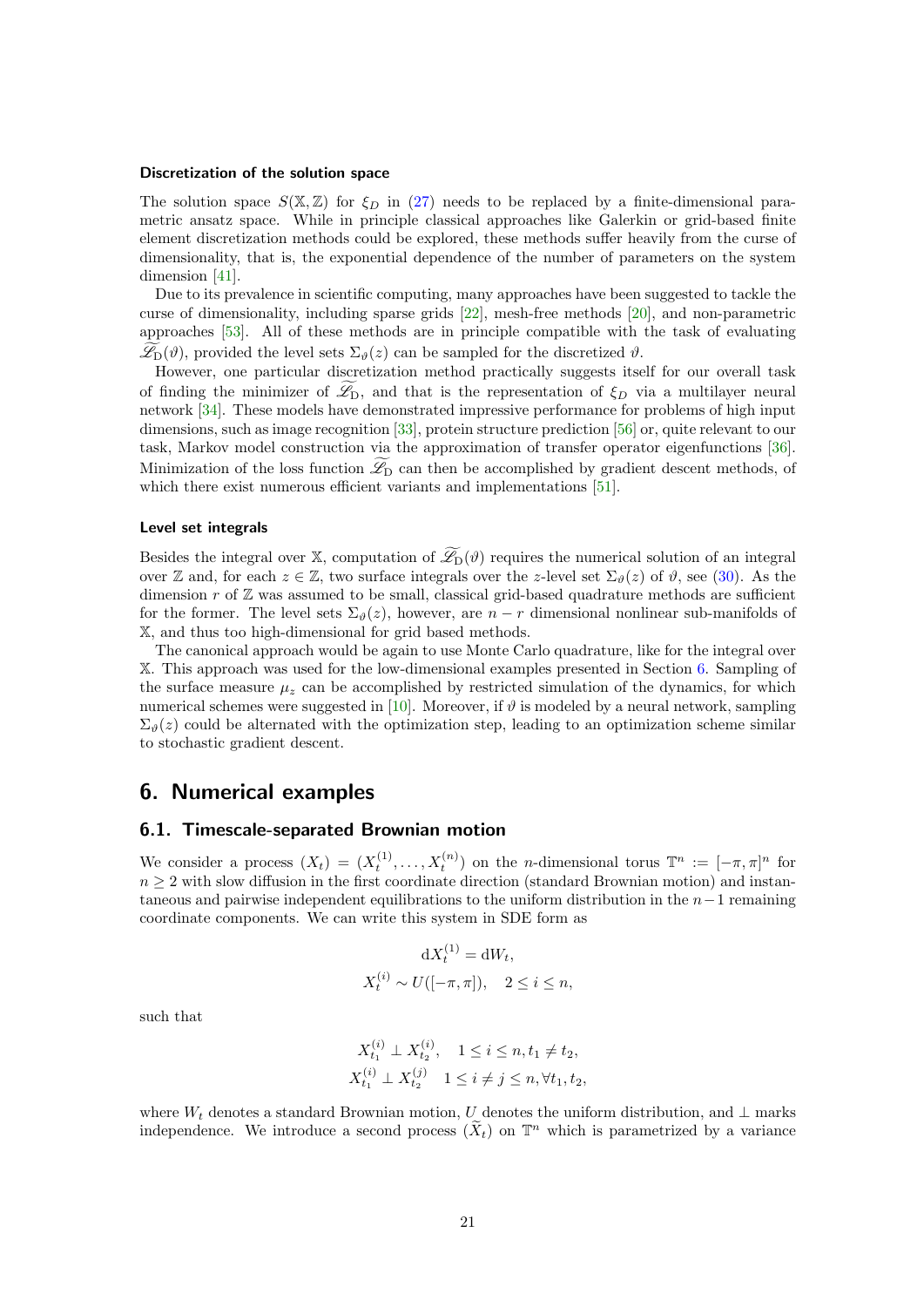#### Discretization of the solution space

The solution space  $S(\mathbb{X}, \mathbb{Z})$  for  $\xi_D$  in [\(27\)](#page-17-3) needs to be replaced by a finite-dimensional parametric ansatz space. While in principle classical approaches like Galerkin or grid-based finite element discretization methods could be explored, these methods suffer heavily from the curse of dimensionality, that is, the exponential dependence of the number of parameters on the system dimension [\[41\]](#page-31-15).

Due to its prevalence in scientific computing, many approaches have been suggested to tackle the curse of dimensionality, including sparse grids [\[22\]](#page-30-14), mesh-free methods [\[20\]](#page-30-15), and non-parametric approaches [\[53\]](#page-31-16). All of these methods are in principle compatible with the task of evaluating  $\mathscr{L}_{D}(\vartheta)$ , provided the level sets  $\Sigma_{\vartheta}(z)$  can be sampled for the discretized  $\vartheta$ .

However, one particular discretization method practically suggests itself for our overall task of finding the minimizer of  $\mathscr{L}_{D}$ , and that is the representation of  $\xi_{D}$  via a multilayer neural network [\[34\]](#page-30-16). These models have demonstrated impressive performance for problems of high input dimensions, such as image recognition [\[33\]](#page-30-17), protein structure prediction [\[56\]](#page-32-6) or, quite relevant to our task, Markov model construction via the approximation of transfer operator eigenfunctions [\[36\]](#page-30-7). Minimization of the loss function  $\mathscr{L}_{\mathcal{D}}$  can then be accomplished by gradient descent methods, of which there exist numerous efficient variants and implementations [\[51\]](#page-31-17).

#### Level set integrals

Besides the integral over X, computation of  $\widetilde{\mathcal{L}}_D(\vartheta)$  requires the numerical solution of an integral over Z and, for each  $z \in \mathbb{Z}$ , two surface integrals over the z-level set  $\Sigma_{\vartheta}(z)$  of  $\vartheta$ , see [\(30\)](#page-18-0). As the dimension  $r$  of  $\mathbb{Z}$  was assumed to be small, classical grid-based quadrature methods are sufficient for the former. The level sets  $\Sigma_{\theta}(z)$ , however, are  $n-r$  dimensional nonlinear sub-manifolds of X, and thus too high-dimensional for grid based methods.

The canonical approach would be again to use Monte Carlo quadrature, like for the integral over X. This approach was used for the low-dimensional examples presented in Section [6.](#page-20-0) Sampling of the surface measure  $\mu_z$  can be accomplished by restricted simulation of the dynamics, for which numerical schemes were suggested in [\[10\]](#page-29-15). Moreover, if  $\vartheta$  is modeled by a neural network, sampling  $\Sigma_{\theta}(z)$  could be alternated with the optimization step, leading to an optimization scheme similar to stochastic gradient descent.

# <span id="page-20-0"></span>6. Numerical examples

# <span id="page-20-1"></span>6.1. Timescale-separated Brownian motion

We consider a process  $(X_t) = (X_t^{(1)}, \ldots, X_t^{(n)})$  on the *n*-dimensional torus  $\mathbb{T}^n := [-\pi, \pi]^n$  for  $n \geq 2$  with slow diffusion in the first coordinate direction (standard Brownian motion) and instantaneous and pairwise independent equilibrations to the uniform distribution in the  $n-1$  remaining coordinate components. We can write this system in SDE form as

$$
dX_t^{(1)} = dW_t,
$$
  

$$
X_t^{(i)} \sim U([-\pi,\pi]), \quad 2 \le i \le n,
$$

such that

$$
X_{t_1}^{(i)} \perp X_{t_2}^{(i)}, \quad 1 \le i \le n, t_1 \ne t_2,
$$
  

$$
X_{t_1}^{(i)} \perp X_{t_2}^{(j)} \quad 1 \le i \ne j \le n, \forall t_1, t_2,
$$

where  $W_t$  denotes a standard Brownian motion, U denotes the uniform distribution, and  $\perp$  marks independence. We introduce a second process  $(\tilde{X}_t)$  on  $\mathbb{T}^n$  which is parametrized by a variance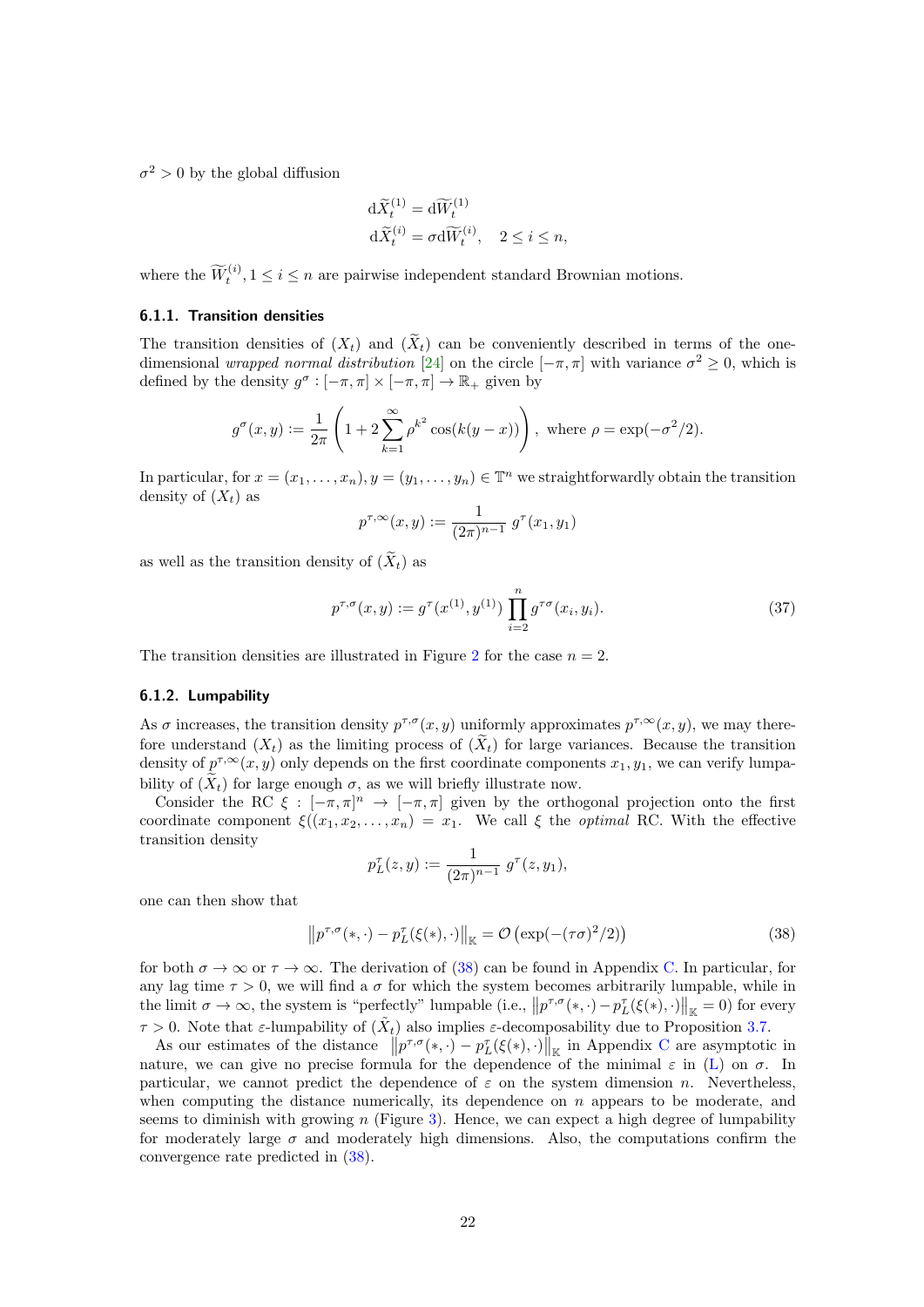$\sigma^2 > 0$  by the global diffusion

$$
\begin{aligned} \mathrm{d}\widetilde{X}_t^{(1)} &= \mathrm{d}\widetilde{W}_t^{(1)} \\ \mathrm{d}\widetilde{X}_t^{(i)} &= \sigma \mathrm{d}\widetilde{W}_t^{(i)}, \quad 2 \le i \le n, \end{aligned}
$$

where the  $\widetilde{W}_t^{(i)}$ ,  $1 \le i \le n$  are pairwise independent standard Brownian motions.

## 6.1.1. Transition densities

The transition densities of  $(X_t)$  and  $(\tilde{X}_t)$  can be conveniently described in terms of the onedimensional *wrapped normal distribution* [\[24\]](#page-30-18) on the circle  $[-\pi, \pi]$  with variance  $\sigma^2 \geq 0$ , which is defined by the density  $g^{\sigma} : [-\pi, \pi] \times [-\pi, \pi] \to \mathbb{R}_+$  given by

$$
g^{\sigma}(x, y) := \frac{1}{2\pi} \left( 1 + 2 \sum_{k=1}^{\infty} \rho^{k^2} \cos(k(y - x)) \right)
$$
, where  $\rho = \exp(-\sigma^2/2)$ .

In particular, for  $x = (x_1, \ldots, x_n), y = (y_1, \ldots, y_n) \in \mathbb{T}^n$  we straightforwardly obtain the transition density of  $(X_t)$  as

$$
p^{\tau,\infty}(x,y) := \frac{1}{(2\pi)^{n-1}} g^{\tau}(x_1,y_1)
$$

as well as the transition density of  $(\widetilde{X}_t)$  as

<span id="page-21-1"></span>
$$
p^{\tau,\sigma}(x,y) := g^{\tau}(x^{(1)}, y^{(1)}) \prod_{i=2}^{n} g^{\tau\sigma}(x_i, y_i).
$$
 (37)

The transition densities are illustrated in Figure [2](#page-22-0) for the case  $n = 2$ .

#### <span id="page-21-2"></span>6.1.2. Lumpability

As  $\sigma$  increases, the transition density  $p^{\tau,\sigma}(x, y)$  uniformly approximates  $p^{\tau,\infty}(x, y)$ , we may therefore understand  $(X_t)$  as the limiting process of  $(\widetilde{X}_t)$  for large variances. Because the transition density of  $p^{\tau,\infty}(x, y)$  only depends on the first coordinate components  $x_1, y_1$ , we can verify lumpability of  $(X_t)$  for large enough  $\sigma$ , as we will briefly illustrate now.

Consider the RC  $\xi : [-\pi, \pi]^n \to [-\pi, \pi]$  given by the orthogonal projection onto the first coordinate component  $\xi((x_1, x_2, \ldots, x_n) = x_1$ . We call  $\xi$  the *optimal* RC. With the effective transition density

$$
p_L^{\tau}(z, y) := \frac{1}{(2\pi)^{n-1}} g^{\tau}(z, y_1),
$$

one can then show that

<span id="page-21-0"></span>
$$
\left\|p^{\tau,\sigma}(\ast,\cdot)-p_L^{\tau}(\xi(\ast),\cdot)\right\|_{\mathbb{K}}=\mathcal{O}\left(\exp(-(\tau\sigma)^2/2)\right) \tag{38}
$$

for both  $\sigma \to \infty$  or  $\tau \to \infty$ . The derivation of [\(38\)](#page-21-0) can be found in Appendix [C.](#page-35-0) In particular, for any lag time  $\tau > 0$ , we will find a  $\sigma$  for which the system becomes arbitrarily lumpable, while in the limit  $\sigma \to \infty$ , the system is "perfectly" lumpable (i.e.,  $||p^{\tau,\sigma}(*,\cdot)-p_L^{\tau}(\xi(*),\cdot)||_{\mathbb{K}}=0$ ) for every  $\tau > 0$ . Note that  $\varepsilon$ -lumpability of  $(\tilde{X}_t)$  also implies  $\varepsilon$ -decomposability due to Proposition [3.7.](#page-6-0)

As our estimates of the distance  $||p^{\tau,\sigma}(*, \cdot) - p_L^{\tau}(\xi(*), \cdot)||_{\mathbb{K}}$  in Appendix [C](#page-35-0) are asymptotic in nature, we can give no precise formula for the dependence of the minimal  $\varepsilon$  in [\(L\)](#page-5-0) on  $\sigma$ . In particular, we cannot predict the dependence of  $\varepsilon$  on the system dimension n. Nevertheless, when computing the distance numerically, its dependence on  $n$  appears to be moderate, and seems to diminish with growing n (Figure [3\)](#page-23-0). Hence, we can expect a high degree of lumpability for moderately large  $\sigma$  and moderately high dimensions. Also, the computations confirm the convergence rate predicted in [\(38\)](#page-21-0).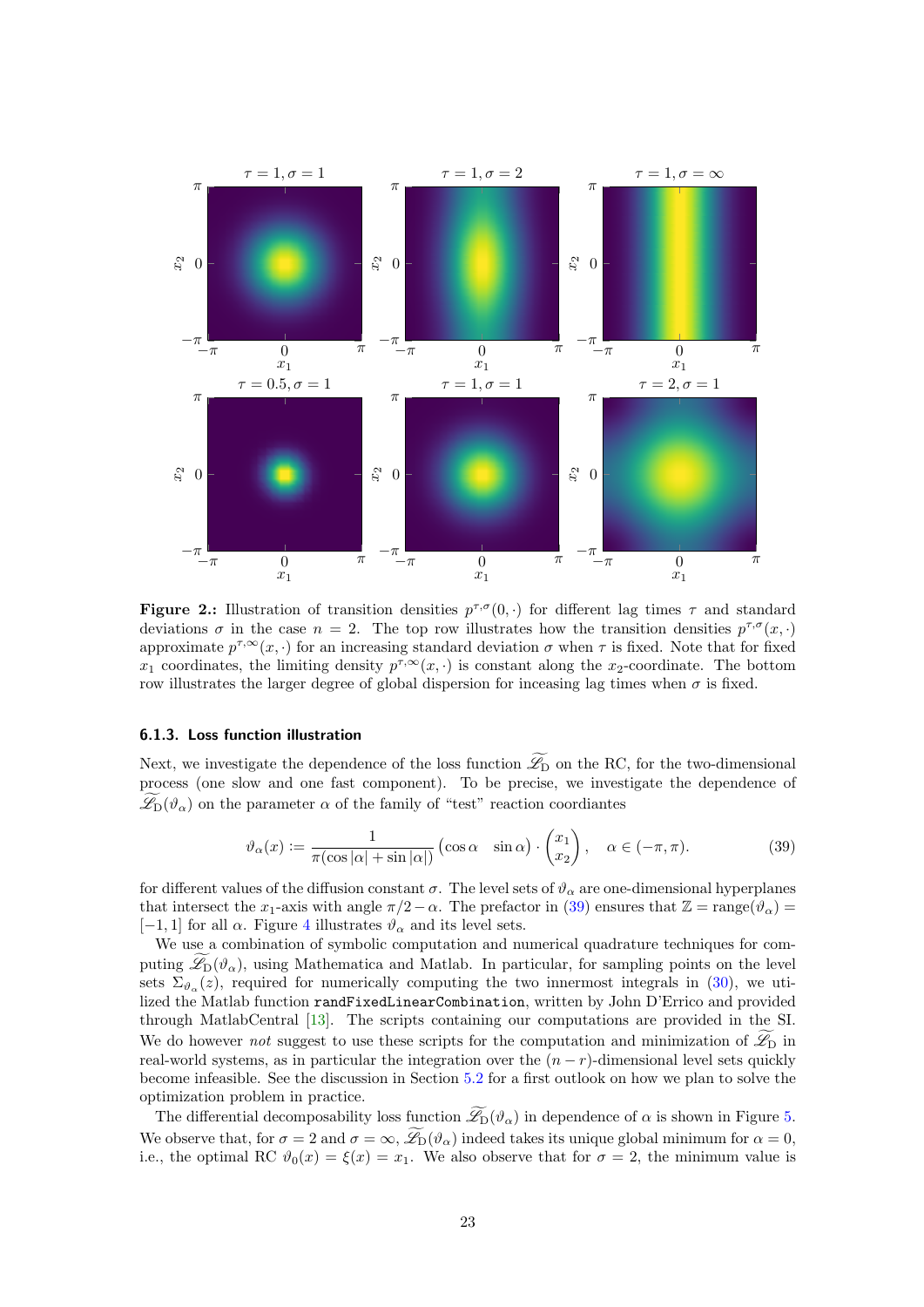<span id="page-22-0"></span>

**Figure 2.:** Illustration of transition densities  $p^{\tau,\sigma}(0, \cdot)$  for different lag times  $\tau$  and standard deviations  $\sigma$  in the case  $n = 2$ . The top row illustrates how the transition densities  $p^{\tau,\sigma}(x, \cdot)$ approximate  $p^{\tau,\infty}(x, \cdot)$  for an increasing standard deviation  $\sigma$  when  $\tau$  is fixed. Note that for fixed  $x_1$  coordinates, the limiting density  $p^{\tau,\infty}(x, \cdot)$  is constant along the  $x_2$ -coordinate. The bottom row illustrates the larger degree of global dispersion for inceasing lag times when  $\sigma$  is fixed.

#### 6.1.3. Loss function illustration

Next, we investigate the dependence of the loss function  $\widetilde{\mathscr{L}}_D$  on the RC, for the two-dimensional process (one slow and one fast component). To be precise, we investigate the dependence of  $\mathscr{L}_{D}(\vartheta_{\alpha})$  on the parameter  $\alpha$  of the family of "test" reaction coordiantes

<span id="page-22-1"></span>
$$
\vartheta_{\alpha}(x) := \frac{1}{\pi(\cos|\alpha| + \sin|\alpha|)} (\cos \alpha - \sin \alpha) \cdot \begin{pmatrix} x_1 \\ x_2 \end{pmatrix}, \quad \alpha \in (-\pi, \pi). \tag{39}
$$

for different values of the diffusion constant  $\sigma$ . The level sets of  $\vartheta_{\alpha}$  are one-dimensional hyperplanes that intersect the x<sub>1</sub>-axis with angle  $\pi/2-\alpha$ . The prefactor in [\(39\)](#page-22-1) ensures that  $\mathbb{Z} = \text{range}(\vartheta_{\alpha}) =$ [−1, 1] for all  $\alpha$ . Figure [4](#page-23-1) illustrates  $\vartheta_{\alpha}$  and its level sets.

We use a combination of symbolic computation and numerical quadrature techniques for computing  $\mathscr{L}_{D}(\vartheta_{\alpha})$ , using Mathematica and Matlab. In particular, for sampling points on the level sets  $\Sigma_{\vartheta_{\alpha}}(z)$ , required for numerically computing the two innermost integrals in [\(30\)](#page-18-0), we utilized the Matlab function randFixedLinearCombination, written by John D'Errico and provided through MatlabCentral [\[13\]](#page-29-16). The scripts containing our computations are provided in the SI. We do however not suggest to use these scripts for the computation and minimization of  $\mathscr{L}_{\mathcal{D}}$  in real-world systems, as in particular the integration over the  $(n - r)$ -dimensional level sets quickly become infeasible. See the discussion in Section [5.2](#page-19-2) for a first outlook on how we plan to solve the optimization problem in practice.

The differential decomposability loss function  $\mathscr{L}_{D}(\vartheta_{\alpha})$  in dependence of  $\alpha$  is shown in Figure [5.](#page-24-0) We observe that, for  $\sigma = 2$  and  $\sigma = \infty$ ,  $\widetilde{\mathscr{L}}_D(\vartheta_\alpha)$  indeed takes its unique global minimum for  $\alpha = 0$ , i.e., the optimal RC  $\vartheta_0(x) = \xi(x) = x_1$ . We also observe that for  $\sigma = 2$ , the minimum value is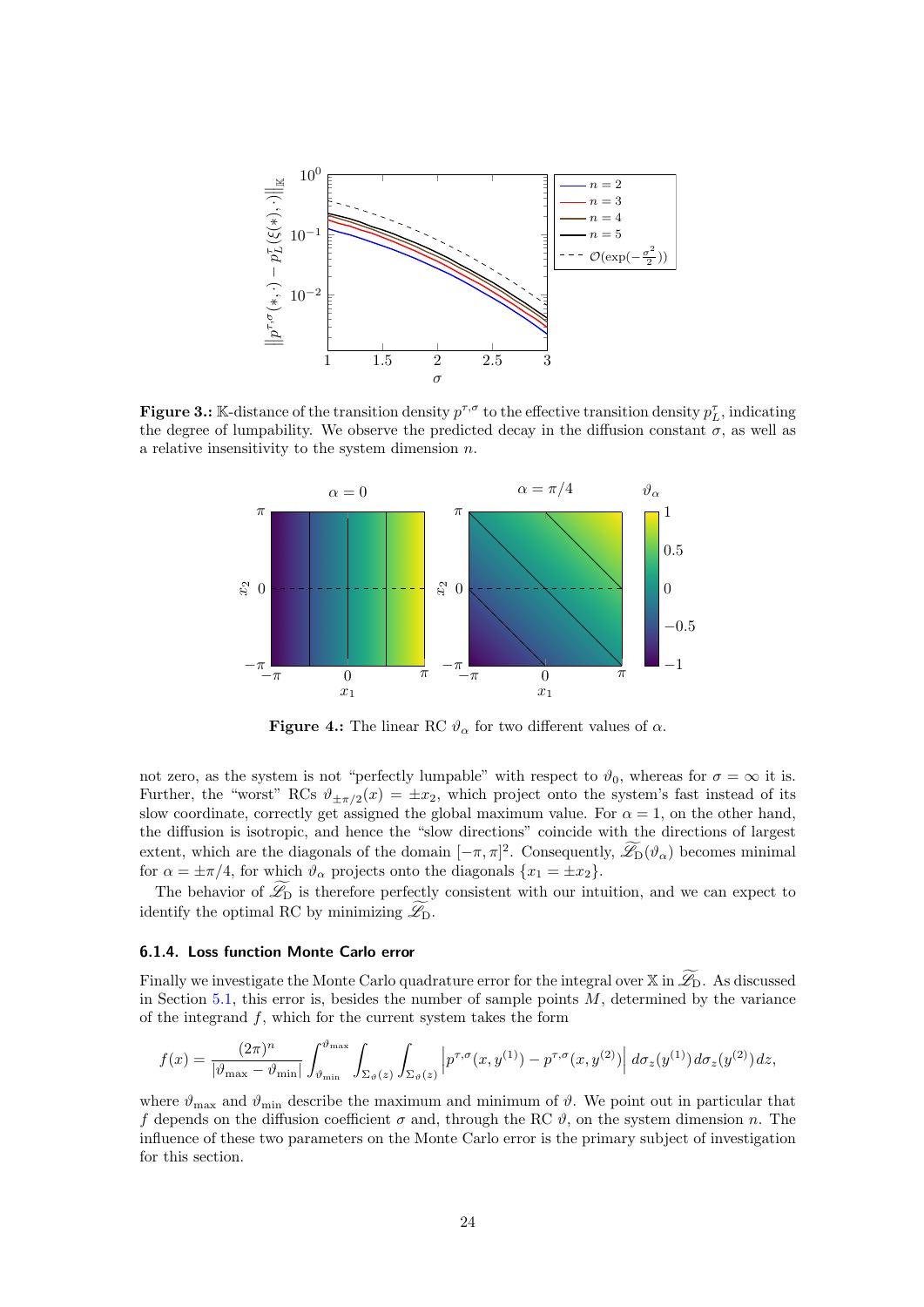<span id="page-23-0"></span>

<span id="page-23-1"></span>**Figure 3.:** K-distance of the transition density  $p^{\tau,\sigma}$  to the effective transition density  $p_L^{\tau}$ , indicating the degree of lumpability. We observe the predicted decay in the diffusion constant  $\sigma$ , as well as a relative insensitivity to the system dimension  $n$ .



**Figure 4.:** The linear RC  $\vartheta_{\alpha}$  for two different values of  $\alpha$ .

not zero, as the system is not "perfectly lumpable" with respect to  $\vartheta_0$ , whereas for  $\sigma = \infty$  it is. Further, the "worst" RCs  $\vartheta_{\pm \pi/2}(x) = \pm x_2$ , which project onto the system's fast instead of its slow coordinate, correctly get assigned the global maximum value. For  $\alpha = 1$ , on the other hand, the diffusion is isotropic, and hence the "slow directions" coincide with the directions of largest extent, which are the diagonals of the domain  $[-\pi, \pi]^2$ . Consequently,  $\mathscr{L}_D(\vartheta_\alpha)$  becomes minimal for  $\alpha = \pm \pi/4$ , for which  $\vartheta_{\alpha}$  projects onto the diagonals  $\{x_1 = \pm x_2\}.$ 

The behavior of  $\mathscr{L}_{D}$  is therefore perfectly consistent with our intuition, and we can expect to identify the optimal RC by minimizing  $\widetilde{\mathscr{L}}_D$ .

#### 6.1.4. Loss function Monte Carlo error

Finally we investigate the Monte Carlo quadrature error for the integral over  $\mathbb{X}$  in  $\mathscr{L}_{D}$ . As discussed in Section [5.1,](#page-18-2) this error is, besides the number of sample points  $M$ , determined by the variance of the integrand  $f$ , which for the current system takes the form

$$
f(x) = \frac{(2\pi)^n}{|\vartheta_{\max} - \vartheta_{\min}|} \int_{\vartheta_{\min}}^{\vartheta_{\max}} \int_{\Sigma_{\vartheta}(z)} \int_{\Sigma_{\vartheta}(z)} \left| p^{\tau,\sigma}(x, y^{(1)}) - p^{\tau,\sigma}(x, y^{(2)}) \right| d\sigma_z(y^{(1)}) d\sigma_z(y^{(2)}) dz,
$$

where  $\vartheta_{\text{max}}$  and  $\vartheta_{\text{min}}$  describe the maximum and minimum of  $\vartheta$ . We point out in particular that f depends on the diffusion coefficient  $\sigma$  and, through the RC  $\vartheta$ , on the system dimension n. The influence of these two parameters on the Monte Carlo error is the primary subject of investigation for this section.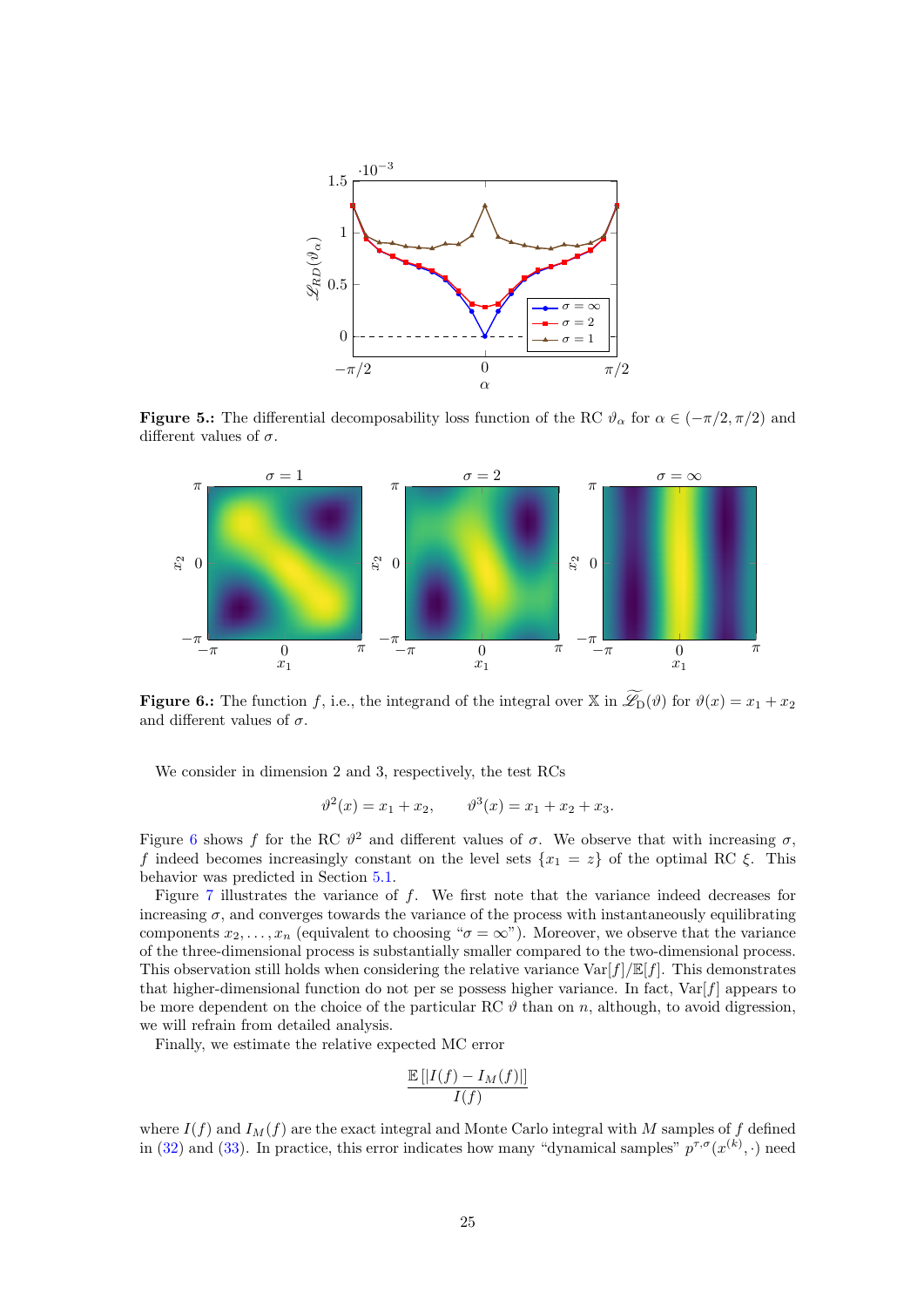<span id="page-24-0"></span>

**Figure 5.:** The differential decomposability loss function of the RC  $\vartheta_{\alpha}$  for  $\alpha \in (-\pi/2, \pi/2)$  and different values of  $\sigma$ .

<span id="page-24-1"></span>

**Figure 6.:** The function f, i.e., the integrand of the integral over  $\mathbb{X}$  in  $\widetilde{\mathscr{L}}_D(\vartheta)$  for  $\vartheta(x) = x_1 + x_2$ and different values of  $\sigma$ .

We consider in dimension 2 and 3, respectively, the test RCs

$$
\vartheta^2(x) = x_1 + x_2, \qquad \vartheta^3(x) = x_1 + x_2 + x_3.
$$

Figure [6](#page-24-1) shows f for the RC  $\vartheta^2$  and different values of  $\sigma$ . We observe that with increasing  $\sigma$ , f indeed becomes increasingly constant on the level sets  ${x_1 = z}$  of the optimal RC  $\xi$ . This behavior was predicted in Section [5.1.](#page-18-2)

Figure [7](#page-25-1) illustrates the variance of f. We first note that the variance indeed decreases for increasing  $\sigma$ , and converges towards the variance of the process with instantaneously equilibrating components  $x_2, \ldots, x_n$  (equivalent to choosing " $\sigma = \infty$ "). Moreover, we observe that the variance of the three-dimensional process is substantially smaller compared to the two-dimensional process. This observation still holds when considering the relative variance  $\text{Var}[f]/\mathbb{E}[f]$ . This demonstrates that higher-dimensional function do not per se possess higher variance. In fact,  $\text{Var}[f]$  appears to be more dependent on the choice of the particular RC  $\vartheta$  than on n, although, to avoid digression, we will refrain from detailed analysis.

Finally, we estimate the relative expected MC error

$$
\frac{\mathbb{E}\left[\left|I(f) - I_M(f)\right|\right]}{I(f)}
$$

where  $I(f)$  and  $I_M(f)$  are the exact integral and Monte Carlo integral with M samples of f defined in [\(32\)](#page-18-3) and [\(33\)](#page-18-1). In practice, this error indicates how many "dynamical samples"  $p^{\tau,\sigma}(x^{(k)},\cdot)$  need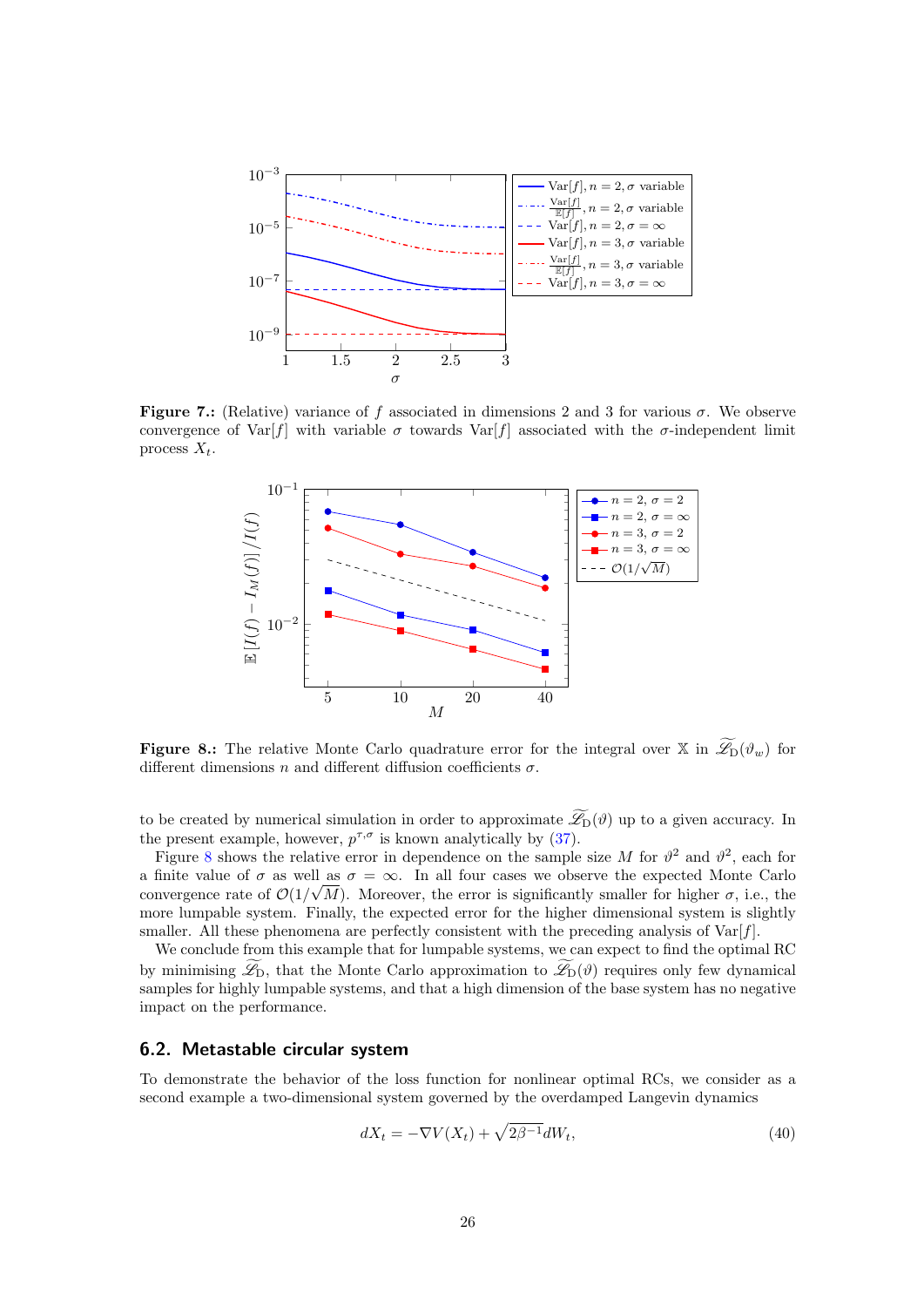<span id="page-25-1"></span>

<span id="page-25-2"></span>Figure 7.: (Relative) variance of f associated in dimensions 2 and 3 for various  $\sigma$ . We observe convergence of Var[f] with variable  $\sigma$  towards Var[f] associated with the  $\sigma$ -independent limit process  $X_t$ .



**Figure 8.:** The relative Monte Carlo quadrature error for the integral over X in  $\widetilde{\mathscr{L}}_D(\vartheta_w)$  for different dimensions n and different diffusion coefficients  $\sigma$ .

to be created by numerical simulation in order to approximate  $\widetilde{\mathscr{L}}_D(\vartheta)$  up to a given accuracy. In the present example, however,  $p^{\tau,\sigma}$  is known analytically by [\(37\)](#page-21-1).

Figure [8](#page-25-2) shows the relative error in dependence on the sample size M for  $\vartheta^2$  and  $\vartheta^2$ , each for a finite value of  $\sigma$  as well as  $\sigma = \infty$ . In all four cases we observe the expected Monte Carlo convergence rate of  $\mathcal{O}(1/\sqrt{M})$ . Moreover, the error is significantly smaller for higher  $\sigma$ , i.e., the more lumpable system. Finally, the expected error for the higher dimensional system is slightly smaller. All these phenomena are perfectly consistent with the preceding analysis of  $\text{Var}[f]$ .

We conclude from this example that for lumpable systems, we can expect to find the optimal RC by minimising  $\mathscr{L}_{D}$ , that the Monte Carlo approximation to  $\mathscr{L}_{D}(\vartheta)$  requires only few dynamical samples for highly lumpable systems, and that a high dimension of the base system has no negative impact on the performance.

## <span id="page-25-0"></span>6.2. Metastable circular system

To demonstrate the behavior of the loss function for nonlinear optimal RCs, we consider as a second example a two-dimensional system governed by the overdamped Langevin dynamics

$$
dX_t = -\nabla V(X_t) + \sqrt{2\beta^{-1}}dW_t,
$$
\n(40)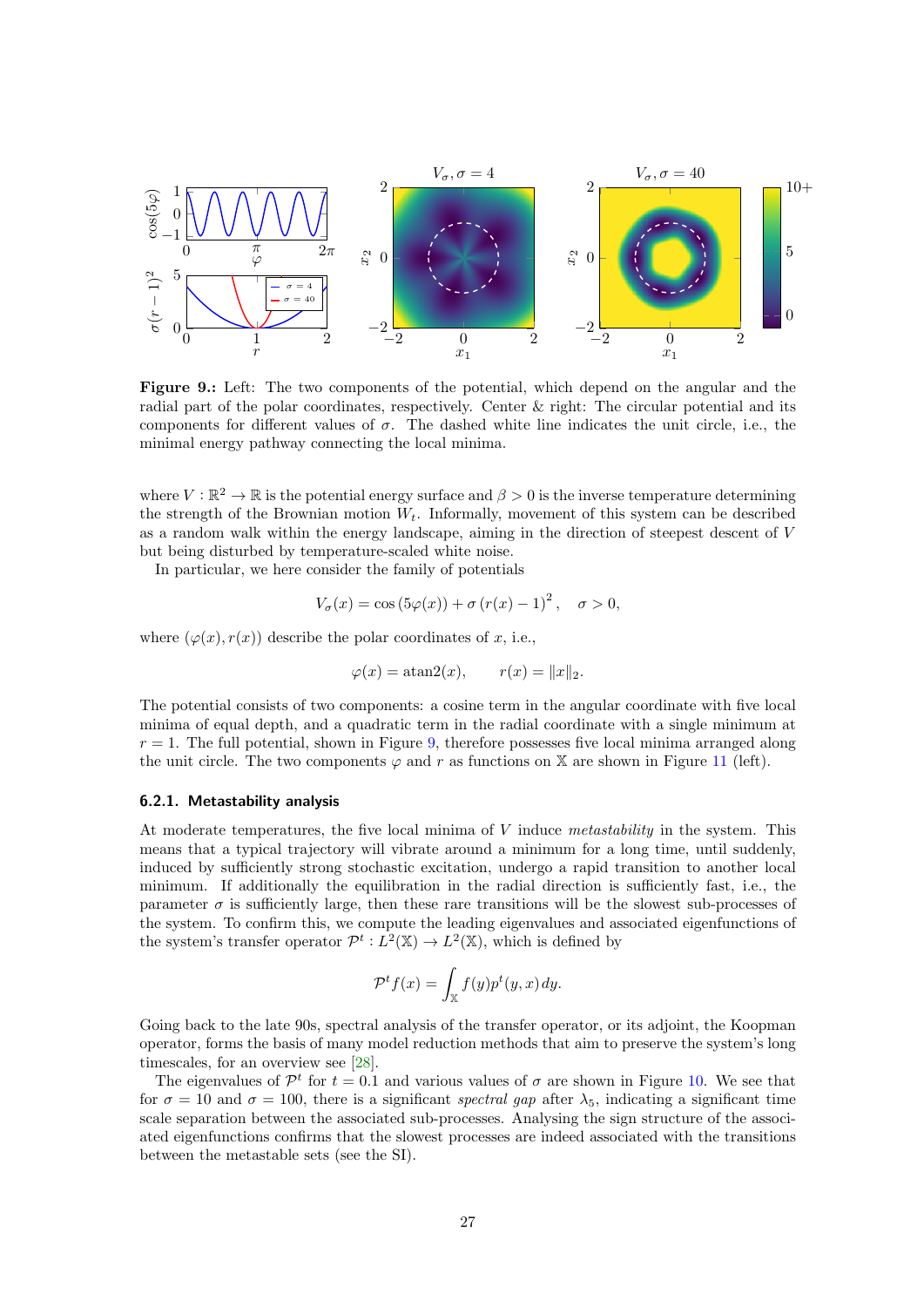<span id="page-26-0"></span>

Figure 9.: Left: The two components of the potential, which depend on the angular and the radial part of the polar coordinates, respectively. Center & right: The circular potential and its components for different values of  $\sigma$ . The dashed white line indicates the unit circle, i.e., the minimal energy pathway connecting the local minima.

where  $V : \mathbb{R}^2 \to \mathbb{R}$  is the potential energy surface and  $\beta > 0$  is the inverse temperature determining the strength of the Brownian motion  $W_t$ . Informally, movement of this system can be described as a random walk within the energy landscape, aiming in the direction of steepest descent of V but being disturbed by temperature-scaled white noise.

In particular, we here consider the family of potentials

$$
V_{\sigma}(x) = \cos(5\varphi(x)) + \sigma (r(x) - 1)^{2}, \quad \sigma > 0,
$$

where  $(\varphi(x), r(x))$  describe the polar coordinates of x, i.e.,

$$
\varphi(x) = \operatorname{atan2}(x), \qquad r(x) = \|x\|_2.
$$

The potential consists of two components: a cosine term in the angular coordinate with five local minima of equal depth, and a quadratic term in the radial coordinate with a single minimum at  $r = 1$ . The full potential, shown in Figure [9,](#page-26-0) therefore possesses five local minima arranged along the unit circle. The two components  $\varphi$  and r as functions on X are shown in Figure [11](#page-28-1) (left).

#### 6.2.1. Metastability analysis

At moderate temperatures, the five local minima of V induce metastability in the system. This means that a typical trajectory will vibrate around a minimum for a long time, until suddenly, induced by sufficiently strong stochastic excitation, undergo a rapid transition to another local minimum. If additionally the equilibration in the radial direction is sufficiently fast, i.e., the parameter  $\sigma$  is sufficiently large, then these rare transitions will be the slowest sub-processes of the system. To confirm this, we compute the leading eigenvalues and associated eigenfunctions of the system's transfer operator  $\mathcal{P}^t: L^2(\mathbb{X}) \to L^2(\mathbb{X})$ , which is defined by

$$
\mathcal{P}^t f(x) = \int_{\mathbb{X}} f(y) p^t(y, x) \, dy.
$$

Going back to the late 90s, spectral analysis of the transfer operator, or its adjoint, the Koopman operator, forms the basis of many model reduction methods that aim to preserve the system's long timescales, for an overview see [\[28\]](#page-30-5).

The eigenvalues of  $\mathcal{P}^t$  for  $t = 0.1$  and various values of  $\sigma$  are shown in Figure [10.](#page-27-0) We see that for  $\sigma = 10$  and  $\sigma = 100$ , there is a significant spectral gap after  $\lambda_5$ , indicating a significant time scale separation between the associated sub-processes. Analysing the sign structure of the associated eigenfunctions confirms that the slowest processes are indeed associated with the transitions between the metastable sets (see the SI).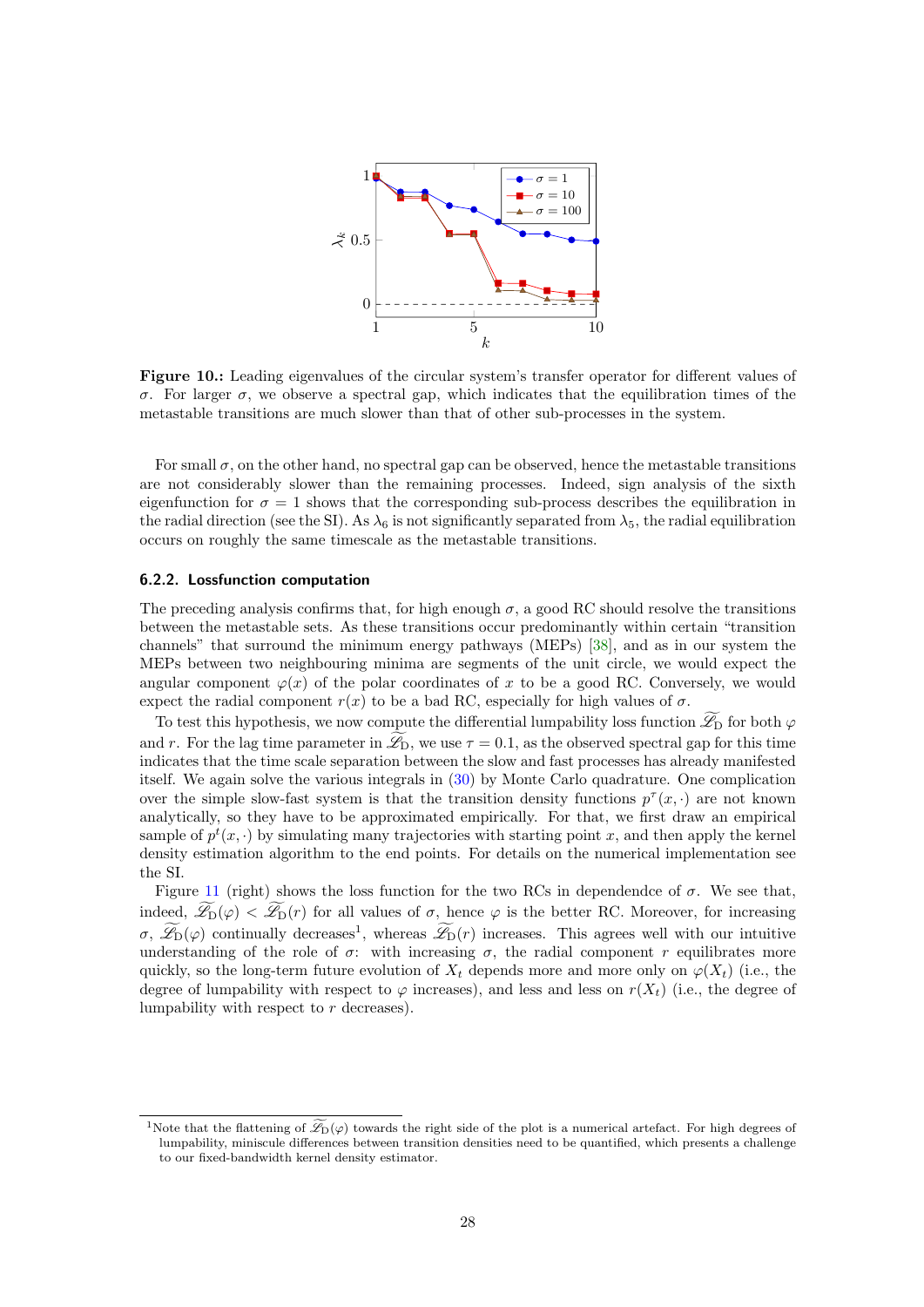<span id="page-27-0"></span>

Figure 10.: Leading eigenvalues of the circular system's transfer operator for different values of σ. For larger σ, we observe a spectral gap, which indicates that the equilibration times of the metastable transitions are much slower than that of other sub-processes in the system.

For small  $\sigma$ , on the other hand, no spectral gap can be observed, hence the metastable transitions are not considerably slower than the remaining processes. Indeed, sign analysis of the sixth eigenfunction for  $\sigma = 1$  shows that the corresponding sub-process describes the equilibration in the radial direction (see the SI). As  $\lambda_6$  is not significantly separated from  $\lambda_5$ , the radial equilibration occurs on roughly the same timescale as the metastable transitions.

## 6.2.2. Lossfunction computation

The preceding analysis confirms that, for high enough  $\sigma$ , a good RC should resolve the transitions between the metastable sets. As these transitions occur predominantly within certain "transition channels" that surround the minimum energy pathways (MEPs) [\[38\]](#page-31-18), and as in our system the MEPs between two neighbouring minima are segments of the unit circle, we would expect the angular component  $\varphi(x)$  of the polar coordinates of x to be a good RC. Conversely, we would expect the radial component  $r(x)$  to be a bad RC, especially for high values of  $\sigma$ .

To test this hypothesis, we now compute the differential lumpability loss function  $\mathscr{L}_{D}$  for both  $\varphi$ and r. For the lag time parameter in  $\mathscr{L}_{\mathcal{D}}$ , we use  $\tau = 0.1$ , as the observed spectral gap for this time indicates that the time scale separation between the slow and fast processes has already manifested itself. We again solve the various integrals in [\(30\)](#page-18-0) by Monte Carlo quadrature. One complication over the simple slow-fast system is that the transition density functions  $p^{\tau}(x, \cdot)$  are not known analytically, so they have to be approximated empirically. For that, we first draw an empirical sample of  $p^t(x, \cdot)$  by simulating many trajectories with starting point x, and then apply the kernel density estimation algorithm to the end points. For details on the numerical implementation see the SI.

Figure [11](#page-28-1) (right) shows the loss function for the two RCs in dependendce of  $\sigma$ . We see that, indeed,  $\widetilde{\mathscr{L}}_D(\varphi) < \widetilde{\mathscr{L}}_D(r)$  for all values of  $\sigma$ , hence  $\varphi$  is the better RC. Moreover, for increasing  $\sigma$ ,  $\mathscr{L}_{D}(\varphi)$  continually decreases<sup>1</sup>, whereas  $\mathscr{L}_{D}(r)$  increases. This agrees well with our intuitive understanding of the role of  $\sigma$ : with increasing  $\sigma$ , the radial component r equilibrates more quickly, so the long-term future evolution of  $X_t$  depends more and more only on  $\varphi(X_t)$  (i.e., the degree of lumpability with respect to  $\varphi$  increases), and less and less on  $r(X_t)$  (i.e., the degree of lumpability with respect to r decreases).

<sup>&</sup>lt;sup>1</sup>Note that the flattening of  $\mathcal{Z}_D(\varphi)$  towards the right side of the plot is a numerical artefact. For high degrees of lumpability, miniscule differences between transition densities need to be quantified, which presents a challenge to our fixed-bandwidth kernel density estimator.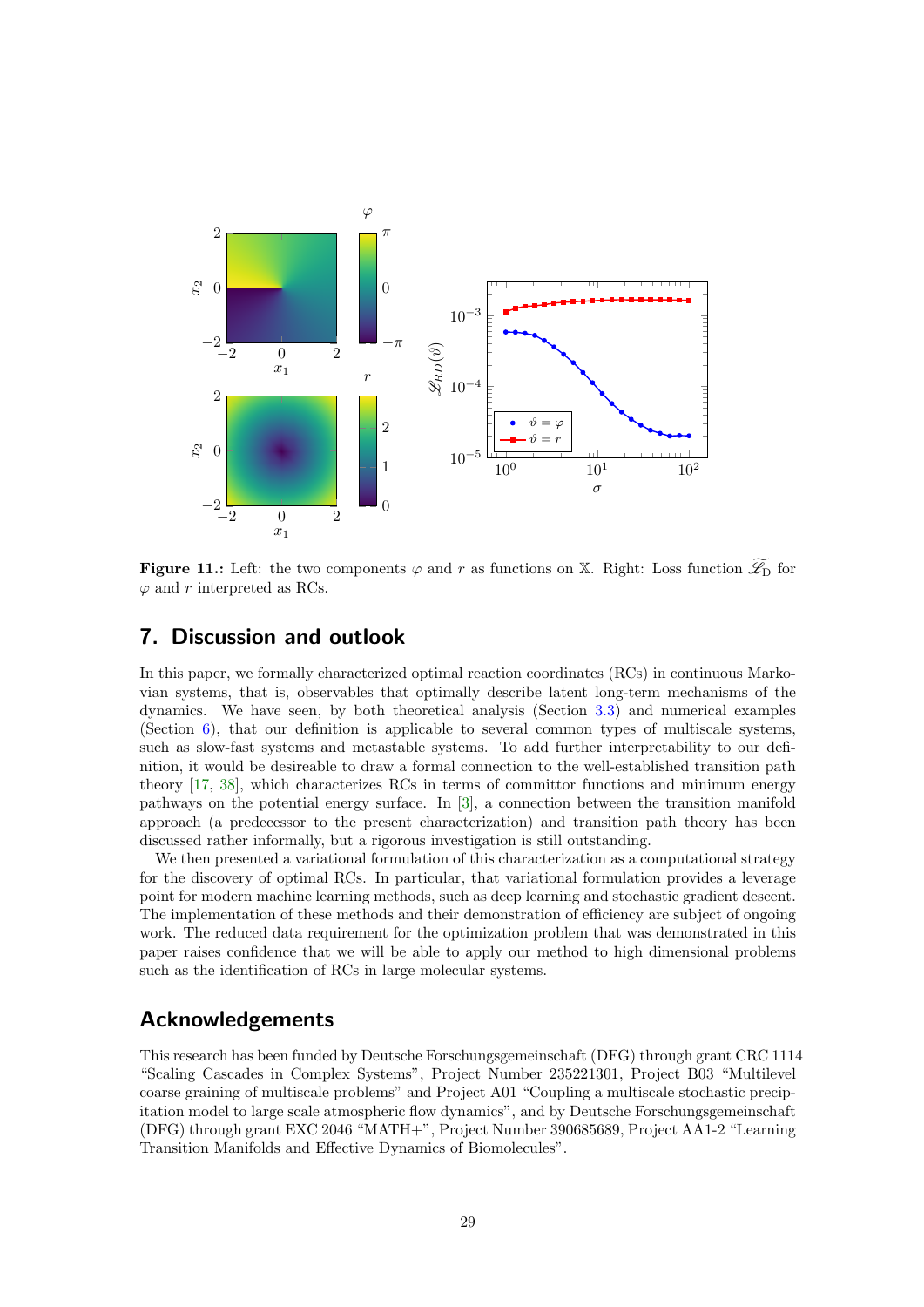<span id="page-28-1"></span>

**Figure 11.:** Left: the two components  $\varphi$  and r as functions on X. Right: Loss function  $\widetilde{\mathscr{L}}_D$  for  $\varphi$  and r interpreted as RCs.

# <span id="page-28-0"></span>7. Discussion and outlook

In this paper, we formally characterized optimal reaction coordinates (RCs) in continuous Markovian systems, that is, observables that optimally describe latent long-term mechanisms of the dynamics. We have seen, by both theoretical analysis (Section [3.3\)](#page-7-0) and numerical examples (Section [6\)](#page-20-0), that our definition is applicable to several common types of multiscale systems, such as slow-fast systems and metastable systems. To add further interpretability to our definition, it would be desireable to draw a formal connection to the well-established transition path theory [\[17,](#page-29-3) [38\]](#page-31-18), which characterizes RCs in terms of committor functions and minimum energy pathways on the potential energy surface. In [\[3\]](#page-29-1), a connection between the transition manifold approach (a predecessor to the present characterization) and transition path theory has been discussed rather informally, but a rigorous investigation is still outstanding.

We then presented a variational formulation of this characterization as a computational strategy for the discovery of optimal RCs. In particular, that variational formulation provides a leverage point for modern machine learning methods, such as deep learning and stochastic gradient descent. The implementation of these methods and their demonstration of efficiency are subject of ongoing work. The reduced data requirement for the optimization problem that was demonstrated in this paper raises confidence that we will be able to apply our method to high dimensional problems such as the identification of RCs in large molecular systems.

# Acknowledgements

This research has been funded by Deutsche Forschungsgemeinschaft (DFG) through grant CRC 1114 "Scaling Cascades in Complex Systems", Project Number 235221301, Project B03 "Multilevel coarse graining of multiscale problems" and Project A01 "Coupling a multiscale stochastic precipitation model to large scale atmospheric flow dynamics", and by Deutsche Forschungsgemeinschaft (DFG) through grant EXC 2046 "MATH+", Project Number 390685689, Project AA1-2 "Learning Transition Manifolds and Effective Dynamics of Biomolecules".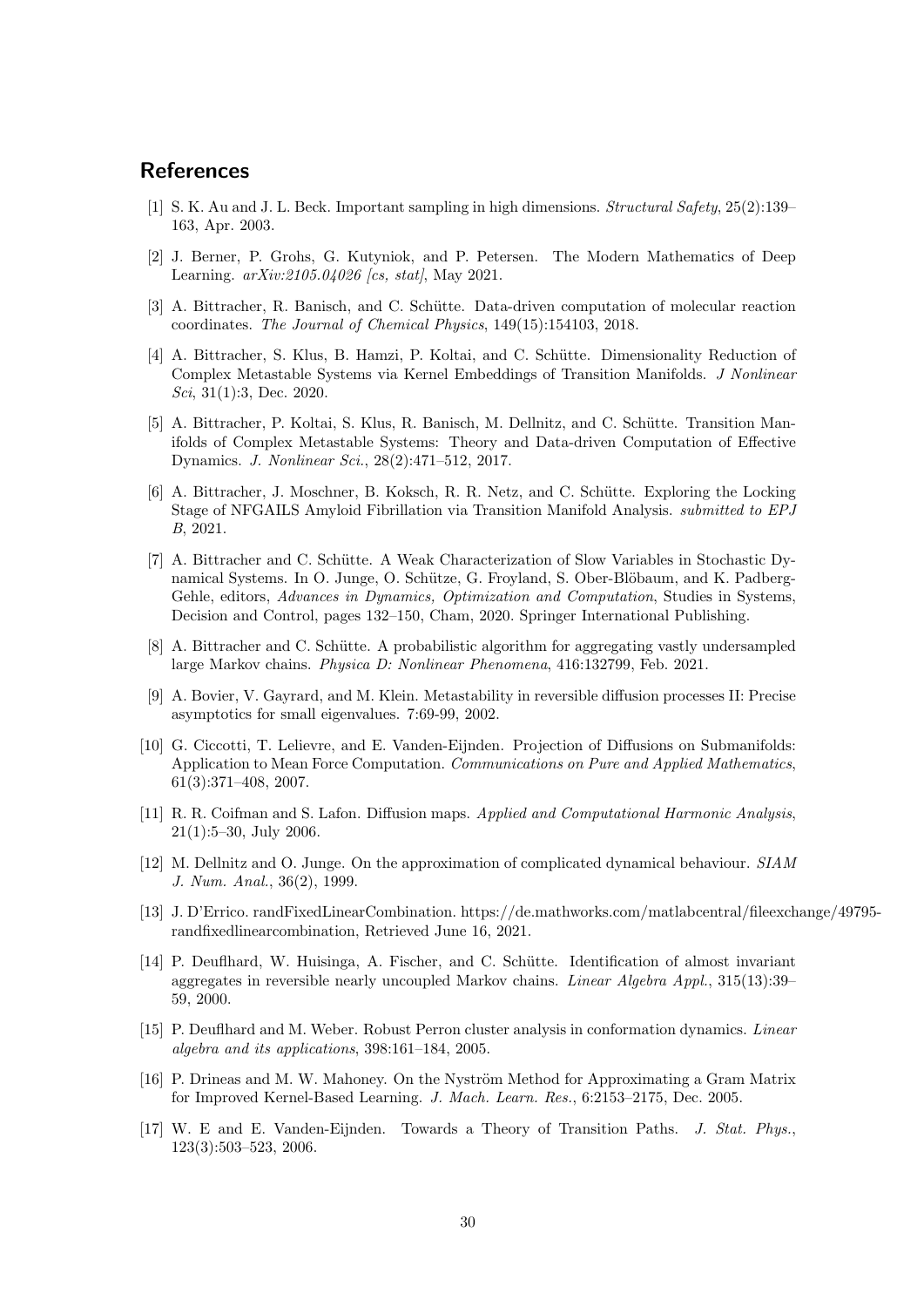# References

- <span id="page-29-14"></span>[1] S. K. Au and J. L. Beck. Important sampling in high dimensions. Structural Safety, 25(2):139– 163, Apr. 2003.
- <span id="page-29-8"></span>[2] J. Berner, P. Grohs, G. Kutyniok, and P. Petersen. The Modern Mathematics of Deep Learning.  $arXiv:2105.04026$  [cs, stat], May 2021.
- <span id="page-29-1"></span>[3] A. Bittracher, R. Banisch, and C. Schütte. Data-driven computation of molecular reaction coordinates. The Journal of Chemical Physics, 149(15):154103, 2018.
- <span id="page-29-7"></span>[4] A. Bittracher, S. Klus, B. Hamzi, P. Koltai, and C. Schütte. Dimensionality Reduction of Complex Metastable Systems via Kernel Embeddings of Transition Manifolds. J Nonlinear Sci, 31(1):3, Dec. 2020.
- <span id="page-29-0"></span>[5] A. Bittracher, P. Koltai, S. Klus, R. Banisch, M. Dellnitz, and C. Schütte. Transition Manifolds of Complex Metastable Systems: Theory and Data-driven Computation of Effective Dynamics. J. Nonlinear Sci., 28(2):471–512, 2017.
- <span id="page-29-2"></span>[6] A. Bittracher, J. Moschner, B. Koksch, R. R. Netz, and C. Schütte. Exploring the Locking Stage of NFGAILS Amyloid Fibrillation via Transition Manifold Analysis. submitted to EPJ B, 2021.
- <span id="page-29-4"></span>[7] A. Bittracher and C. Schütte. A Weak Characterization of Slow Variables in Stochastic Dynamical Systems. In O. Junge, O. Schütze, G. Froyland, S. Ober-Blöbaum, and K. Padberg-Gehle, editors, Advances in Dynamics, Optimization and Computation, Studies in Systems, Decision and Control, pages 132–150, Cham, 2020. Springer International Publishing.
- <span id="page-29-9"></span>[8] A. Bittracher and C. Schütte. A probabilistic algorithm for aggregating vastly undersampled large Markov chains. Physica D: Nonlinear Phenomena, 416:132799, Feb. 2021.
- <span id="page-29-13"></span>[9] A. Bovier, V. Gayrard, and M. Klein. Metastability in reversible diffusion processes II: Precise asymptotics for small eigenvalues. 7:69-99, 2002.
- <span id="page-29-15"></span>[10] G. Ciccotti, T. Lelievre, and E. Vanden-Eijnden. Projection of Diffusions on Submanifolds: Application to Mean Force Computation. Communications on Pure and Applied Mathematics, 61(3):371–408, 2007.
- <span id="page-29-11"></span>[11] R. R. Coifman and S. Lafon. Diffusion maps. Applied and Computational Harmonic Analysis, 21(1):5–30, July 2006.
- <span id="page-29-5"></span>[12] M. Dellnitz and O. Junge. On the approximation of complicated dynamical behaviour. SIAM J. Num. Anal., 36(2), 1999.
- <span id="page-29-16"></span>[13] J. D'Errico. randFixedLinearCombination. https://de.mathworks.com/matlabcentral/fileexchange/49795 randfixedlinearcombination, Retrieved June 16, 2021.
- <span id="page-29-12"></span>[14] P. Deufthard, W. Huisinga, A. Fischer, and C. Schütte. Identification of almost invariant aggregates in reversible nearly uncoupled Markov chains. Linear Algebra Appl., 315(13):39– 59, 2000.
- <span id="page-29-6"></span>[15] P. Deuflhard and M. Weber. Robust Perron cluster analysis in conformation dynamics. Linear algebra and its applications, 398:161–184, 2005.
- <span id="page-29-10"></span>[16] P. Drineas and M. W. Mahoney. On the Nyström Method for Approximating a Gram Matrix for Improved Kernel-Based Learning. J. Mach. Learn. Res., 6:2153–2175, Dec. 2005.
- <span id="page-29-3"></span>[17] W. E and E. Vanden-Eijnden. Towards a Theory of Transition Paths. J. Stat. Phys., 123(3):503–523, 2006.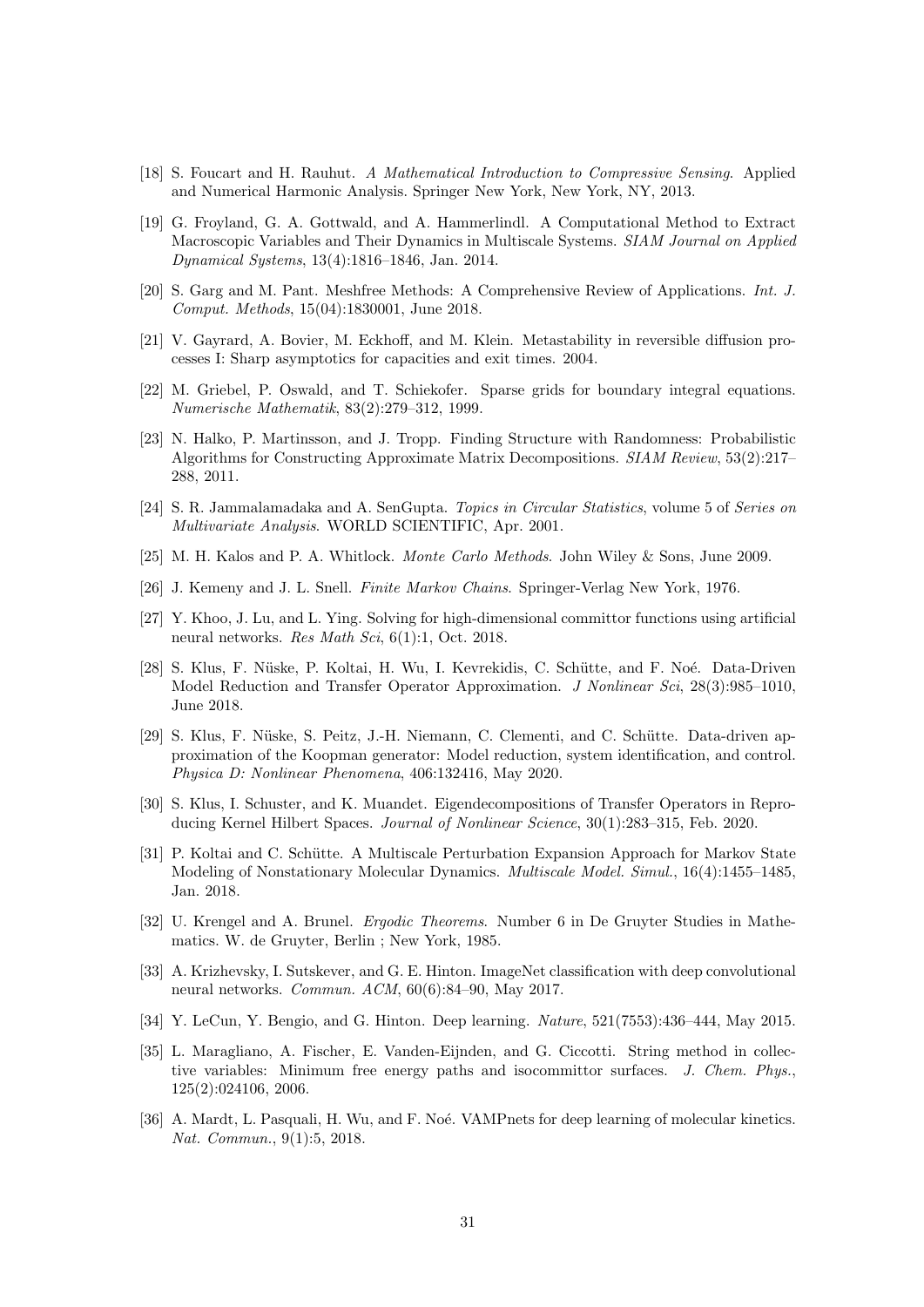- <span id="page-30-1"></span>[18] S. Foucart and H. Rauhut. A Mathematical Introduction to Compressive Sensing. Applied and Numerical Harmonic Analysis. Springer New York, New York, NY, 2013.
- <span id="page-30-4"></span>[19] G. Froyland, G. A. Gottwald, and A. Hammerlindl. A Computational Method to Extract Macroscopic Variables and Their Dynamics in Multiscale Systems. SIAM Journal on Applied Dynamical Systems, 13(4):1816–1846, Jan. 2014.
- <span id="page-30-15"></span>[20] S. Garg and M. Pant. Meshfree Methods: A Comprehensive Review of Applications. Int. J. Comput. Methods, 15(04):1830001, June 2018.
- <span id="page-30-11"></span>[21] V. Gayrard, A. Bovier, M. Eckhoff, and M. Klein. Metastability in reversible diffusion processes I: Sharp asymptotics for capacities and exit times. 2004.
- <span id="page-30-14"></span>[22] M. Griebel, P. Oswald, and T. Schiekofer. Sparse grids for boundary integral equations. Numerische Mathematik, 83(2):279–312, 1999.
- <span id="page-30-0"></span>[23] N. Halko, P. Martinsson, and J. Tropp. Finding Structure with Randomness: Probabilistic Algorithms for Constructing Approximate Matrix Decompositions. SIAM Review, 53(2):217– 288, 2011.
- <span id="page-30-18"></span>[24] S. R. Jammalamadaka and A. SenGupta. Topics in Circular Statistics, volume 5 of Series on Multivariate Analysis. WORLD SCIENTIFIC, Apr. 2001.
- <span id="page-30-13"></span>[25] M. H. Kalos and P. A. Whitlock. Monte Carlo Methods. John Wiley & Sons, June 2009.
- <span id="page-30-9"></span>[26] J. Kemeny and J. L. Snell. Finite Markov Chains. Springer-Verlag New York, 1976.
- <span id="page-30-6"></span>[27] Y. Khoo, J. Lu, and L. Ying. Solving for high-dimensional committor functions using artificial neural networks. Res Math Sci, 6(1):1, Oct. 2018.
- <span id="page-30-5"></span>[28] S. Klus, F. Nüske, P. Koltai, H. Wu, I. Kevrekidis, C. Schütte, and F. Noé. Data-Driven Model Reduction and Transfer Operator Approximation. J Nonlinear Sci, 28(3):985–1010, June 2018.
- <span id="page-30-12"></span>[29] S. Klus, F. Nüske, S. Peitz, J.-H. Niemann, C. Clementi, and C. Schütte. Data-driven approximation of the Koopman generator: Model reduction, system identification, and control. Physica D: Nonlinear Phenomena, 406:132416, May 2020.
- <span id="page-30-3"></span>[30] S. Klus, I. Schuster, and K. Muandet. Eigendecompositions of Transfer Operators in Reproducing Kernel Hilbert Spaces. Journal of Nonlinear Science, 30(1):283–315, Feb. 2020.
- <span id="page-30-10"></span>[31] P. Koltai and C. Schütte. A Multiscale Perturbation Expansion Approach for Markov State Modeling of Nonstationary Molecular Dynamics. Multiscale Model. Simul., 16(4):1455–1485, Jan. 2018.
- <span id="page-30-8"></span>[32] U. Krengel and A. Brunel. Ergodic Theorems. Number 6 in De Gruyter Studies in Mathematics. W. de Gruyter, Berlin ; New York, 1985.
- <span id="page-30-17"></span>[33] A. Krizhevsky, I. Sutskever, and G. E. Hinton. ImageNet classification with deep convolutional neural networks. Commun. ACM, 60(6):84–90, May 2017.
- <span id="page-30-16"></span>[34] Y. LeCun, Y. Bengio, and G. Hinton. Deep learning. Nature, 521(7553):436–444, May 2015.
- <span id="page-30-2"></span>[35] L. Maragliano, A. Fischer, E. Vanden-Eijnden, and G. Ciccotti. String method in collective variables: Minimum free energy paths and isocommittor surfaces. J. Chem. Phys., 125(2):024106, 2006.
- <span id="page-30-7"></span>[36] A. Mardt, L. Pasquali, H. Wu, and F. Noé. VAMPnets for deep learning of molecular kinetics. Nat. Commun., 9(1):5, 2018.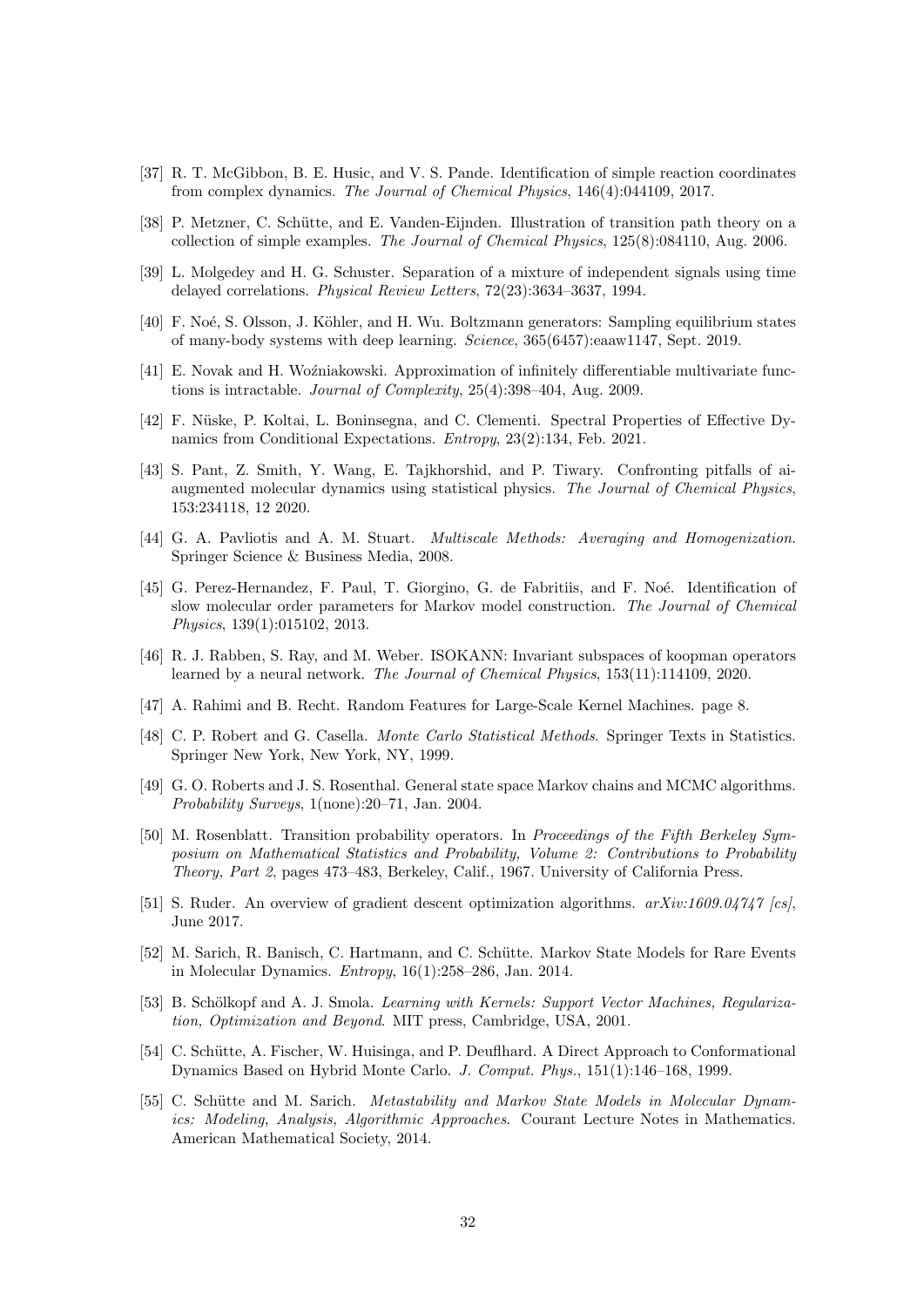- <span id="page-31-4"></span>[37] R. T. McGibbon, B. E. Husic, and V. S. Pande. Identification of simple reaction coordinates from complex dynamics. The Journal of Chemical Physics, 146(4):044109, 2017.
- <span id="page-31-18"></span>[38] P. Metzner, C. Schütte, and E. Vanden-Eijnden. Illustration of transition path theory on a collection of simple examples. The Journal of Chemical Physics, 125(8):084110, Aug. 2006.
- <span id="page-31-5"></span>[39] L. Molgedey and H. G. Schuster. Separation of a mixture of independent signals using time delayed correlations. Physical Review Letters, 72(23):3634–3637, 1994.
- <span id="page-31-14"></span>[40] F. Noé, S. Olsson, J. Köhler, and H. Wu. Boltzmann generators: Sampling equilibrium states of many-body systems with deep learning. Science, 365(6457):eaaw1147, Sept. 2019.
- <span id="page-31-15"></span>[41] E. Novak and H. Woźniakowski. Approximation of infinitely differentiable multivariate functions is intractable. Journal of Complexity, 25(4):398–404, Aug. 2009.
- <span id="page-31-12"></span>[42] F. Nüske, P. Koltai, L. Boninsegna, and C. Clementi. Spectral Properties of Effective Dynamics from Conditional Expectations. Entropy, 23(2):134, Feb. 2021.
- <span id="page-31-8"></span>[43] S. Pant, Z. Smith, Y. Wang, E. Tajkhorshid, and P. Tiwary. Confronting pitfalls of aiaugmented molecular dynamics using statistical physics. The Journal of Chemical Physics, 153:234118, 12 2020.
- <span id="page-31-1"></span>[44] G. A. Pavliotis and A. M. Stuart. Multiscale Methods: Averaging and Homogenization. Springer Science & Business Media, 2008.
- <span id="page-31-0"></span>[45] G. Perez-Hernandez, F. Paul, T. Giorgino, G. de Fabritiis, and F. Noé. Identification of slow molecular order parameters for Markov model construction. The Journal of Chemical Physics, 139(1):015102, 2013.
- <span id="page-31-7"></span>[46] R. J. Rabben, S. Ray, and M. Weber. ISOKANN: Invariant subspaces of koopman operators learned by a neural network. The Journal of Chemical Physics, 153(11):114109, 2020.
- <span id="page-31-9"></span>[47] A. Rahimi and B. Recht. Random Features for Large-Scale Kernel Machines. page 8.
- <span id="page-31-13"></span>[48] C. P. Robert and G. Casella. Monte Carlo Statistical Methods. Springer Texts in Statistics. Springer New York, New York, NY, 1999.
- <span id="page-31-11"></span>[49] G. O. Roberts and J. S. Rosenthal. General state space Markov chains and MCMC algorithms. Probability Surveys, 1(none):20–71, Jan. 2004.
- <span id="page-31-10"></span>[50] M. Rosenblatt. Transition probability operators. In Proceedings of the Fifth Berkeley Symposium on Mathematical Statistics and Probability, Volume 2: Contributions to Probability Theory, Part 2, pages 473–483, Berkeley, Calif., 1967. University of California Press.
- <span id="page-31-17"></span>[51] S. Ruder. An overview of gradient descent optimization algorithms. arXiv:1609.04747 [cs], June 2017.
- <span id="page-31-3"></span>[52] M. Sarich, R. Banisch, C. Hartmann, and C. Schütte. Markov State Models for Rare Events in Molecular Dynamics. Entropy, 16(1):258–286, Jan. 2014.
- <span id="page-31-16"></span>[53] B. Schölkopf and A. J. Smola. Learning with Kernels: Support Vector Machines, Regularization, Optimization and Beyond. MIT press, Cambridge, USA, 2001.
- <span id="page-31-6"></span>[54] C. Schütte, A. Fischer, W. Huisinga, and P. Deuflhard. A Direct Approach to Conformational Dynamics Based on Hybrid Monte Carlo. J. Comput. Phys., 151(1):146–168, 1999.
- <span id="page-31-2"></span>[55] C. Schütte and M. Sarich. Metastability and Markov State Models in Molecular Dynamics: Modeling, Analysis, Algorithmic Approaches. Courant Lecture Notes in Mathematics. American Mathematical Society, 2014.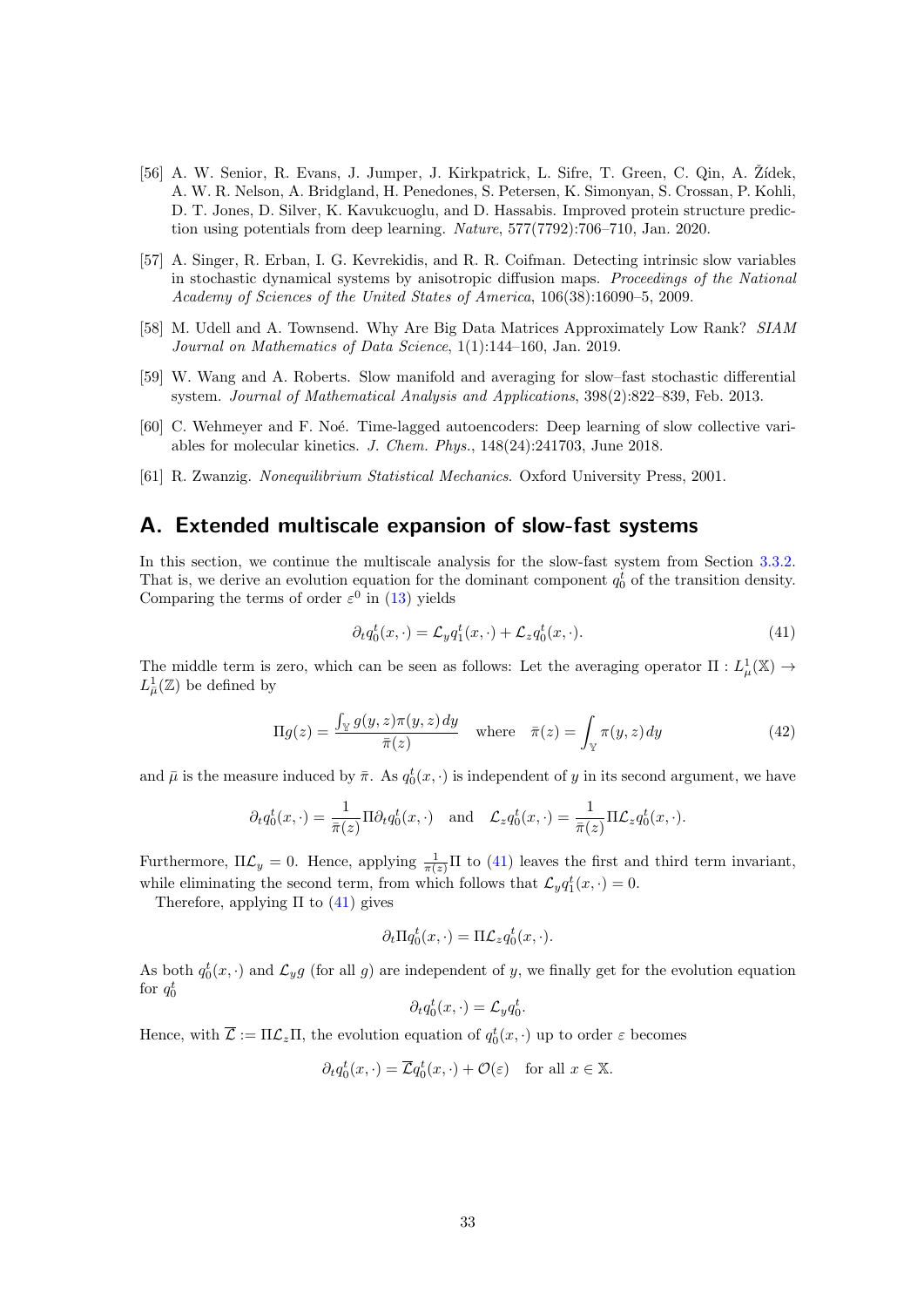- <span id="page-32-6"></span>[56] A. W. Senior, R. Evans, J. Jumper, J. Kirkpatrick, L. Sifre, T. Green, C. Qin, A. Zídek, A. W. R. Nelson, A. Bridgland, H. Penedones, S. Petersen, K. Simonyan, S. Crossan, P. Kohli, D. T. Jones, D. Silver, K. Kavukcuoglu, and D. Hassabis. Improved protein structure prediction using potentials from deep learning. Nature, 577(7792):706–710, Jan. 2020.
- <span id="page-32-3"></span>[57] A. Singer, R. Erban, I. G. Kevrekidis, and R. R. Coifman. Detecting intrinsic slow variables in stochastic dynamical systems by anisotropic diffusion maps. Proceedings of the National Academy of Sciences of the United States of America, 106(38):16090–5, 2009.
- <span id="page-32-4"></span>[58] M. Udell and A. Townsend. Why Are Big Data Matrices Approximately Low Rank? SIAM Journal on Mathematics of Data Science, 1(1):144–160, Jan. 2019.
- <span id="page-32-2"></span>[59] W. Wang and A. Roberts. Slow manifold and averaging for slow–fast stochastic differential system. Journal of Mathematical Analysis and Applications, 398(2):822–839, Feb. 2013.
- <span id="page-32-1"></span>[60] C. Wehmeyer and F. Noé. Time-lagged autoencoders: Deep learning of slow collective variables for molecular kinetics. J. Chem. Phys., 148(24):241703, June 2018.
- <span id="page-32-0"></span>[61] R. Zwanzig. Nonequilibrium Statistical Mechanics. Oxford University Press, 2001.

# <span id="page-32-5"></span>A. Extended multiscale expansion of slow-fast systems

In this section, we continue the multiscale analysis for the slow-fast system from Section [3.3.2.](#page-9-0) That is, we derive an evolution equation for the dominant component  $q_0^t$  of the transition density. Comparing the terms of order  $\varepsilon^0$  in [\(13\)](#page-10-2) yields

<span id="page-32-7"></span>
$$
\partial_t q_0^t(x,\cdot) = \mathcal{L}_y q_1^t(x,\cdot) + \mathcal{L}_z q_0^t(x,\cdot). \tag{41}
$$

The middle term is zero, which can be seen as follows: Let the averaging operator  $\Pi : L^1_\mu(\mathbb{X}) \to L^2(\mathbb{X})$  $L^1_{\bar{\mu}}(\mathbb{Z})$  be defined by

$$
\Pi g(z) = \frac{\int_{\mathbb{Y}} g(y, z)\pi(y, z) dy}{\overline{\pi}(z)} \quad \text{where} \quad \overline{\pi}(z) = \int_{\mathbb{Y}} \pi(y, z) dy \tag{42}
$$

and  $\bar{\mu}$  is the measure induced by  $\bar{\pi}$ . As  $q_0^t(x, \cdot)$  is independent of y in its second argument, we have

$$
\partial_t q_0^t(x,\cdot) = \frac{1}{\bar{\pi}(z)} \Pi \partial_t q_0^t(x,\cdot) \quad \text{and} \quad \mathcal{L}_z q_0^t(x,\cdot) = \frac{1}{\bar{\pi}(z)} \Pi \mathcal{L}_z q_0^t(x,\cdot).
$$

Furthermore,  $\Pi \mathcal{L}_y = 0$ . Hence, applying  $\frac{1}{\pi(z)} \Pi$  to [\(41\)](#page-32-7) leaves the first and third term invariant, while eliminating the second term, from which follows that  $\mathcal{L}_y q_1^t(x, \cdot) = 0$ .

Therefore, applying  $\Pi$  to  $(41)$  gives

$$
\partial_t \Pi q_0^t(x,\cdot) = \Pi \mathcal{L}_z q_0^t(x,\cdot).
$$

As both  $q_0^t(x, \cdot)$  and  $\mathcal{L}_y g$  (for all g) are independent of y, we finally get for the evolution equation for  $q_0^t$ 

$$
\partial_t q_0^t(x,\cdot) = \mathcal{L}_y q_0^t.
$$

Hence, with  $\overline{\mathcal{L}} := \Pi \mathcal{L}_z \Pi$ , the evolution equation of  $q_0^t(x, \cdot)$  up to order  $\varepsilon$  becomes

$$
\partial_t q_0^t(x,\cdot) = \overline{\mathcal{L}} q_0^t(x,\cdot) + \mathcal{O}(\varepsilon) \quad \text{for all } x \in \mathbb{X}.
$$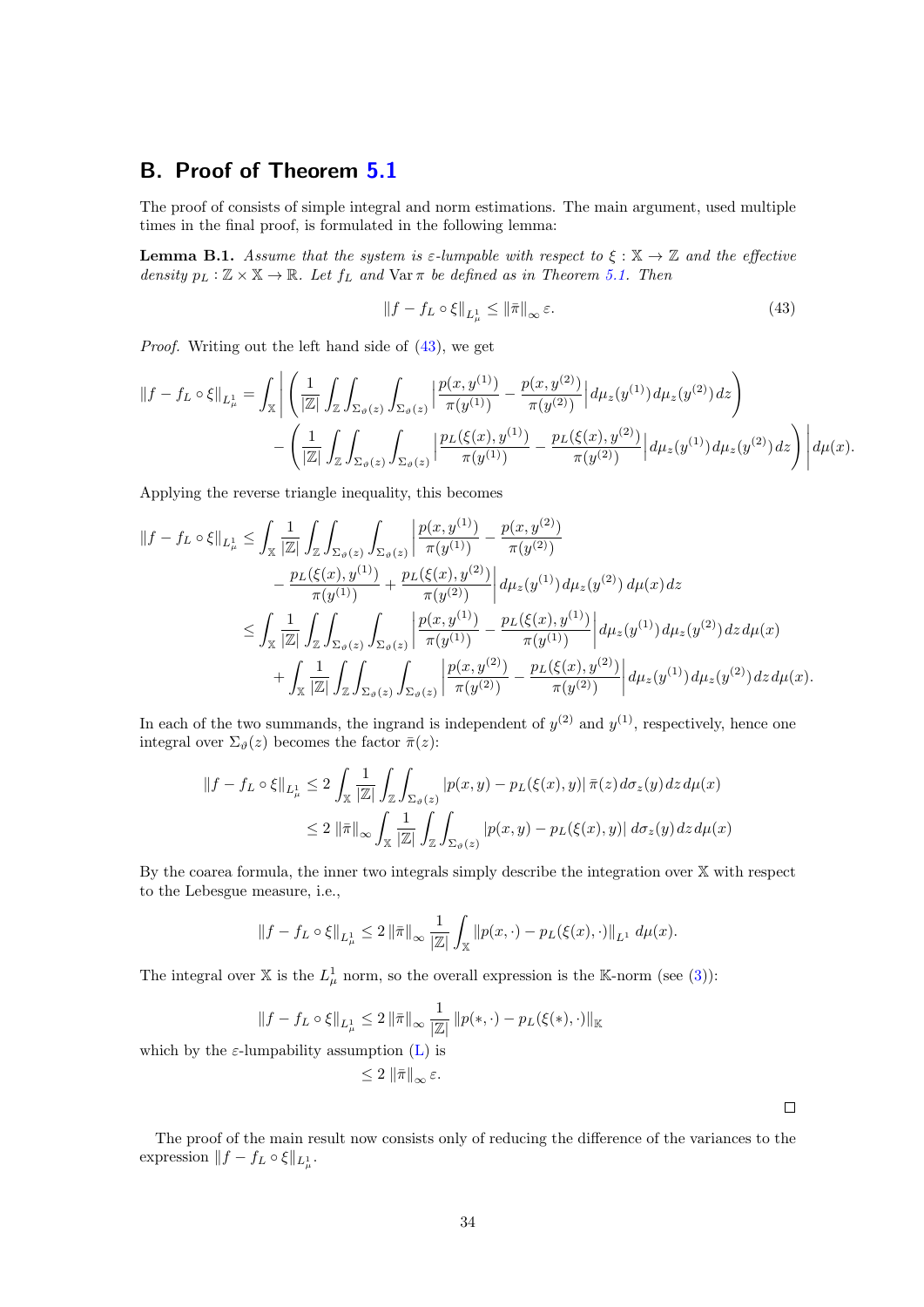# <span id="page-33-0"></span>B. Proof of Theorem [5.1](#page-19-0)

The proof of consists of simple integral and norm estimations. The main argument, used multiple times in the final proof, is formulated in the following lemma:

<span id="page-33-2"></span>**Lemma B.1.** Assume that the system is  $\varepsilon$ -lumpable with respect to  $\xi : \mathbb{X} \to \mathbb{Z}$  and the effective density  $p_L : \mathbb{Z} \times \mathbb{X} \to \mathbb{R}$ . Let  $f_L$  and  $\text{Var } \pi$  be defined as in Theorem [5.1.](#page-19-0) Then

<span id="page-33-1"></span>
$$
||f - f_L \circ \xi||_{L^1_{\mu}} \le ||\bar{\pi}||_{\infty} \varepsilon. \tag{43}
$$

Proof. Writing out the left hand side of [\(43\)](#page-33-1), we get

$$
||f - f_L \circ \xi||_{L^1_{\mu}} = \int_{\mathbb{X}} \left| \left( \frac{1}{|\mathbb{Z}|} \int_{\mathbb{Z}} \int_{\Sigma_{\vartheta}(z)} \int_{\Sigma_{\vartheta}(z)} \left| \frac{p(x, y^{(1)})}{\pi(y^{(1)})} - \frac{p(x, y^{(2)})}{\pi(y^{(2)})} \right| d\mu_{z}(y^{(1)}) d\mu_{z}(y^{(2)}) dz \right) - \left( \frac{1}{|\mathbb{Z}|} \int_{\mathbb{Z}} \int_{\Sigma_{\vartheta}(z)} \int_{\Sigma_{\vartheta}(z)} \left| \frac{p_L(\xi(x), y^{(1)})}{\pi(y^{(1)})} - \frac{p_L(\xi(x), y^{(2)})}{\pi(y^{(2)})} \right| d\mu_{z}(y^{(1)}) d\mu_{z}(y^{(2)}) dz \right) d\mu(x).
$$

Applying the reverse triangle inequality, this becomes

$$
\begin{split} \|f - f_{L} \circ \xi\|_{L^{1}_{\mu}} &\leq \int_{\mathbb{X}} \frac{1}{|\mathbb{Z}|} \int_{\mathbb{Z}} \int_{\Sigma_{\vartheta}(z)} \int_{\Sigma_{\vartheta}(z)} \left| \frac{p(x, y^{(1)})}{\pi(y^{(1)})} - \frac{p(x, y^{(2)})}{\pi(y^{(2)})} \right| \\ &\quad - \frac{p_{L}(\xi(x), y^{(1)})}{\pi(y^{(1)})} + \frac{p_{L}(\xi(x), y^{(2)})}{\pi(y^{(2)})} \left| d\mu_{z}(y^{(1)}) d\mu_{z}(y^{(2)}) d\mu(x) \right. \\ &\leq \int_{\mathbb{X}} \frac{1}{|\mathbb{Z}|} \int_{\mathbb{Z}} \int_{\Sigma_{\vartheta}(z)} \int_{\Sigma_{\vartheta}(z)} \left| \frac{p(x, y^{(1)})}{\pi(y^{(1)})} - \frac{p_{L}(\xi(x), y^{(1)})}{\pi(y^{(1)})} \right| d\mu_{z}(y^{(1)}) d\mu_{z}(y^{(2)}) \, dz \, d\mu(x) \\ &\quad + \int_{\mathbb{X}} \frac{1}{|\mathbb{Z}|} \int_{\mathbb{Z}} \int_{\Sigma_{\vartheta}(z)} \int_{\Sigma_{\vartheta}(z)} \left| \frac{p(x, y^{(2)})}{\pi(y^{(2)})} - \frac{p_{L}(\xi(x), y^{(2)})}{\pi(y^{(2)})} \right| d\mu_{z}(y^{(1)}) \, d\mu_{z}(y^{(2)}) \, dz \, d\mu(x). \end{split}
$$

In each of the two summands, the ingrand is independent of  $y^{(2)}$  and  $y^{(1)}$ , respectively, hence one integral over  $\Sigma_{\vartheta}(z)$  becomes the factor  $\bar{\pi}(z)$ :

$$
\begin{aligned} ||f - f_L \circ \xi||_{L^1_{\mu}} &\le 2 \int_{\mathbb{X}} \frac{1}{|\mathbb{Z}|} \int_{\mathbb{Z}} \int_{\Sigma_{\vartheta}(z)} |p(x, y) - p_L(\xi(x), y)| \, \bar{\pi}(z) \, d\sigma_z(y) \, dz \, d\mu(x) \\ &\le 2 \, ||\bar{\pi}||_{\infty} \int_{\mathbb{X}} \frac{1}{|\mathbb{Z}|} \int_{\mathbb{Z}} \int_{\Sigma_{\vartheta}(z)} |p(x, y) - p_L(\xi(x), y)| \, d\sigma_z(y) \, dz \, d\mu(x) \end{aligned}
$$

By the coarea formula, the inner two integrals simply describe the integration over X with respect to the Lebesgue measure, i.e.,

$$
||f - f_L \circ \xi||_{L^1_{\mu}} \le 2 ||\bar{\pi}||_{\infty} \frac{1}{|\mathbb{Z}|} \int_{\mathbb{X}} ||p(x, \cdot) - p_L(\xi(x), \cdot)||_{L^1} d\mu(x).
$$

The integral over X is the  $L^1_\mu$  norm, so the overall expression is the K-norm (see [\(3\)](#page-4-0)):

$$
||f - f_L \circ \xi||_{L^1_{\mu}} \le 2 ||\bar{\pi}||_{\infty} \frac{1}{|Z|} ||p(*, \cdot) - p_L(\xi(*), \cdot)||_{\mathbb{K}}
$$

 $\leq 2 \|\bar{\pi}\|_{\infty} \varepsilon.$ 

which by the  $\varepsilon$ -lumpability assumption [\(L\)](#page-5-0) is

 $\Box$ 

The proof of the main result now consists only of reducing the difference of the variances to the expression  $|| f - f_L \circ \xi ||_{L^1_{\mu}}$ .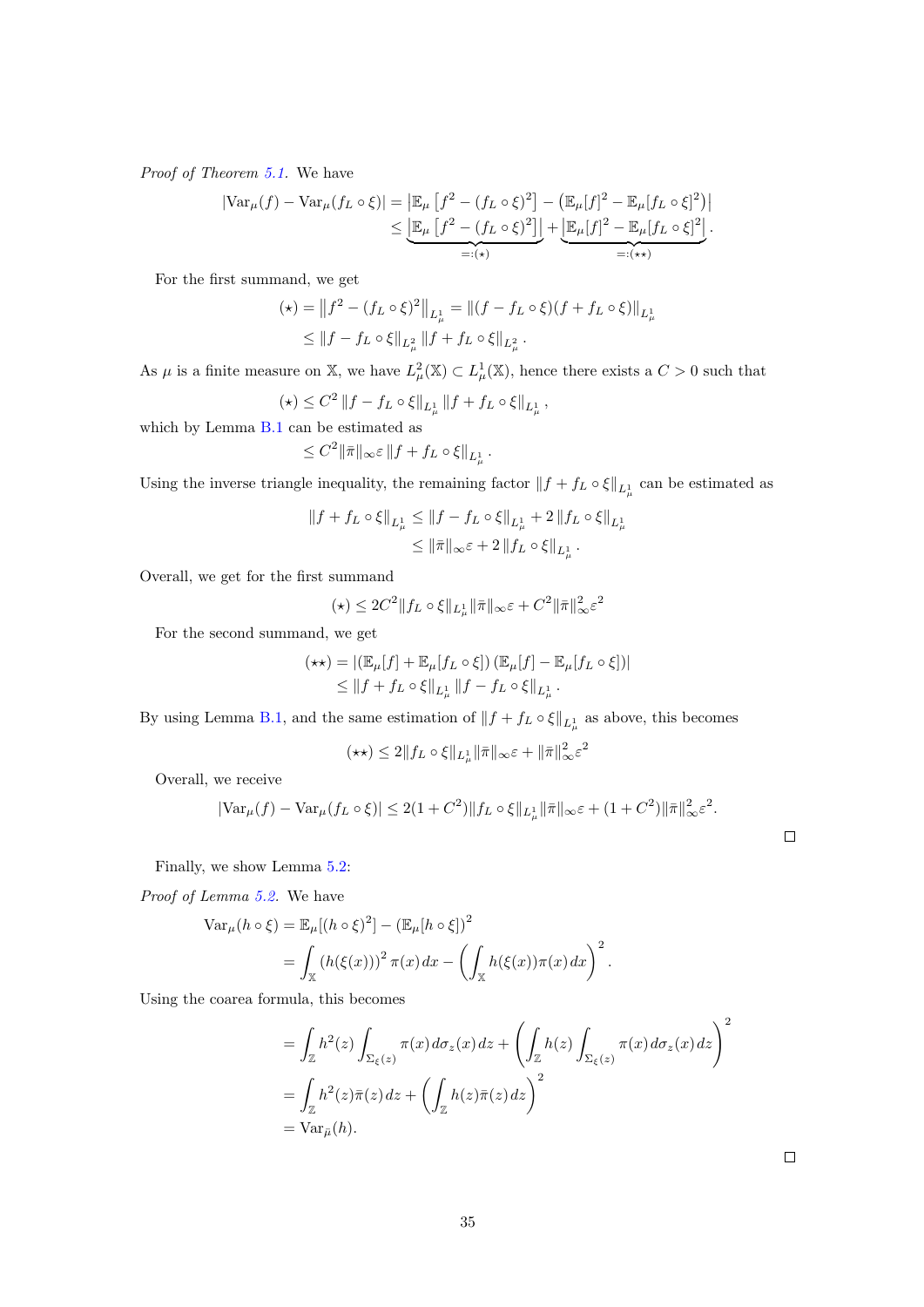Proof of Theorem [5.1.](#page-19-0) We have

$$
\begin{split} |\text{Var}_{\mu}(f) - \text{Var}_{\mu}(f_L \circ \xi)| &= \left| \mathbb{E}_{\mu} \left[ f^2 - (f_L \circ \xi)^2 \right] - \left( \mathbb{E}_{\mu} [f]^2 - \mathbb{E}_{\mu} [f_L \circ \xi]^2 \right) \right| \\ &\leq \underbrace{\left| \mathbb{E}_{\mu} \left[ f^2 - (f_L \circ \xi)^2 \right] \right|}_{=:(\star)} + \underbrace{\left| \mathbb{E}_{\mu} [f]^2 - \mathbb{E}_{\mu} [f_L \circ \xi]^2 \right|}_{=:(\star)} . \end{split}
$$

For the first summand, we get

$$
(\star) = \|f^2 - (f_L \circ \xi)^2\|_{L^1_\mu} = \|(f - f_L \circ \xi)(f + f_L \circ \xi)\|_{L^1_\mu}
$$
  

$$
\le \|f - f_L \circ \xi\|_{L^2_\mu} \|f + f_L \circ \xi\|_{L^2_\mu}.
$$

As  $\mu$  is a finite measure on X, we have  $L^2_{\mu}(\mathbb{X}) \subset L^1_{\mu}(\mathbb{X})$ , hence there exists a  $C > 0$  such that

$$
(\star) \le C^2 \|f - f_L \circ \xi\|_{L^1_\mu} \|f + f_L \circ \xi\|_{L^1_\mu},
$$

which by Lemma [B.1](#page-33-2) can be estimated as

$$
\leq C^2 \|\bar{\pi}\|_\infty \varepsilon \, \|f+f_L\circ \xi\|_{L^1_\mu} \, .
$$

Using the inverse triangle inequality, the remaining factor  $|| f + f_L \circ \xi ||_{L^1_\mu}$  can be estimated as

$$
\begin{aligned} \|f+f_L\circ \xi\|_{L^1_\mu} &\leq \|f-f_L\circ \xi\|_{L^1_\mu}+2\, \|f_L\circ \xi\|_{L^1_\mu} \\ &\leq \|\bar\pi\|_\infty \varepsilon +2\, \|f_L\circ \xi\|_{L^1_\mu} \, . \end{aligned}
$$

Overall, we get for the first summand

$$
(\star) \leq 2C^2 \|f_L \circ \xi\|_{L^1_\mu} \|\bar{\pi}\|_\infty \varepsilon + C^2 \|\bar{\pi}\|_\infty^2 \varepsilon^2
$$

For the second summand, we get

$$
(\star \star) = |(\mathbb{E}_{\mu}[f] + \mathbb{E}_{\mu}[f_L \circ \xi]) (\mathbb{E}_{\mu}[f] - \mathbb{E}_{\mu}[f_L \circ \xi])|
$$
  
\$\leq \|f + f\_L \circ \xi\|\_{L^1\_{\mu}} \|f - f\_L \circ \xi\|\_{L^1\_{\mu}}.

By using Lemma [B.1,](#page-33-2) and the same estimation of  $||f + f_L \circ \xi||_{L^1_{\mu}}$  as above, this becomes

$$
(\star\star)\leq 2\|f_L\circ\xi\|_{L^1_\mu}\|\bar\pi\|_\infty\varepsilon+\|\bar\pi\|_\infty^2\varepsilon^2
$$

Overall, we receive

$$
|\text{Var}_{\mu}(f) - \text{Var}_{\mu}(f_L \circ \xi)| \le 2(1+C^2) \|f_L \circ \xi\|_{L^1_{\mu}} \|\bar{\pi}\|_{\infty} \varepsilon + (1+C^2) \|\bar{\pi}\|_{\infty}^2 \varepsilon^2.
$$

Finally, we show Lemma [5.2:](#page-19-1)

Proof of Lemma [5.2.](#page-19-1) We have

$$
\operatorname{Var}_{\mu}(h \circ \xi) = \mathbb{E}_{\mu}[(h \circ \xi)^{2}] - (\mathbb{E}_{\mu}[h \circ \xi])^{2}
$$
  
= 
$$
\int_{\mathbb{X}} (h(\xi(x)))^{2} \pi(x) dx - \left(\int_{\mathbb{X}} h(\xi(x)) \pi(x) dx\right)^{2}.
$$

Using the coarea formula, this becomes

$$
= \int_{\mathbb{Z}} h^2(z) \int_{\Sigma_{\xi}(z)} \pi(x) d\sigma_z(x) dz + \left( \int_{\mathbb{Z}} h(z) \int_{\Sigma_{\xi}(z)} \pi(x) d\sigma_z(x) dz \right)^2
$$
  
= 
$$
\int_{\mathbb{Z}} h^2(z) \bar{\pi}(z) dz + \left( \int_{\mathbb{Z}} h(z) \bar{\pi}(z) dz \right)^2
$$
  
= 
$$
\text{Var}_{\bar{\mu}}(h).
$$

 $\Box$ 

 $\Box$